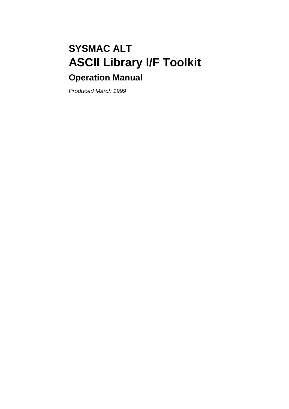# **SYSMAC ALT ASCII Library I/F Toolkit Operation Manual**

Produced March 1999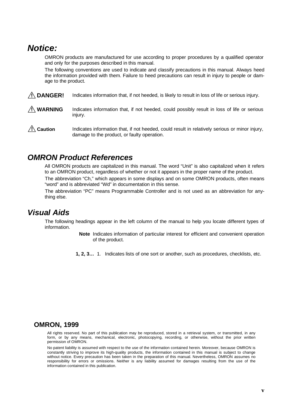# **Notice:**

OMRON products are manufactured for use according to proper procedures by a qualified operator and only for the purposes described in this manual.

The following conventions are used to indicate and classify precautions in this manual. Always heed the information provided with them. Failure to heed precautions can result in injury to people or damage to the product.

- Indicates information that, if not heeded, is likely to result in loss of life or serious injury. **! DANGER!**
- Indicates information that, if not heeded, could possibly result in loss of life or serious injury. **! WARNING**
- Indicates information that, if not heeded, could result in relatively serious or minor injury, damage to the product, or faulty operation. **! Caution**

# **OMRON Product References**

All OMRON products are capitalized in this manual. The word "Unit" is also capitalized when it refers to an OMRON product, regardless of whether or not it appears in the proper name of the product.

The abbreviation "Ch," which appears in some displays and on some OMRON products, often means "word" and is abbreviated "Wd" in documentation in this sense.

The abbreviation "PC" means Programmable Controller and is not used as an abbreviation for anything else.

# **Visual Aids**

The following headings appear in the left column of the manual to help you locate different types of information.

> **Note** Indicates information of particular interest for efficient and convenient operation of the product.

**1, 2, 3…** 1. Indicates lists of one sort or another, such as procedures, checklists, etc.

#### **OMRON, 1999**

All rights reserved. No part of this publication may be reproduced, stored in a retrieval system, or transmitted, in any form, or by any means, mechanical, electronic, photocopying, recording, or otherwise, without the prior written permission of OMRON.

No patent liability is assumed with respect to the use of the information contained herein. Moreover, because OMRON is constantly striving to improve its high-quality products, the information contained in this manual is subject to change without notice. Every precaution has been taken in the preparation of this manual. Nevertheless, OMRON assumes no responsibility for errors or omissions. Neither is any liability assumed for damages resulting from the use of the information contained in this publication.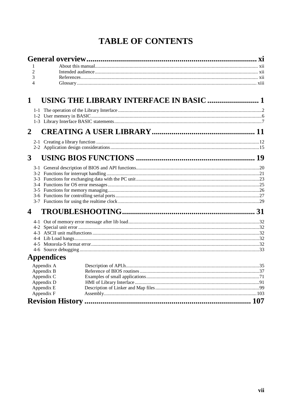# **TABLE OF CONTENTS**

| 1                        |                                         |  |
|--------------------------|-----------------------------------------|--|
| $\overline{2}$           |                                         |  |
| 3                        |                                         |  |
| $\overline{4}$           |                                         |  |
| 1                        | USING THE LIBRARY INTERFACE IN BASIC  1 |  |
|                          |                                         |  |
|                          |                                         |  |
|                          |                                         |  |
| $\overline{2}$           |                                         |  |
|                          |                                         |  |
|                          |                                         |  |
| 3                        |                                         |  |
|                          |                                         |  |
|                          |                                         |  |
|                          |                                         |  |
|                          |                                         |  |
|                          |                                         |  |
|                          |                                         |  |
|                          |                                         |  |
| 4                        |                                         |  |
|                          |                                         |  |
|                          |                                         |  |
|                          |                                         |  |
|                          |                                         |  |
|                          |                                         |  |
| <b>Appendices</b>        |                                         |  |
| Appendix A               |                                         |  |
| Appendix B               |                                         |  |
| Appendix C               |                                         |  |
| Appendix D<br>Appendix E |                                         |  |
| Appendix F               |                                         |  |
|                          |                                         |  |

#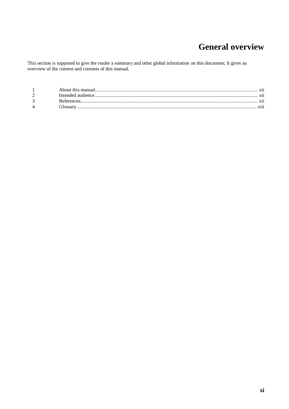# **General overview**

This section is supposed to give the reader a summary and other global information on this document; It gives an overview of the context and contents of this manual.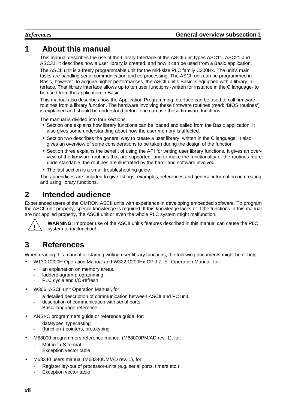# **1 About this manual**

This manual describes the use of the Library Interface of the ASCII unit types ASC11, ASC21 and ASC31. It describes how a user library is created, and how it can be used from a Basic application.

The ASCII unit is a freely programmable unit for the mid-size PLC family C200Hx. The unit's main tasks are handling serial communication and co-processing. The ASCII unit can be programmed in Basic, however, to acquire higher performances, the ASCII unit's Basic is equipped with a library interface. That library interface allows up to ten user functions -written for instance in the C language- to be used from the application in Basic.

This manual also describes how the Application Programming Interface can be used to call firmware routines from a library function. The hardware involving these firmware routines (read: 'BIOS routines') is explained and should be understood before one can use these firmware functions.

The manual is divided into four sections;

- Section one explains how library functions can be loaded and called from the Basic application. It also gives some understanding about how the user memory is affected.
- Section two describes the general way to create a user library, written in the C language. It also gives an overview of some considerations to be taken during the design of the function.
- Section three explains the benefit of using the API for writing user library functions. It gives an overview of the firmware routines that are supported, and to make the functionality of the routines more understandable, the routines are illustrated by the hard- and software involved.
- The last section is a small troubleshooting guide.

The appendices are included to give listings, examples, references and general information on creating and using library functions.

# **2 Intended audience**

Experienced users of the OMRON ASCII units with experience in developing embedded software. To program the ASCII unit properly, special knowledge is required. If this knowledge lacks or if the functions in this manual are not applied properly, the ASCII unit or even the whole PLC system might malfunction.



**WARNING**: Improper use of the ASCII unit's features described in this manual can cause the PLC system to malfunction!

# **3 References**

When reading this manual or starting writing user library functions, the following documents might be of help:

• W130:C200H Operation Manual and W322:C200Hx-CPU-Z E Operation Manual, for:

- an explanation on memory areas.
- ladderdiagram programming
- PLC cycle and I/O-refresh.
- W306: ASCII unit Operation Manual, for:
	- a detailed description of communication between ASCII and PC unit.
	- description of communication with serial ports.
	- Basic language reference.
- ANSI-C programmers guide or reference guide, for:
	- datatypes, typecasting
	- (function-) pointers, prototyping.
- M68000 programmers reference manual (M68000PM/AD rev. 1), for:
	- Motorola-S format
	- Exception vector table
- M68340 users manual (M68340UM/AD rev. 1), for:
	- Register lay-out of processor-units (e.g. serial ports, timers etc.)
	- Exception vector table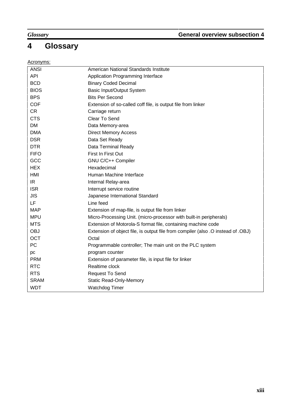# **4 Glossary**

### Acronyms:

| <b>ANSI</b> | American National Standards Institute                                            |
|-------------|----------------------------------------------------------------------------------|
| <b>API</b>  | Application Programming Interface                                                |
| <b>BCD</b>  | <b>Binary Coded Decimal</b>                                                      |
| <b>BIOS</b> | <b>Basic Input/Output System</b>                                                 |
| <b>BPS</b>  | <b>Bits Per Second</b>                                                           |
| <b>COF</b>  | Extension of so-called coff file, is output file from linker                     |
| CR          | Carriage return                                                                  |
| <b>CTS</b>  | Clear To Send                                                                    |
| <b>DM</b>   | Data Memory-area                                                                 |
| <b>DMA</b>  | <b>Direct Memory Access</b>                                                      |
| <b>DSR</b>  | Data Set Ready                                                                   |
| <b>DTR</b>  | Data Terminal Ready                                                              |
| <b>FIFO</b> | First In First Out                                                               |
| GCC         | GNU C/C++ Compiler                                                               |
| <b>HEX</b>  | Hexadecimal                                                                      |
| HMI         | Human Machine Interface                                                          |
| IR.         | Internal Relay-area                                                              |
| <b>ISR</b>  | Interrupt service routine                                                        |
| <b>JIS</b>  | Japanese International Standard                                                  |
| LF          | Line feed                                                                        |
| <b>MAP</b>  | Extension of map-file, is output file from linker                                |
| <b>MPU</b>  | Micro-Processing Unit. (micro-processor with built-in peripherals)               |
| <b>MTS</b>  | Extension of Motorola-S format file, containing machine code                     |
| <b>OBJ</b>  | Extension of object file, is output file from compiler (also .O instead of .OBJ) |
| <b>OCT</b>  | Octal                                                                            |
| PC          | Programmable controller; The main unit on the PLC system                         |
| pc          | program counter                                                                  |
| <b>PRM</b>  | Extension of parameter file, is input file for linker                            |
| <b>RTC</b>  | Realtime clock                                                                   |
| <b>RTS</b>  | <b>Request To Send</b>                                                           |
| <b>SRAM</b> | <b>Static Read-Only-Memory</b>                                                   |
| <b>WDT</b>  | <b>Watchdog Timer</b>                                                            |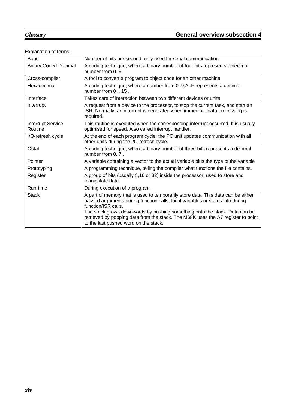### *Glossary* **General overview subsection 4**

### Explanation of terms:

| <b>Baud</b>                         | Number of bits per second, only used for serial communication.                                                                                                                                                                                                                                                                                             |
|-------------------------------------|------------------------------------------------------------------------------------------------------------------------------------------------------------------------------------------------------------------------------------------------------------------------------------------------------------------------------------------------------------|
| <b>Binary Coded Decimal</b>         | A coding technique, where a binary number of four bits represents a decimal<br>number from 09.                                                                                                                                                                                                                                                             |
| Cross-compiler                      | A tool to convert a program to object code for an other machine.                                                                                                                                                                                                                                                                                           |
| Hexadecimal                         | A coding technique, where a number from 09, A. F represents a decimal<br>number from 015.                                                                                                                                                                                                                                                                  |
| Interface                           | Takes care of interaction between two different devices or units                                                                                                                                                                                                                                                                                           |
| Interrupt                           | A request from a device to the processor, to stop the current task, and start an<br>ISR. Normally, an interrupt is generated when immediate data processing is<br>required.                                                                                                                                                                                |
| <b>Interrupt Service</b><br>Routine | This routine is executed when the corresponding interrupt occurred. It is usually<br>optimised for speed. Also called interrupt handler.                                                                                                                                                                                                                   |
| I/O-refresh cycle                   | At the end of each program cycle, the PC unit updates communication with all<br>other units during the I/O-refresh cycle.                                                                                                                                                                                                                                  |
| Octal                               | A coding technique, where a binary number of three bits represents a decimal<br>number from 07.                                                                                                                                                                                                                                                            |
| Pointer                             | A variable containing a vector to the actual variable plus the type of the variable                                                                                                                                                                                                                                                                        |
| Prototyping                         | A programming technique, telling the compiler what functions the file contains.                                                                                                                                                                                                                                                                            |
| Register                            | A group of bits (usually 8,16 or 32) inside the processor, used to store and<br>manipulate data.                                                                                                                                                                                                                                                           |
| Run-time                            | During execution of a program.                                                                                                                                                                                                                                                                                                                             |
| <b>Stack</b>                        | A part of memory that is used to temporarily store data. This data can be either<br>passed arguments during function calls, local variables or status info during<br>function/ISR calls.<br>The stack grows downwards by pushing something onto the stack. Data can be<br>retrieved by popping data from the stack. The M68K uses the A7 register to point |
|                                     | to the last pushed word on the stack.                                                                                                                                                                                                                                                                                                                      |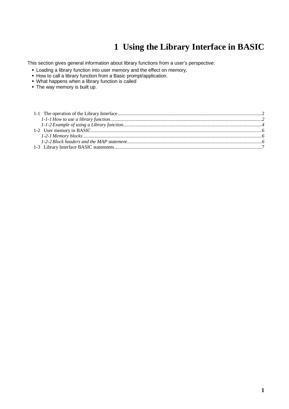# **1 Using the Library Interface in BASIC**

This section gives general information about library functions from a user's perspective:

- **Loading a library function into user memory and the effect on memory,**
- How to call a library function from a Basic prompt/application.
- What happens when a library function is called
- The way memory is built up.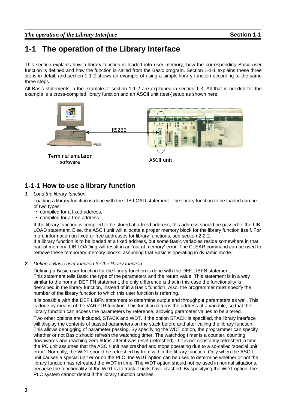# **1-1 The operation of the Library Interface**

This section explains how a library function is loaded into user memory, how the corresponding Basic user function is defined and how the function is called from the Basic program. Section 1-1-1 explains these three steps in detail, and section 1-1-2 shows an example of using a simple library function according to the same three steps.

All Basic statements in the example of section 1-1-2 are explained in section 1-3. All that is needed for the example is a cross-compiled library function and an ASCII unit (test-)setup as shown here:



# **1-1-1 How to use a library function**

#### **1.** Load the library function

Loading a library function is done with the LIB LOAD statement. The library function to be loaded can be of two types:

- compiled for a fixed address,
- compiled for a free address.

If the library function is compiled to be stored at a fixed address, this address should be passed to the LIB LOAD statement. Else, the ASCII unit will allocate a proper memory block for the library function itself. For more information on fixed or free addresses for library functions, see section 2-2-2.

If a library function is to be loaded at a fixed address, but some Basic variables reside somewhere in that part of memory, LIB LOADing will result in an 'out of memory' error. The CLEAR command can be used to remove these temporary memory blocks, assuming that Basic is operating in dynamic mode.

#### **2.** Define a Basic user function for the library function

Defining a Basic user function for the library function is done with the DEF LIBFN statement. This statement tells Basic the type of the parameters and the return value. This statement is in a way similar to the normal DEF FN statement, the only difference is that in this case the functionality is described in the library function, instead of in a Basic function. Also, the programmer must specify the number of the library function to which this user function is referring.

It is possible with the DEF LIBFN statement to determine output and throughput parameters as well. This is done by means of the VARPTR function. This function returns the address of a variable, so that the library function can access the parameters by reference, allowing parameter values to be altered.

Two other options are included, STACK and WDT. If the option STACK is specified, the library interface will display the contents of passed parameters on the stack before and after calling the library function. This allows debugging of parameter passing. By specifying the WDT option, the programmer can specify whether or not Basic should refresh the watchdog timer. The watchdog timer is a counter, counting downwards and reaching zero 60ms after it was reset (refreshed). If it is not constantly refreshed in time, the PC unit assumes that the ASCII unit has crashed and stops operating due to a so-called 'special unit error'. Normally, the WDT should be refreshed by from within the library function. Only when the ASCII unit causes a special unit error on the PLC, the WDT option can be used to determine whether or not the library function has refreshed the WDT in time. The WDT option should not be used in normal situations, because the functionality of the WDT is to track if units have crashed. By specifying the WDT option, the PLC system cannot detect if the library function crashes.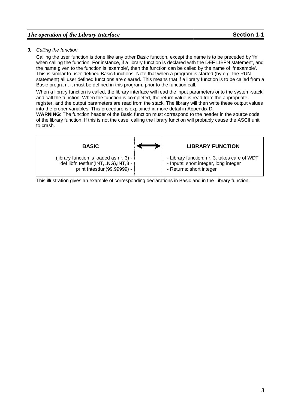#### *The operation of the Library Interface* **Section 1-1**

#### **3.** Calling the function

Calling the user function is done like any other Basic function, except the name is to be preceded by 'fn' when calling the function. For instance, if a library function is declared with the DEF LIBFN statement, and the name given to the function is 'example', then the function can be called by the name of 'fnexample'. This is similar to user-defined Basic functions. Note that when a program is started (by e.g. the RUN statement) all user defined functions are cleared. This means that if a library function is to be called from a Basic program, it must be defined in this program, prior to the function call.

When a library function is called, the library interface will read the input parameters onto the system-stack, and call the function. When the function is completed, the return value is read from the appropriate register, and the output parameters are read from the stack. The library will then write these output values into the proper variables. This procedure is explained in more detail in Appendix D.

**WARNING**: The function header of the Basic function must correspond to the header in the source code of the library function. If this is not the case, calling the library function will probably cause the ASCII unit to crash.



This illustration gives an example of corresponding declarations in Basic and in the Library function.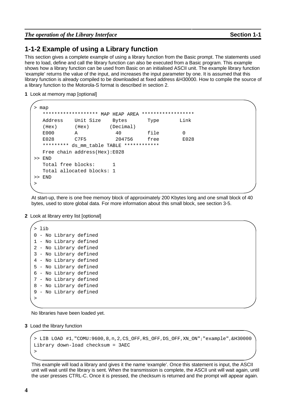*The operation of the Library Interface* **Section 1-1**

#### **1-1-2 Example of using a Library function**

This section gives a complete example of using a library function from the Basic prompt. The statements used here to load, define and call the library function can also be executed from a Basic program. This example shows how a library function can be used from Basic on an initialised ASCII unit. The example library function 'example' returns the value of the input, and increases the input parameter by one. It is assumed that this library function is already compiled to be downloaded at fixed address &H30000. How to compile the source of a library function to the Motorola-S format is described in section 2.

**1** Look at memory map [optional]

| ⋗  | map                                         |                                   |               |                    |      |
|----|---------------------------------------------|-----------------------------------|---------------|--------------------|------|
|    | *******************                         |                                   | MAP HEAP AREA | ****************** |      |
|    | Address                                     | Unit Size                         | Bytes         | Type               | Link |
|    | (Hex)                                       | (Hex)                             | (Decimal)     |                    |      |
|    | E000                                        | A                                 | 40            | file               | 0    |
|    | E028                                        | C7F5                              | 204756        | free               | E028 |
|    | ********* ds_mm_table TABLE<br>************ |                                   |               |                    |      |
|    |                                             | Free chain address $HEX$ : $E028$ |               |                    |      |
|    | $>>$ END                                    |                                   |               |                    |      |
|    | Total free blocks:                          |                                   | 1             |                    |      |
|    |                                             | Total allocated blocks: 1         |               |                    |      |
| >> | END                                         |                                   |               |                    |      |
| >  |                                             |                                   |               |                    |      |
|    |                                             |                                   |               |                    |      |

At start-up, there is one free memory block of approximately 200 Kbytes long and one small block of 40 bytes, used to store global data. For more information about this small block, see section 3-5.

**2** Look at library entry list [optional]

> lib - No Library defined - No Library defined - No Library defined - No Library defined - No Library defined - No Library defined - No Library defined - No Library defined - No Library defined - No Library defined >

No libraries have been loaded yet.

**3** Load the library function

```
> LIB LOAD #1,"COMU:9600,8,n,2,CS_OFF,RS_OFF,DS_OFF,XN_ON";"example",&H30000
Library down-load checksum = 3AEC
>
```
This example will load a library and gives it the name 'example'. Once this statement is input, the ASCII unit will wait until the library is sent. When the transmission is complete, the ASCII unit will wait again, until the user presses CTRL-C. Once it is pressed, the checksum is returned and the prompt will appear again.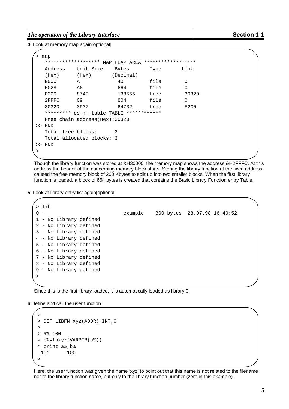#### *The operation of the Library Interface* **Section 1-1**

**4** Look at memory map again[optional]

| >     | map                           |                                   |           |                    |                  |
|-------|-------------------------------|-----------------------------------|-----------|--------------------|------------------|
|       | *******************           | MAP                               | HEAP AREA | ****************** |                  |
|       | Address                       | Unit Size                         | Bytes     | Type               | Link             |
|       | (Hex)                         | (Hex)                             | (Decimal) |                    |                  |
|       | E000                          | A                                 | 40        | file               | O                |
|       | E028                          | A6                                | 664       | file               | 0                |
|       | E <sub>2</sub> C <sub>0</sub> | 874F                              | 138556    | free               | 30320            |
|       | 2FFFC                         | C9                                | 804       | file               | O                |
|       | 30320                         | 3F37                              | 64732     | free               | E <sub>2CO</sub> |
|       | *********                     | ds_mm_table TABLE ************    |           |                    |                  |
|       |                               | Free chain address $(Hex): 30320$ |           |                    |                  |
| $\gt$ | END                           |                                   |           |                    |                  |
|       | Total free blocks:            |                                   | 2         |                    |                  |
|       |                               | Total allocated blocks: 3         |           |                    |                  |
| >     | END                           |                                   |           |                    |                  |
| >     |                               |                                   |           |                    |                  |

Though the library function was stored at &H30000, the memory map shows the address &H2FFFC. At this address the header of the concerning memory block starts. Storing the library function at the fixed address caused the free memory block of 200 Kbytes to split up into two smaller blocks. When the first library function is loaded, a block of 664 bytes is created that contains the Basic Library Function entry Table.

**5** Look at library entry list again[optional]

|       | lib                    |         |                             |  |
|-------|------------------------|---------|-----------------------------|--|
| $0 -$ |                        | example | 800 bytes 28.07.98 16:49:52 |  |
|       | 1 - No Library defined |         |                             |  |
|       | 2 - No Library defined |         |                             |  |
|       | 3 - No Library defined |         |                             |  |
|       | 4 - No Library defined |         |                             |  |
|       | 5 - No Library defined |         |                             |  |
|       | 6 - No Library defined |         |                             |  |
|       | 7 - No Library defined |         |                             |  |
|       | 8 - No Library defined |         |                             |  |
|       | 9 - No Library defined |         |                             |  |
| >     |                        |         |                             |  |
|       |                        |         |                             |  |

Since this is the first library loaded, it is automatically loaded as library 0.

**6** Define and call the user function

```
>
> DEF LIBFN xyz(ADDR),INT,0
>
> a<sup>8</sup>=100> b%=fnxyz(VARPTR(a%))
> print a%,b%
 101 100
>
```
Here, the user function was given the name 'xyz' to point out that this name is not related to the filename nor to the library function name, but only to the library function number (zero in this example).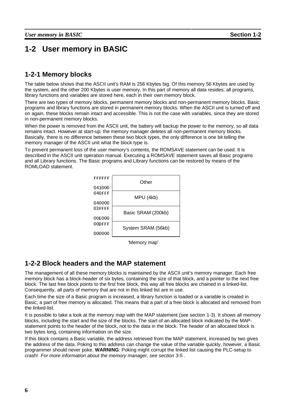# **1-2 User memory in BASIC**

## **1-2-1 Memory blocks**

The table below shows that the ASCII unit's RAM is 256 Kbytes big. Of this memory 56 Kbytes are used by the system, and the other 200 Kbytes is user memory. In this part of memory all data resides; all programs, library functions and variables are stored here, each in their own memory block.

There are two types of memory blocks, permanent memory blocks and non-permanent memory blocks. Basic programs and library functions are stored in permanent memory blocks. When the ASCII unit is turned off and on again, these blocks remain intact and accessible. This is not the case with variables, since they are stored in non-permanent memory blocks.

When the power is removed from the ASCII unit, the battery will backup the power to the memory, so all data remains intact. However at start-up, the memory manager deletes all non-permanent memory blocks. Basically, there is no difference between these two block types, the only difference is one bit telling the memory manager of the ASCII unit what the block type is.

To prevent permanent loss of the user memory's contents, the ROMSAVE statement can be used. It is described in the ASCII unit operation manual. Executing a ROMSAVE statement saves all Basic programs and all Library functions. The Basic programs and Library functions can be restored by means of the ROMLOAD statement.



'Memory map'

## **1-2-2 Block headers and the MAP statement**

The management of all these memory blocks is maintained by the ASCII unit's memory manager. Each free memory block has a block-header of six bytes, containing the size of that block, and a pointer to the next free block. The last free block points to the first free block, this way all free blocks are chained in a linked-list. Consequently, all parts of memory that are not in this linked list are in use.

Each time the size of a Basic program is increased, a library function is loaded or a variable is created in Basic, a part of free memory is allocated. This means that a part of a free block is allocated and removed from the linked-list.

It is possible to take a look at the memory map with the MAP statement (see section 1-3). It shows all memory blocks, including the start and the size of the blocks. The start of an allocated block indicated by the MAPstatement points to the header of the block, not to the data in the block. The header of an allocated block is two bytes long, containing information on the size.

If this block contains a Basic variable, the address retrieved from the MAP statement, increased by two gives the address of the data. Poking to this address can change the value of the variable quickly, however, a Basic programmer should never poke. **WARNING**: Poking might corrupt the linked list causing the PLC-setup to crash! For more information about the memory manager, see section 3-5 .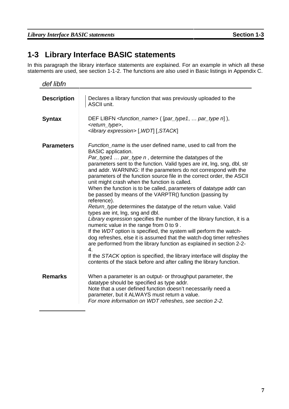# **1-3 Library Interface BASIC statements**

In this paragraph the library interface statements are explained. For an example in which all these statements are used, see section 1-1-2. The functions are also used in Basic listings in Appendix C.

| def libfn          |                                                                                                                                                                                                                                                                                                                                                                                                                                                                                                                                                                                                                                                                                                                                                                                                                                                                                                                                                                                                                                                                                                                                                                                                          |
|--------------------|----------------------------------------------------------------------------------------------------------------------------------------------------------------------------------------------------------------------------------------------------------------------------------------------------------------------------------------------------------------------------------------------------------------------------------------------------------------------------------------------------------------------------------------------------------------------------------------------------------------------------------------------------------------------------------------------------------------------------------------------------------------------------------------------------------------------------------------------------------------------------------------------------------------------------------------------------------------------------------------------------------------------------------------------------------------------------------------------------------------------------------------------------------------------------------------------------------|
| <b>Description</b> | Declares a library function that was previously uploaded to the<br><b>ASCII unit.</b>                                                                                                                                                                                                                                                                                                                                                                                                                                                                                                                                                                                                                                                                                                                                                                                                                                                                                                                                                                                                                                                                                                                    |
| <b>Syntax</b>      | DEF LIBFN <function_name> ([par_type1,  par_type n]),<br/><return_type>,<br/><library expression=""> [, WDT] [, STACK]</library></return_type></function_name>                                                                                                                                                                                                                                                                                                                                                                                                                                                                                                                                                                                                                                                                                                                                                                                                                                                                                                                                                                                                                                           |
| <b>Parameters</b>  | Function_name is the user defined name, used to call from the<br><b>BASIC</b> application.<br>Par_type1  par_type n, determine the datatypes of the<br>parameters sent to the function. Valid types are int, Ing, sng, dbl, str<br>and addr. WARNING: If the parameters do not correspond with the<br>parameters of the function source file in the correct order, the ASCII<br>unit might crash when the function is called.<br>When the function is to be called, parameters of datatype addr can<br>be passed by means of the VARPTR() function (passing by<br>reference).<br>Return_type determines the datatype of the return value. Valid<br>types are int, Ing, sng and dbl.<br>Library expression specifies the number of the library function, it is a<br>numeric value in the range from 0 to 9.<br>If the WDT option is specified, the system will perform the watch-<br>dog refreshes, else it is assumed that the watch-dog timer refreshes<br>are performed from the library function as explained in section 2-2-<br>$\overline{4}$ .<br>If the STACK option is specified, the library interface will display the<br>contents of the stack before and after calling the library function. |
| <b>Remarks</b>     | When a parameter is an output- or throughput parameter, the<br>datatype should be specified as type addr.<br>Note that a user defined function doesn't necessarily need a<br>parameter, but it ALWAYS must return a value.<br>For more information on WDT refreshes, see section 2-2.                                                                                                                                                                                                                                                                                                                                                                                                                                                                                                                                                                                                                                                                                                                                                                                                                                                                                                                    |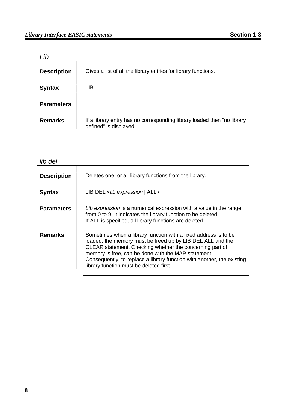| ib                 |                                                                                                  |
|--------------------|--------------------------------------------------------------------------------------------------|
| <b>Description</b> | Gives a list of all the library entries for library functions.                                   |
| <b>Syntax</b>      | <b>LIB</b>                                                                                       |
| <b>Parameters</b>  |                                                                                                  |
| <b>Remarks</b>     | If a library entry has no corresponding library loaded then "no library<br>defined" is displayed |

| <b>Description</b> | Deletes one, or all library functions from the library.                                                                                                                                                                                                                                                                                                               |
|--------------------|-----------------------------------------------------------------------------------------------------------------------------------------------------------------------------------------------------------------------------------------------------------------------------------------------------------------------------------------------------------------------|
| <b>Syntax</b>      | LIB DEL <lib all="" expression=""  =""></lib>                                                                                                                                                                                                                                                                                                                         |
| <b>Parameters</b>  | Lib expression is a numerical expression with a value in the range<br>from 0 to 9. It indicates the library function to be deleted.<br>If ALL is specified, all library functions are deleted.                                                                                                                                                                        |
| <b>Remarks</b>     | Sometimes when a library function with a fixed address is to be<br>loaded, the memory must be freed up by LIB DEL ALL and the<br>CLEAR statement. Checking whether the concerning part of<br>memory is free, can be done with the MAP statement.<br>Consequently, to replace a library function with another, the existing<br>library function must be deleted first. |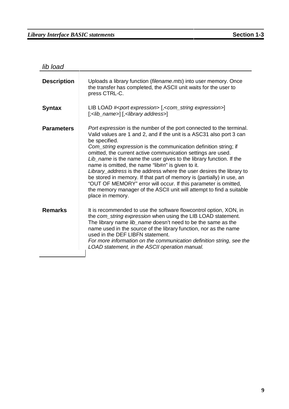lib load

| <b>Description</b> | Uploads a library function (filename.mts) into user memory. Once<br>the transfer has completed, the ASCII unit waits for the user to<br>press CTRL-C.                                                                                                                                                                                                                                                                                                                                                                                                                                                                                                                                                                                             |
|--------------------|---------------------------------------------------------------------------------------------------------------------------------------------------------------------------------------------------------------------------------------------------------------------------------------------------------------------------------------------------------------------------------------------------------------------------------------------------------------------------------------------------------------------------------------------------------------------------------------------------------------------------------------------------------------------------------------------------------------------------------------------------|
| <b>Syntax</b>      | LIB LOAD # <port expression=""> [,<com_string expression="">]<br/>[;<lib_name>] [,<library address="">]</library></lib_name></com_string></port>                                                                                                                                                                                                                                                                                                                                                                                                                                                                                                                                                                                                  |
| <b>Parameters</b>  | Port expression is the number of the port connected to the terminal.<br>Valid values are 1 and 2, and if the unit is a ASC31 also port 3 can<br>be specified.<br>Com_string expression is the communication definition string; if<br>omitted, the current active communication settings are used.<br>Lib_name is the name the user gives to the library function. If the<br>name is omitted, the name "lib# $n$ " is given to it.<br>Library_address is the address where the user desires the library to<br>be stored in memory. If that part of memory is (partially) in use, an<br>"OUT OF MEMORY" error will occur. If this parameter is omitted,<br>the memory manager of the ASCII unit will attempt to find a suitable<br>place in memory. |
| <b>Remarks</b>     | It is recommended to use the software flowcontrol option, XON, in<br>the com_string expression when using the LIB LOAD statement.<br>The library name lib_name doesn't need to be the same as the<br>name used in the source of the library function, nor as the name<br>used in the DEF LIBFN statement.<br>For more information on the communication definition string, see the<br>LOAD statement, in the ASCII operation manual.                                                                                                                                                                                                                                                                                                               |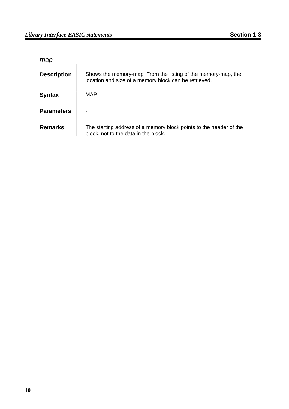## *Library Interface BASIC statements* **Section 1-3**

|  | ×<br>I | ÷ |  |
|--|--------|---|--|

| map                |                                                                                                                        |
|--------------------|------------------------------------------------------------------------------------------------------------------------|
| <b>Description</b> | Shows the memory-map. From the listing of the memory-map, the<br>location and size of a memory block can be retrieved. |
| <b>Syntax</b>      | MAP                                                                                                                    |
| <b>Parameters</b>  |                                                                                                                        |
| <b>Remarks</b>     | The starting address of a memory block points to the header of the<br>block, not to the data in the block.             |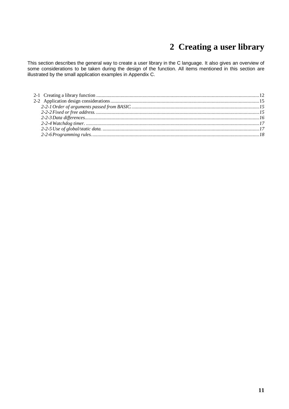# **2 Creating a user library**

This section describes the general way to create a user library in the C language. It also gives an overview of some considerations to be taken during the design of the function. All items mentioned in this section are illustrated by the small application examples in Appendix C.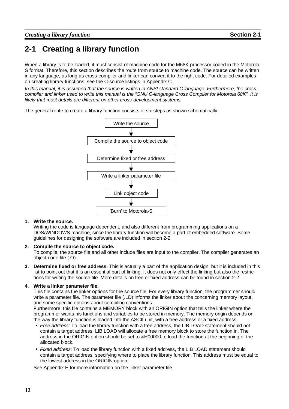# **2-1 Creating a library function**

When a library is to be loaded, it must consist of machine code for the M68K processor coded in the Motorola-S format. Therefore, this section describes the route from source to machine code. The source can be written in any language, as long as cross-compiler and linker can convert it to the right code. For detailed examples on creating library functions, see the C-source listings in Appendix C.

In this manual, it is assumed that the source is written in ANSI standard C language. Furthermore, the crosscompiler and linker used to write this manual is the "GNU C-language Cross Compiler for Motorola 68K". It is likely that most details are different on other cross-development systems.

The general route to create a library function consists of six steps as shown schematically:



#### **1. Write the source.**

Writing the code is language dependent, and also different from programming applications on a DOS/WINDOWS machine, since the library function will become a part of embedded software. Some guidelines for designing the software are included in section 2-2.

#### **2. Compile the source to object code.**

To compile, the source file and all other include files are input to the compiler. The compiler generates an object code file (.O).

**3. Determine fixed or free address.** This is actually a part of the application design, but it is included in this list to point out that it is an essential part of linking. It does not only effect the linking but also the restrictions for writing the source file. More details on free or fixed address can be found in section 2-2.

#### **4. Write a linker parameter file.**

This file contains the linker options for the source file. For every library function, the programmer should write a parameter file. The parameter file (.LD) informs the linker about the concerning memory layout, and some specific options about compiling conventions.

Furthermore, this file contains a MEMORY block with an ORIGIN option that tells the linker where the programmer wants his functions and variables to be stored in memory. The memory origin depends on the way the library function is loaded into the ASCII unit, with a free address or a fixed address:

- **Free address: To load the library function with a free address, the LIB LOAD statement should not** contain a target address; LIB LOAD will allocate a free memory block to store the function in. The address in the ORIGIN option should be set to &H00000 to load the function at the beginning of the allocated block.
- **Fixed address: To load the library function with a fixed address, the LIB LOAD statement should** contain a target address, specifying where to place the library function. This address must be equal to the lowest address in the ORIGIN option.

See Appendix E for more information on the linker parameter file.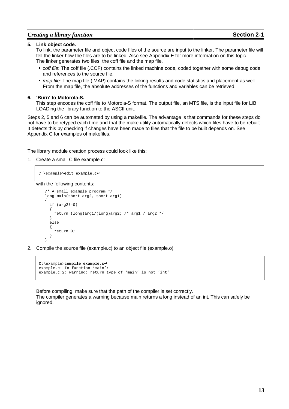#### *Creating a library function* **Section 2-1**

#### **5. Link object code.**

To link, the parameter file and object code files of the source are input to the linker. The parameter file will tell the linker how the files are to be linked. Also see Appendix E for more information on this topic. The linker generates two files, the coff file and the map file.

- off file: The coff file (.COF) contains the linked machine code, coded together with some debug code and references to the source file.
- map file: The map file (.MAP) contains the linking results and code statistics and placement as well. From the map file, the absolute addresses of the functions and variables can be retrieved.

#### **6. 'Burn' to Motorola-S.**

This step encodes the coff file to Motorola-S format. The output file, an MTS file, is the input file for LIB LOADing the library function to the ASCII unit.

Steps 2, 5 and 6 can be automated by using a makefile. The advantage is that commands for these steps do not have to be retyped each time and that the make utility automatically detects which files have to be rebuilt. It detects this by checking if changes have been made to files that the file to be built depends on. See Appendix C for examples of makefiles.

The library module creation process could look like this:

1. Create a small C file example.c:

C:\example>**edit example.c**↵

with the following contents:

```
/* A small example program */
long main(short arg2, short arg1)
{
  if (\text{arg2!}=0){
    return (long)arg1/(long)arg2; /* arg1 / arg2 */
  }
  else
  {
    return 0;
  }
}
```
2. Compile the source file (example.c) to an object file (example.o)

```
C:\example>compile example.c↵
example.c: In function 'main':
example.c:2: warning: return type of 'main' is not 'int'
```
Before compiling, make sure that the path of the compiler is set correctly. The compiler generates a warning because main returns a long instead of an int. This can safely be ignored.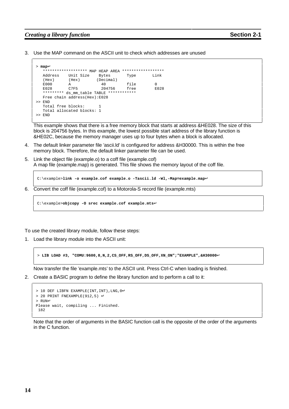#### *Creating a library function* **Section 2-1**

3. Use the MAP command on the ASCII unit to check which addresses are unused

```
> map↵
   ******************* MAP HEAP AREA *******************<br>Address    Unit Size     Bytes        Type       Link
  Address Unit Size Bytes Type Link
  (Hex) (Hex) (Decimal)<br>E000 A 40
   E000 A 40 file 0
   E028 C7F5 204756 free E028
   ********* ds_mm_table TABLE ************
  Free chain address(Hex):E028
>> END
   Total free blocks:
  Total allocated blocks: 1
>> END
```
This example shows that there is a free memory block that starts at address &HE028. The size of this block is 204756 bytes. In this example, the lowest possible start address of the library function is &HE02C, because the memory manager uses up to four bytes when a block is allocated.

- 4. The default linker parameter file 'ascii.ld' is configured for address &H30000. This is within the free memory block. Therefore, the default linker parameter file can be used.
- 5. Link the object file (example.o) to a coff file (example.cof) A map file (example.map) is generated. This file shows the memory layout of the coff file.

C:\example>**link -o example.cof example.o -Tascii.ld -Wl,-Map=example.map**↵

6. Convert the coff file (example.cof) to a Motorola-S record file (example.mts)

```
C:\example>objcopy -O srec example.cof example.mts↵
```
To use the created library module, follow these steps:

1. Load the library module into the ASCII unit:

> **LIB LOAD #3, "COMU:9600,8,N,2,CS\_OFF,RS\_OFF,DS\_OFF,XN\_ON";"EXAMPLE",&H30000**↵

Now transfer the file 'example.mts' to the ASCII unit. Press Ctrl-C when loading is finished.

2. Create a BASIC program to define the library function and to perform a call to it:

```
> 10 DEF LIBFN EXAMPLE(INT, INT), LNG, 0↓
> 20 PRINT FNEXAMPLE(912,5) ↵
> RUN↵
Please wait, compiling ... Finished.
182
```
Note that the order of arguments in the BASIC function call is the opposite of the order of the arguments in the C function.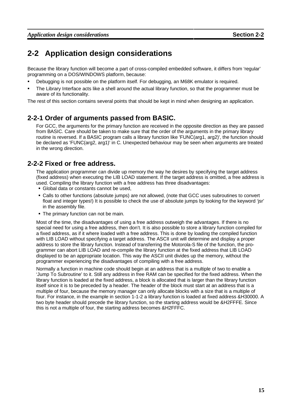# **2-2 Application design considerations**

Because the library function will become a part of cross-compiled embedded software, it differs from 'regular' programming on a DOS/WINDOWS platform, because:

- ; Debugging is not possible on the platform itself. For debugging, an M68K emulator is required.
- $\sim$   $\sim$ The Library Interface acts like a shell around the actual library function, so that the programmer must be aware of its functionality.

The rest of this section contains several points that should be kept in mind when designing an application.

## **2-2-1 Order of arguments passed from BASIC.**

For GCC, the arguments for the primary function are received in the opposite direction as they are passed from BASIC. Care should be taken to make sure that the order of the arguments in the primary library routine is reversed. If a BASIC program calls a library function like 'FUNC(arg1, arg2)', the function should be declared as 'FUNC(arg2, arg1)' in C. Unexpected behaviour may be seen when arguments are treated in the wrong direction.

### **2-2-2 Fixed or free address.**

The application programmer can divide up memory the way he desires by specifying the target address (fixed address) when executing the LIB LOAD statement. If the target address is omitted, a free address is used. Compiling the library function with a free address has three disadvantages:

- **Global data or constants cannot be used,**
- <sup>&</sup>gt; Calls to other functions (absolute jumps) are not allowed, (note that GCC uses subroutines to convert float and integer types!) It is possible to check the use of absolute jumps by looking for the keyword 'jsr' in the assembly file.
- **The primary function can not be main.**

Most of the time, the disadvantages of using a free address outweigh the advantages. If there is no special need for using a free address, then don't. It is also possible to store a library function compiled for a fixed address, as if it where loaded with a free address. This is done by loading the compiled function with LIB LOAD without specifying a target address. The ASCII unit will determine and display a proper address to store the library function. Instead of transferring the Motorola-S file of the function, the programmer can abort LIB LOAD and re-compile the library function at the fixed address that LIB LOAD displayed to be an appropriate location. This way the ASCII unit divides up the memory, without the programmer experiencing the disadvantages of compiling with a free address.

Normally a function in machine code should begin at an address that is a multiple of two to enable a 'Jump To Subroutine' to it. Still any address in free RAM can be specified for the fixed address. When the library function is loaded at the fixed address, a block is allocated that is larger than the library function itself since it is to be preceded by a header. The header of the block must start at an address that is a multiple of four, because the memory manager can only allocate blocks with a size that is a multiple of four. For instance, in the example in section 1-1-2 a library function is loaded at fixed address &H30000. A two byte header should precede the library function, so the starting address would be &H2FFFE. Since this is not a multiple of four, the starting address becomes &H2FFFC.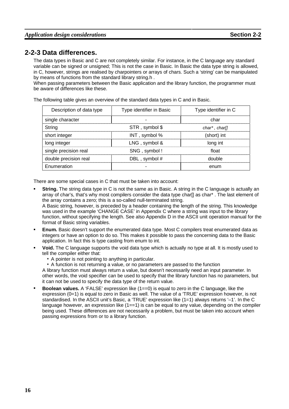## **2-2-3 Data differences.**

The data types in Basic and C are not completely similar. For instance, in the C language any standard variable can be signed or unsigned; This is not the case in Basic. In Basic the data type string is allowed, in C, however, strings are realised by charpointers or arrays of chars. Such a 'string' can be manipulated by means of functions from the standard library string.h .

When passing parameters between the Basic application and the library function, the programmer must be aware of differences like these.

The following table gives an overview of the standard data types in C and in Basic.

| Description of data type | Type identifier in Basic | Type identifier in C |
|--------------------------|--------------------------|----------------------|
| single character         |                          | char                 |
| String                   | STR, symbol \$           | $char^*$ , $char[]$  |
| short integer            | INT, symbol %            | (short) int          |
| long integer             | LNG, symbol &            | long int             |
| single precision real    | SNG, symbol!             | float                |
| double precision real    | DBL, symbol #            | Anuhle               |
| Enumeration              |                          | enum                 |

There are some special cases in C that must be taken into account:

- @ **String.** The string data type in C is not the same as in Basic. A string in the C language is actually an array of char's, that's why most compilers consider the data type char[] as char\*. The last element of the array contains a zero; this is a so-called null-terminated string. A Basic string, however, is preceded by a header containing the length of the string. This knowledge was used in the example 'CHANGE CASE' in Appendix C where a string was input to the library function, without specifying the length. See also Appendix D in the ASCII unit operation manual for the
- format of Basic string variables. **All Services Enum.** Basic doesn't support the enumerated data type. Most C compilers treat enumerated data as integers or have an option to do so. This makes it possible to pass the concerning data to the Basic
- application. In fact this is type casting from enum to int. <u>Barbara and the second second and the second second second and second second second second second second second second second second second second second second second second second second second second second second seco</u> **Void.** The C language supports the void data type which is actually no type at all. It is mostly used to
	- tell the compiler either that:
		- A pointer is not pointing to anything in particular.
		- A function is not returning a value, or no parameters are passed to the function

A library function must always return a value, but doesn't necessarily need an input parameter. In other words, the void specifier can be used to specify that the library function has no parameters, but it can not be used to specify the data type of the return value.

**Experience Boolean values.** A 'FALSE' expression like (1==0) is equal to zero in the C language, like the expression (0=1) is equal to zero in Basic as well. The value of a 'TRUE' expression however, is not standardised. In the ASCII unit's Basic, a 'TRUE' expression like (1=1) always returns '–1'. In the C language however, an expression like  $(1 == 1)$  is can be equal to any value, depending on the compiler being used. These differences are not necessarily a problem, but must be taken into account when passing expressions from or to a library function.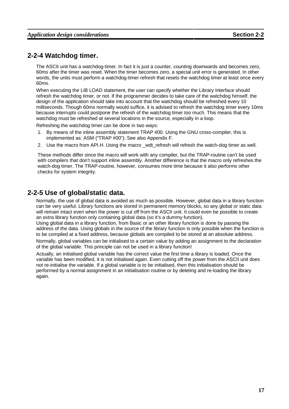## **2-2-4 Watchdog timer.**

The ASCII unit has a watchdog-timer. In fact it is just a counter, counting downwards and becomes zero, 60ms after the timer was reset. When the timer becomes zero, a special unit error is generated. In other words, the units must perform a watchdog-timer refresh that resets the watchdog timer at least once every 60ms.

When executing the LIB LOAD statement, the user can specify whether the Library Interface should refresh the watchdog timer, or not. If the programmer decides to take care of the watchdog himself, the design of the application should take into account that the watchdog should be refreshed every 10 milliseconds. Though 60ms normally would suffice, it is advised to refresh the watchdog timer every 10ms because interrupts could postpone the refresh of the watchdog timer too much. This means that the watchdog must be refreshed at several locations in the source, especially in a loop.

Refreshing the watchdog timer can be done in two ways:

- 1. By means of the inline assembly statement TRAP #00. Using the GNU cross-compiler, this is implemented as: ASM ("TRAP #00"); See also Appendix F.
- 2. Use the macro from API.H. Using the macro wdt refresh will refresh the watch-dog timer as well.

These methods differ since the macro will work with any compiler, but the TRAP-routine can't be used with compilers that don't support inline assembly. Another difference is that the macro only refreshes the watch-dog timer. The TRAP-routine, however, consumes more time because it also performs other checks for system integrity.

### **2-2-5 Use of global/static data.**

Normally, the use of global data is avoided as much as possible. However, global data in a library function can be very useful. Library functions are stored in permanent memory blocks, so any global or static data will remain intact even when the power is cut off from the ASCII unit. It could even be possible to create an extra library function only containing global data (so it's a dummy function).

Using global data in a library function, from Basic or an other library function is done by passing the address of the data. Using globals in the source of the library function is only possible when the function is to be compiled at a fixed address, because globals are compiled to be stored at an absolute address.

Normally, global variables can be initialised to a certain value by adding an assignment to the declaration of the global variable. This principle can not be used in a library function!

Actually, an initialised global variable has the correct value the first time a library is loaded. Once the variable has been modified, it is not initialised again. Even cutting off the power from the ASCII unit does not re-initialise the variable. If a global variable is to be initialised, then this initialisation should be performed by a normal assignment in an initialisation routine or by deleting and re-loading the library again.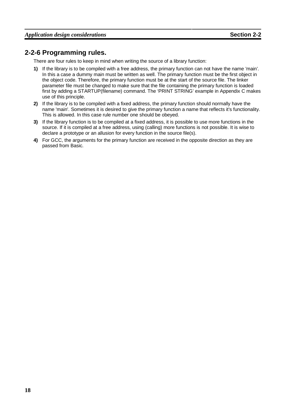### **2-2-6 Programming rules.**

There are four rules to keep in mind when writing the source of a library function:

- **1)** If the library is to be compiled with a free address, the primary function can not have the name 'main'. In this a case a dummy main must be written as well. The primary function must be the first object in the object code. Therefore, the primary function must be at the start of the source file. The linker parameter file must be changed to make sure that the file containing the primary function is loaded first by adding a STARTUP(filename) command. The 'PRINT STRING' example in Appendix C makes use of this principle.
- **2)** If the library is to be compiled with a fixed address, the primary function should normally have the name 'main'. Sometimes it is desired to give the primary function a name that reflects it's functionality. This is allowed. In this case rule number one should be obeyed.
- **3)** If the library function is to be compiled at a fixed address, it is possible to use more functions in the source. If it is compiled at a free address, using (calling) more functions is not possible. It is wise to declare a prototype or an allusion for every function in the source file(s).
- **4)** For GCC, the arguments for the primary function are received in the opposite direction as they are passed from Basic.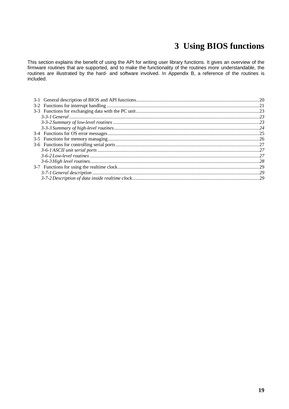# **3 Using BIOS functions**

This section explains the benefit of using the API for writing user library functions. It gives an overview of the firmware routines that are supported, and to make the functionality of the routines more understandable, the routines are illustrated by the hard- and software involved. In Appendix B, a reference of the routines is included.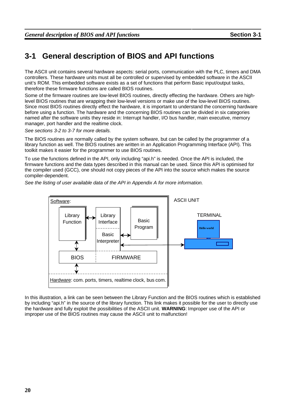# **3-1 General description of BIOS and API functions**

The ASCII unit contains several hardware aspects: serial ports, communication with the PLC, timers and DMA controllers. These hardware units must all be controlled or supervised by embedded software in the ASCII unit's ROM. This embedded software exists as a set of functions that perform Basic input/output tasks, therefore these firmware functions are called BIOS routines.

Some of the firmware routines are low-level BIOS routines, directly effecting the hardware. Others are highlevel BIOS routines that are wrapping their low-level versions or make use of the low-level BIOS routines. Since most BIOS routines directly effect the hardware, it is important to understand the concerning hardware before using a function. The hardware and the concerning BIOS routines can be divided in six categories named after the software units they reside in: Interrupt handler, I/O bus handler, main executive, memory manager, port handler and the realtime clock.

See sections 3-2 to 3-7 for more details.

The BIOS routines are normally called by the system software, but can be called by the programmer of a library function as well. The BIOS routines are written in an Application Programming Interface (API). This toolkit makes it easier for the programmer to use BIOS routines.

To use the functions defined in the API, only including "api.h" is needed. Once the API is included, the firmware functions and the data types described in this manual can be used. Since this API is optimised for the compiler used (GCC), one should not copy pieces of the API into the source which makes the source compiler-dependent.



See the listing of user available data of the API in Appendix A for more information.

In this illustration, a link can be seen between the Library Function and the BIOS routines which is established by including "api.h" in the source of the library function. This link makes it possible for the user to directly use the hardware and fully exploit the possibilities of the ASCII unit. **WARNING**: Improper use of the API or improper use of the BIOS routines may cause the ASCII unit to malfunction!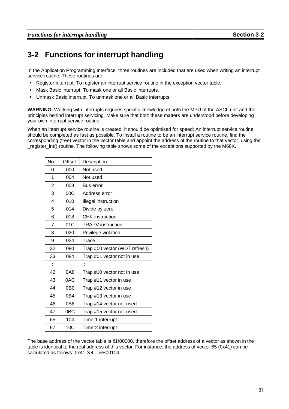# **3-2 Functions for interrupt handling**

In the Application Programming Interface, three routines are included that are used when writing an interrupt service routine. These routines are:

- **Register interrupt. To register an interrupt service routine in the exception vector table.**
- <sup>G</sup> Mask Basic interrupt. To mask one or all Basic interrupts.
- <sup>H</sup> Unmask Basic interrupt. To unmask one or all Basic interrupts.

**WARNING:** Working with interrupts requires specific knowledge of both the MPU of the ASCII unit and the principles behind interrupt servicing. Make sure that both these matters are understood before developing your own interrupt service routine.

When an interrupt service routine is created, it should be optimised for speed; An interrupt service routine should be completed as fast as possible. To install a routine to be an interrupt service routine, find the corresponding (free) vector in the vector table and appoint the address of the routine to that vector, using the \_register\_int() routine. The following table shows some of the exceptions supported by the M68K.

| No.            | Offset          | Description                   |
|----------------|-----------------|-------------------------------|
| 0              | 000             | Not used                      |
| 1              | 004             | Not used                      |
| 2              | 008             | Bus error                     |
| 3              | 00C             | Address error                 |
| 4              | 010             | Illegal instruction           |
| 5              | 014             | Divide by zero                |
| 6              | 018             | <b>CHK</b> instruction        |
| $\overline{7}$ | 01C             | <b>TRAPV</b> instruction      |
| 8              | 020             | Privilege violation           |
| 9              | 024             | Trace                         |
| 32             | 080             | Trap #00 vector (WDT refresh) |
| 33             | 084             | Trap #01 vector not in use    |
|                |                 |                               |
| 42             | 0A8             | Trap #10 vector not in use    |
| 43             | 0AC             | Trap #11 vector in use        |
| 44             | 0B <sub>0</sub> | Trap #12 vector in use        |
| 45             | 0B4             | Trap #13 vector in use        |
| 46             | 0B <sub>8</sub> | Trap #14 vector not used      |
| 47             | 0 <sub>BC</sub> | Trap #15 vector not used      |
| 65             | 104             | Timer1 interrupt              |
| 67             | 10C             | Timer2 interrupt              |

The base address of the vector table is &H00000, therefore the offset address of a vector as shown in the table is identical to the real address of this vector. For instance, the address of vector 65 (0x41) can be calculated as follows:  $0x41 \times 4 = 8H00104$ .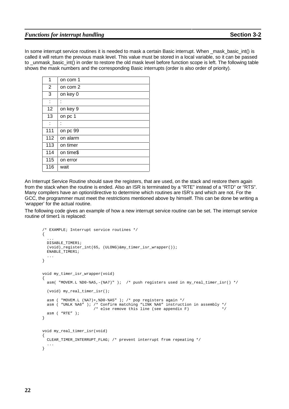#### *Functions for interrupt handling* **Section** 3-2

In some interrupt service routines it is needed to mask a certain Basic interrupt. When mask basic int() is called it will return the previous mask level. This value must be stored in a local variable, so it can be passed to unmask basic int() in order to restore the old mask level before function scope is left. The following table shows the mask numbers and the corresponding Basic interrupts (order is also order of priority).

| 1              | on com 1  |
|----------------|-----------|
| $\overline{2}$ | on com 2  |
| 3              | on key 0  |
| t              | İ         |
| 12             | on key 9  |
| 13             | on pc 1   |
| t              | İ         |
| 111            | on pc 99  |
| 112            | on alarm  |
| 113            | on timer  |
| 114            | on time\$ |
| 115            | on error  |
| 116            | wait      |

An Interrupt Service Routine should save the registers, that are used, on the stack and restore them again from the stack when the routine is ended. Also an ISR is terminated by a "RTE" instead of a "RTD" or "RTS". Many compilers have an option/directive to determine which routines are ISR's and which are not. For the GCC, the programmer must meet the restrictions mentioned above by himself. This can be done be writing a 'wrapper' for the actual routine.

The following code gives an example of how a new interrupt service routine can be set. The interrupt service routine of timer1 is replaced:

```
/* EXAMPLE; Interrupt service routines */
{
  ...
 DISABLE_TIMER1;
  (void)_register_int(65, (ULONG)&my_timer_isr_wrapper());
 ENABLE TIMER1;
  ...
}
void my_timer_isr_wrapper(void)
{
 asm( "MOVEM.L %D0-%A5,-(%A7)" ); /* push registers used in my_real_timer_isr() */
  (void) my_real_timer_isr();
 asm ( "MOVEM.L (%A7)+,%D0-%A5" ); /* pop registers again */
 asm ( "UNLK %A6" ); /* Confirm matching "LINK %A6" instruction in assembly */
                      /* else remove this line (see appendix F)
 asm ( "RTE" );
}
void my_real_timer_isr(void)
{
 CLEAR_TIMER_INTERRUPT_FLAG; /* prevent interrupt from repeating */
  ...
}
```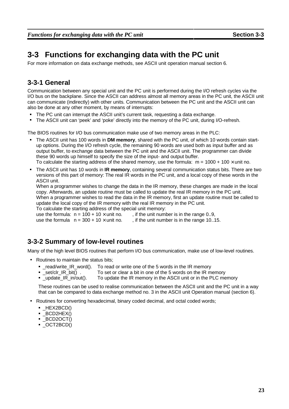# **3-3 Functions for exchanging data with the PC unit**

For more information on data exchange methods, see ASCII unit operation manual section 6.

## **3-3-1 General**

Communication between any special unit and the PC unit is performed during the I/O refresh cycles via the I/O bus on the backplane. Since the ASCII can address almost all memory areas in the PC unit, the ASCII unit can communicate (indirectly) with other units. Communication between the PC unit and the ASCII unit can also be done at any other moment, by means of interrupts:

- The PC unit can interrupt the ASCII unit's current task, requesting a data exchange.
- The ASCII unit can 'peek' and 'poke' directly into the memory of the PC unit, during I/O-refresh.

The BIOS routines for I/O bus communication make use of two memory areas in the PLC:

- The ASCII unit has 100 words in **DM memory**, shared with the PC unit, of which 10 words contain startup options. During the I/O refresh cycle, the remaining 90 words are used both as input buffer and as output buffer, to exchange data between the PC unit and the ASCII unit. The programmer can divide these 90 words up himself to specify the size of the input- and output buffer. To calculate the starting address of the shared memory, use the formula:  $m = 1000 + 100 \times$  unit no.
- The ASCII unit has 10 words in **IR memory**, containing several communication status bits. There are two versions of this part of memory: The real IR words in the PC unit, and a local copy of these words in the

ASCII unit.

When a programmer wishes to change the data in the IR memory, these changes are made in the local copy. Afterwards, an update routine must be called to update the real IR memory in the PC unit. When a programmer wishes to read the data in the IR memory, first an update routine must be called to update the local copy of the IR memory with the real IR memory in the PC unit.

To calculate the starting address of the special unit memory:

use the formula:  $n = 100 + 10 \times$  unit no. , if the unit number is in the range 0..9, use the formula  $n = 300 + 10 \times$  unit no. if the unit number is in the range 10..1

. if the unit number is in the range 10..15.

## **3-3-2 Summary of low-level routines**

Many of the high level BIOS routines that perform I/O bus communication, make use of low-level routines.

- Routines to maintain the status bits;
	- " \_read/write\_IR\_word(). To read or write one of the 5 words in the IR memory
	- $-$ set/clr\_IR\_bit(). To set or clear a bit in one of the 5 words on the IR memory
	- update  $IR$  in/out(). To update the IR memory in the ASCII unit or in the PLC memory

These routines can be used to realise communication between the ASCII unit and the PC unit in a way that can be compared to data exchange method no. 3 in the ASCII unit Operation manual (section 6).

- Routines for converting hexadecimal, binary coded decimal, and octal coded words;
	- $\blacksquare$ HEX2BCD()
	- <sup>Q</sup> \_BCD2HEX()
	- $\blacksquare$ BCD2OCT()
	- <sup>S</sup> \_OCT2BCD()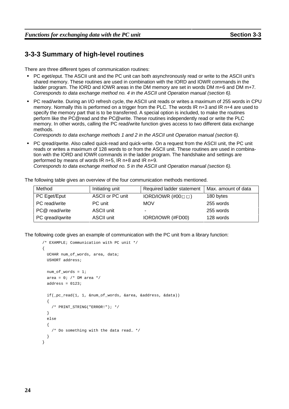## **3-3-3 Summary of high-level routines**

There are three different types of communication routines:

- PC eget/eput. The ASCII unit and the PC unit can both asynchronously read or write to the ASCII unit's shared memory. These routines are used in combination with the IORD and IOWR commands in the ladder program. The IORD and IOWR areas in the DM memory are set in words DM m+6 and DM m+7. Corresponds to data exchange method no. 4 in the ASCII unit Operation manual (section 6).
- PC read/write. During an I/O refresh cycle, the ASCII unit reads or writes a maximum of 255 words in CPU memory. Normally this is performed on a trigger from the PLC. The words IR n+3 and IR n+4 are used to specify the memory part that is to be transferred. A special option is included, to make the routines perform like the PC@read and the PC@write. These routines independently read or write the PLC memory. In other words, calling the PC read/write function gives access to two different data exchange methods.

Corresponds to data exchange methods 1 and 2 in the ASCII unit Operation manual (section 6).

PC qread/qwrite. Also called quick-read and quick-write. On a request from the ASCII unit, the PC unit reads or writes a maximum of 128 words to or from the ASCII unit. These routines are used in combination with the IORD and IOWR commands in the ladder program. The handshake and settings are performed by means of words IR n+5, IR n+8 and IR n+9.

Corresponds to data exchange method no. 5 in the ASCII unit Operation manual (section 6).

|  |  | The following table gives an overview of the four communication methods mentioned. |
|--|--|------------------------------------------------------------------------------------|
|--|--|------------------------------------------------------------------------------------|

| Method          | Initiating unit  | Required ladder statement          | Max. amount of data |
|-----------------|------------------|------------------------------------|---------------------|
| PC Eget/Eput    | ASCII or PC unit | IORD/IOWR $(\#00 \square \square)$ | 180 bytes           |
| PC read/write   | PC unit          | <b>MOV</b>                         | 255 words           |
| PC@ read/write  | ASCII unit       |                                    | 255 words           |
| PC gread/gwrite | ASCII unit       | IORD/IOWR (#FD00)                  | 128 words           |

The following code gives an example of communication with the PC unit from a library function:

```
/* EXAMPLE; Communication with PC unit */
{
 UCHAR num_of_words, area, data;
 USHORT address;
 num_of_words = 1;
 area = 0; /* DM area */
 address = 0123;
 if(_pc_read(1, 1, &num_of_words, &area, &address, &data))
 {
    /* PRINT_STRING("ERROR!"); */
 }
 else
 {
    /* Do something with the data read… */
  }
}
```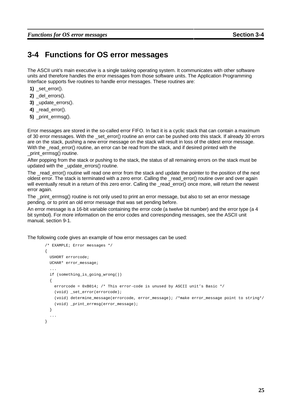# **3-4 Functions for OS error messages**

The ASCII unit's main executive is a single tasking operating system. It communicates with other software units and therefore handles the error messages from those software units. The Application Programming Interface supports five routines to handle error messages. These routines are:

- **1)** set error().
- 2) del errors().
- **3)** \_update\_errors().
- 4) read error().
- **5)** print errmsg().

Error messages are stored in the so-called error FIFO. In fact it is a cyclic stack that can contain a maximum of 30 error messages. With the \_set\_error() routine an error can be pushed onto this stack. If already 30 errors are on the stack, pushing a new error message on the stack will result in loss of the oldest error message. With the read error() routine, an error can be read from the stack, and if desired printed with the print\_errmsg() routine.

After popping from the stack or pushing to the stack, the status of all remaining errors on the stack must be updated with the \_update\_errors() routine.

The read error() routine will read one error from the stack and update the pointer to the position of the next oldest error. The stack is terminated with a zero error. Calling the \_read\_error() routine over and over again will eventually result in a return of this zero error. Calling the read error() once more, will return the newest error again.

The print errmsg() routine is not only used to print an error message, but also to set an error message pending, or to print an old error message that was set pending before.

An error message is a 16-bit variable containing the error code (a twelve bit number) and the error type (a 4 bit symbol). For more information on the error codes and corresponding messages, see the ASCII unit manual, section 9-1.

The following code gives an example of how error messages can be used:

```
/* EXAMPLE; Error messages */
{
 USHORT errorcode;
 UCHAR* error_message;
 ...
 if (something_is_going_wrong())
 {
   errorcode = 0xB014; /* This error-code is unused by ASCII unit's Basic */
   (void) _set_error(errorcode);
   (void) determine_message(errorcode, error_message); /*make error_message point to string*/
   (void) _print_errmsg(error_message);
 }
  ...
}
```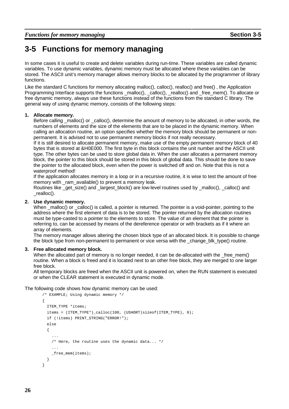# **3-5 Functions for memory managing**

In some cases it is useful to create and delete variables during run-time. These variables are called dynamic variables. To use dynamic variables, dynamic memory must be allocated where these variables can be stored. The ASCII unit's memory manager allows memory blocks to be allocated by the programmer of library functions.

Like the standard C functions for memory allocating malloc(), calloc(), realloc() and free() , the Application Programming Interface supports the functions \_malloc(), \_calloc(), \_realloc() and \_free\_mem(). To allocate or free dynamic memory, always use these functions instead of the functions from the standard C library. The general way of using dynamic memory, consists of the following steps:

#### **1. Allocate memory.**

Before calling malloc() or calloc(), determine the amount of memory to be allocated, in other words, the numbers of elements and the size of the elements that are to be placed in the dynamic memory. When calling an allocation routine, an option specifies whether the memory block should be permanent or nonpermanent. It is advised not to use permanent memory blocks if not really necessary.

If it is still desired to allocate permanent memory, make use of the empty permanent memory block of 40 bytes that is stored at &H0E000. The first byte in this block contains the unit number and the ASCII unit type. The other bytes can be used to store global data in. When the user allocates a permanent memory block, the pointer to this block should be stored in this block of global data. This should be done to save the pointer to the allocated block, even when the power is switched off and on. Note that this is not a waterproof method!

If the application allocates memory in a loop or in a recursive routine, it is wise to test the amount of free memory with ram available() to prevent a memory leak.

Routines like \_get\_size() and \_largest\_block() are low-level routines used by \_malloc(), \_calloc() and \_realloc().

#### **2. Use dynamic memory.**

When  $\overline{m}$  malloc() or calloc() is called, a pointer is returned. The pointer is a void-pointer, pointing to the address where the first element of data is to be stored. The pointer returned by the allocation routines must be type-casted to a pointer to the elements to store. The value of an element that the pointer is referring to, can be accessed by means of the dereference operator or with brackets as if it where an array of elements.

The memory manager allows altering the chosen block type of an allocated block. It is possible to change the block type from non-permanent to permanent or vice versa with the \_change\_blk\_type() routine.

#### **3. Free allocated memory block.**

When the allocated part of memory is no longer needed, it can be de-allocated with the \_free\_mem() routine. When a block is freed and it is located next to an other free block, they are merged to one larger free block.

All temporary blocks are freed when the ASCII unit is powered on, when the RUN statement is executed or when the CLEAR statement is executed in dynamic mode.

The following code shows how dynamic memory can be used:

```
/* EXAMPLE; Using dynamic memory */
{
 ITEM TYPE *items;
 items = (ITEM_TYPE*)_calloc(100, (USHORT)sizeof(ITEM_TYPE), 0);
 if (!items) PRINT STRING("ERROR!");
 else
 {
    ...
    /* Here, the routine uses the dynamic data... */
    ...
    _free_mem(items);
 }
}
```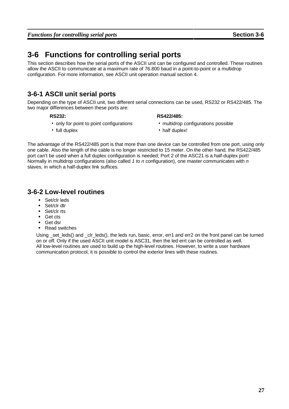# **3-6 Functions for controlling serial ports**

This section describes how the serial ports of the ASCII unit can be configured and controlled. These routines allow the ASCII to communicate at a maximum rate of 76.800 baud in a point-to-point or a multidrop configuration. For more information, see ASCII unit operation manual section 4.

# **3-6-1 ASCII unit serial ports**

Depending on the type of ASCII unit, two different serial connections can be used, RS232 or RS422/485. The two major differences between these ports are:

#### **RS232:**

- **RS422/485:**
- only for point to point configurations
- full duplex
- **multidrop configurations possible**
- half duplex!

The advantage of the RS422/485 port is that more than one device can be controlled from one port, using only one cable. Also the length of the cable is no longer restricted to 15 meter. On the other hand, the RS422/485 port can't be used when a full duplex configuration is needed; Port 2 of the ASC21 is a half-duplex port! Normally in multidrop configurations (also called 1 to n configuration), one master communicates with  $n$ slaves, in which a half-duplex link suffices.

## **3-6-2 Low-level routines**

- Set/clr leds
- Set/clr dtr
- $\blacksquare$ Set/clr rts
- ` Get cts
- Get dsr
- Read switches

Using set leds() and clr leds(), the leds run, basic, error, err1 and err2 on the front panel can be turned on or off. Only if the used ASCII unit model is ASC31, then the led errt can be controlled as well. All low-level routines are used to build up the high-level routines. However, to write a user hardware communication protocol, it is possible to control the exterior lines with these routines.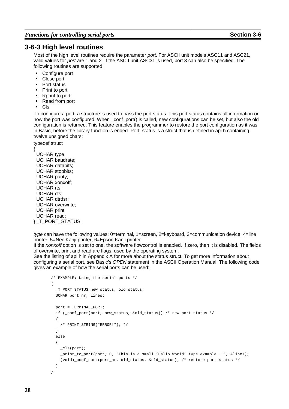#### **3-6-3 High level routines**

Most of the high level routines require the parameter port. For ASCII unit models ASC11 and ASC21, valid values for port are 1 and 2. If the ASCII unit ASC31 is used, port 3 can also be specified. The following routines are supported:

- Configure port
- Close port
- <sup>e</sup> Port status
- Print to port
- <sup>g</sup> Rprint to port
- Read from port
- <sup>i</sup> Cls

To configure a port, a structure is used to pass the port status. This port status contains all information on how the port was configured. When \_conf\_port() is called, new configurations can be set, but also the old configuration is returned. This feature enables the programmer to restore the port configuration as it was in Basic, before the library function is ended. Port status is a struct that is defined in api.h containing twelve unsigned chars:

typedef struct { UCHAR type UCHAR baudrate; UCHAR databits; UCHAR stopbits; UCHAR parity; UCHAR xonxoff; UCHAR rts; UCHAR cts;

UCHAR dtrdsr; UCHAR overwrite; UCHAR print; UCHAR read; } \_T\_PORT\_STATUS;

type can have the following values: 0=terminal, 1=screen, 2=keyboard, 3=communication device, 4=line printer, 5=Nec Kanji printer, 6=Epson Kanji printer.

If the xonxoff option is set to one, the software flowcontrol is enabled. If zero, then it is disabled. The fields of overwrite, print and read are flags, used by the operating system.

See the listing of api.h in Appendix A for more about the status struct. To get more information about configuring a serial port, see Basic's OPEN statement in the ASCII Operation Manual. The following code gives an example of how the serial ports can be used:

```
/* EXAMPLE; Using the serial ports */
{
 _T_PORT_STATUS new_status, old_status;
 UCHAR port nr, lines;
 port = TERMINAI, PORT;
 if (_conf_port(port, new_status, &old_status)) /* new port status */
  {
    /* PRINT_STRING("ERROR!"); */
  }
  else
  {
    _cls(port);
    _print_to_port(port, 0, "This is a small 'Hallo World' type example...", &lines);
    (void)_conf_port(port_nr, old_status, &old_status); /* restore port status */
  }
}
```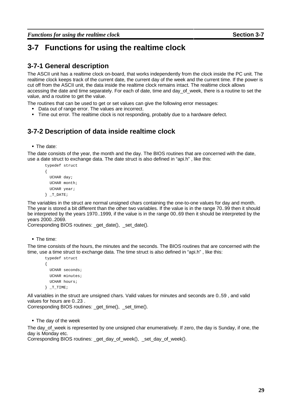# **3-7 Functions for using the realtime clock**

### **3-7-1 General description**

The ASCII unit has a realtime clock on-board, that works independently from the clock inside the PC unit. The realtime clock keeps track of the current date, the current day of the week and the current time. If the power is cut off from the ASCII unit, the data inside the realtime clock remains intact. The realtime clock allows accessing the date and time separately. For each of date, time and day of week, there is a routine to set the value, and a routine to get the value.

The routines that can be used to get or set values can give the following error messages:

- Data out of range error. The values are incorrect.
- Time out error. The realtime clock is not responding, probably due to a hardware defect.

### **3-7-2 Description of data inside realtime clock**

<sup>l</sup> The date:

The date consists of the year, the month and the day. The BIOS routines that are concerned with the date, use a date struct to exchange data. The date struct is also defined in "api.h" , like this:

```
typedef struct
{
 UCHAR day;
 UCHAR month;
 UCHAR year;
} T_DATE;
```
The variables in the struct are normal unsigned chars containing the one-to-one values for day and month. The year is stored a bit different than the other two variables. If the value is in the range 70..99 then it should be interpreted by the years 1970..1999, if the value is in the range 00..69 then it should be interpreted by the years 2000..2069.

Corresponding BIOS routines: \_get\_date(), \_set\_date().

**The time:** 

The time consists of the hours, the minutes and the seconds. The BIOS routines that are concerned with the time, use a time struct to exchange data. The time struct is also defined in "api.h" , like this:

```
typedef struct
{
 UCHAR seconds;
 UCHAR minutes;
 UCHAR hours;
} T TIME;
```
All variables in the struct are unsigned chars. Valid values for minutes and seconds are 0..59 , and valid values for hours are 0..23 .

Corresponding BIOS routines: get time(), set time().

• The day of the week

The day of week is represented by one unsigned char enumeratively. If zero, the day is Sunday, if one, the day is Monday etc.

Corresponding BIOS routines: \_get\_day\_of\_week(), \_set\_day\_of\_week().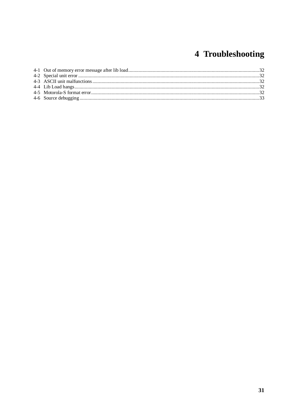## 4 Troubleshooting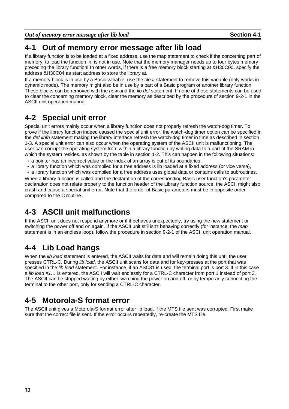*Out of memory error message after lib load* **Section 4-1**

### **4-1 Out of memory error message after lib load**

If a library function is to be loaded at a fixed address, use the map statement to check if the concerning part of memory, to load the function in, is not in use. Note that the memory manager needs up to four bytes memory preceding the library function! In other words, if there is a free memory block starting at &H30C00, specify the address &H30C04 as start address to store the library at.

If a memory block is in use by a Basic variable, use the *clear* statement to remove this variable (only works in dynamic mode). The memory might also be in use by a part of a Basic program or another library function. These blocks can be removed with the new and the lib del statement. If none of these statements can be used to clear the concerning memory block, clear the memory as described by the procedure of section 9-2-1 in the ASCII unit operation manual.

### **4-2 Special unit error**

Special unit errors mainly occur when a library function does not properly refresh the watch-dog timer. To prove if the library function indeed caused the special unit error, the watch-dog timer option can be specified in the *def libfn* statement making the library interface refresh the watch-dog timer in time as described in section 1-3. A special unit error can also occur when the operating system of the ASCII unit is malfunctioning. The user can corrupt the operating system from within a library function by writing data to a part of the SRAM in which the system resides, as shown by the table in section 1-2. This can happen in the following situations:

- a pointer has an incorrect value or the index of an array is out of its boundaries,
- a library function which was compiled for a free address is lib loaded at a fixed address (or vice versa),
- a library function which was compiled for a free address uses global data or contains calls to subroutines.

When a library function is called and the declaration of the corresponding Basic user function's parameter declaration does not relate properly to the function header of the Library function source, the ASCII might also crash and cause a special unit error. Note that the order of Basic parameters must be in opposite order compared to the C routine.

### **4-3 ASCII unit malfunctions**

If the ASCII unit does not respond anymore or if it behaves unexpectedly, try using the new statement or switching the power off and on again. If the ASCII unit still isn't behaving correctly (for instance, the map statement is in an endless loop), follow the procedure in section 9-2-1 of the ASCII unit operation manual.

### **4-4 Lib Load hangs**

When the *lib load* statement is entered, the ASCII waits for data and will remain doing this until the user presses CTRL-C. During lib load, the ASCII unit scans for data and for key-presses at the port that was specified in the lib load statement. For instance, if an ASC31 is used, the terminal port is port 3. If in this case a lib load #1… is entered, the ASCII will wait endlessly for a CTRL-C character from port 1 instead of port 3. The ASCII can be stopped waiting by either switching the power on and off, or by temporarily connecting the terminal to the other port, only for sending a CTRL-C character.

### **4-5 Motorola-S format error**

The ASCII unit gives a Motorola-S format error after lib load, if the MTS file sent was corrupted. First make sure that the correct file is sent. If the error occurs repeatedly, re-create the MTS file.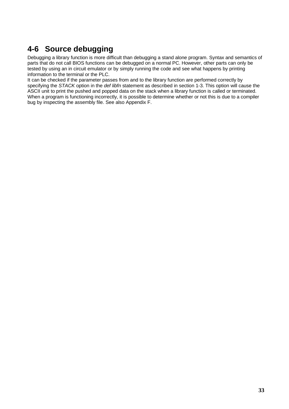### **4-6 Source debugging**

Debugging a library function is more difficult than debugging a stand alone program. Syntax and semantics of parts that do not call BIOS functions can be debugged on a normal PC. However, other parts can only be tested by using an in circuit emulator or by simply running the code and see what happens by printing information to the terminal or the PLC.

It can be checked if the parameter passes from and to the library function are performed correctly by specifying the STACK option in the def libfn statement as described in section 1-3. This option will cause the ASCII unit to print the pushed and popped data on the stack when a library function is called or terminated. When a program is functioning incorrectly, it is possible to determine whether or not this is due to a compiler bug by inspecting the assembly file. See also Appendix F.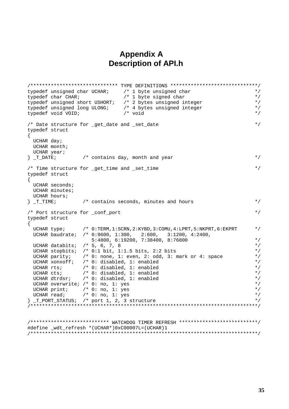#### **Appendix A Description of API.h**

```
/****************************** TYPE DEFINITIONS ******************************/
typedef unsigned char UCHAR; /* 1 byte unsigned char */
typedef char CHAR; \gamma /* 1 byte signed char \gammatypedef unsigned short USHORT; /* 2 bytes unsigned integer */
typedef unsigned long ULONG; <br>typedef void VOID; <br>/* void /* void /* void */
typedef void VOID; \qquad \qquad /* void \qquad \qquad */
/* Date structure for _get_date and _set_date * /
typedef struct
{
 UCHAR day;
 UCHAR month;
 UCHAR year;
} T DATE; /* contains day, month and year */*
/* Time structure for _get_time and _set_time */
typedef struct
{
 UCHAR seconds;
 UCHAR minutes;
 UCHAR hours;
\} T TIME; \qquad /* contains seconds, minutes and hours \qquad */
/* Port structure for _conf_port * /
typedef struct
{
 UCHAR type; /* 0:TERM,1:SCRN,2:KYBD,3:COMU,4:LPRT,5:NKPRT,6:EKPRT */
 UCHAR baudrate; /* 0:9600, 1:300, 2:600, 3:1200, 4:2400,
                    5:4800, 6:19200, 7:38400, 8:76800 */
 UCHAR databits; /* 5, 6, 7, 8 \star/UCHAR stopbits; /* 0:1 bit, 1:1.5 bits, 2:2 bits */
 UCHAR parity; \quad /* 0: none, 1: even, 2: odd, 3: mark or 4: space \quad */
 UCHAR xonxoff; /* 0: disabled, 1: enabled */
 UCHAR rts; / /* 0: disabled, 1: enabled /<br>UCHAR cts; / /* 0: disabled, 1: enabled / /* /*
 UCHAR cts; \begin{array}{ccc} & /* & 0: & \text{disabled,} & 1: & \text{enabled} \ & & & & & \text{UCHAR} & \text{d}r\text{dsr}; \end{array} /* 0: disabled, 1: enabled \begin{array}{ccc} & & & * \end{array}\frac{1}{2} /* 0: disabled, 1: enabled */<br>; /* 0: no, 1: yes */
 UCHAR overwrite; \frac{1}{2} 0: no, 1: yes \frac{x}{4}<br>UCHAR print; \frac{1}{2} (* 0: no, 1: yes
 UCHAR print; /* 0: no, 1: yesUCHAR read; \frac{1}{2} /* 0: no, 1: yes \frac{1}{2} port \frac{1}{2} , 3 structure \frac{1}{2} +/
\} _T_PORT_STATUS; /* port 1, 2, 3 structure
/******************************************************************************/
/*************************** WATCHDOG TIMER REFRESH ***************************/
#define _wdt_refresh *(UCHAR*)0xC00007L=(UCHAR)1
/******************************************************************************/
```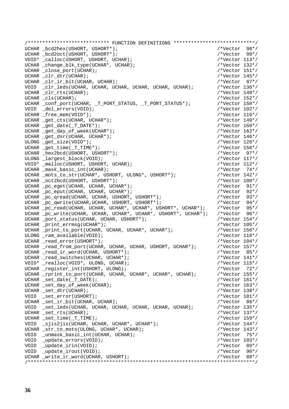|      | /*************************** FUNCTION DEFINITIONS *****************************/ |                  |      |
|------|----------------------------------------------------------------------------------|------------------|------|
|      | UCHAR _bcd2hex(USHORT, USHORT*);                                                 | /*Vector $98*/$  |      |
|      | UCHAR bcd2oct(USHORT, USHORT*);                                                  | $/*Vector 99*/$  |      |
|      | VOID* _calloc(USHORT, USHORT, UCHAR);                                            | /*Vector $113*/$ |      |
|      | UCHAR _change_blk_type(UCHAR*, UCHAR);                                           | /*Vector $132*/$ |      |
|      | UCHAR _close_port(UCHAR);                                                        | /*Vector $151*/$ |      |
|      | UCHAR _clr_dtr(UCHAR);                                                           | /*Vector $145*/$ |      |
|      | UCHAR _clr_ir_bit(UCHAR, UCHAR);                                                 | /*Vector $87*/$  |      |
|      | VOID _clr_leds(UCHAR, UCHAR, UCHAR, UCHAR, UCHAR, UCHAR);                        | /*Vector $136*/$ |      |
|      | UCHAR _clr_rts(UCHAR);                                                           | /*Vector $148*/$ |      |
|      | UCHAR _cls(UCHAR);                                                               | /*Vector $152*/$ |      |
|      | UCHAR _conf_port(UCHAR, _T_PORT_STATUS, _T_PORT_STATUS*);                        | /*Vector $150*/$ |      |
|      | VOID _del_errors(VOID);                                                          | /*Vector $102*/$ |      |
|      | UCHAR _free_mem(VOID*);                                                          | /*Vector $116*/$ |      |
|      | UCHAR _get_cts(UCHAR, UCHAR*);                                                   | /*Vector $149*/$ |      |
|      | UCHAR _get_date(_T_DATE*);                                                       | /*Vector $160*/$ |      |
|      | UCHAR _get_day_of_week(UCHAR*);                                                  | /*Vector $162*/$ |      |
|      | UCHAR _get_dsr(UCHAR, UCHAR*);                                                   | /*Vector $146*/$ |      |
|      | ULONG _get_size(VOID*);                                                          | /*Vector $128*/$ |      |
|      | UCHAR _get_time(_T_TIME*);                                                       | /*Vector $158*/$ |      |
|      | UCHAR _hex2bcd(USHORT, USHORT*);                                                 | $/*Vector 97*/$  |      |
|      | ULONG _largest_block(VOID);                                                      | /*Vector $117*/$ |      |
|      | VOID* malloc(USHORT, USHORT, UCHAR);                                             | /*Vector $112*/$ |      |
|      | UCHAR _mask_basic_int(UCHAR);                                                    | /*Vector $74*/$  |      |
|      | UCHAR _mots_to_str(UCHAR*, USHORT, ULONG*, USHORT*);                             | /*Vector $142*/$ |      |
|      | UCHAR _oct2bcd(USHORT, USHORT*);                                                 | /*Vector $100*/$ |      |
|      | UCHAR _pc_eget(UCHAR, UCHAR, UCHAR*);                                            | /*Vector $91*/$  |      |
|      | UCHAR _pc_eput(UCHAR, UCHAR, UCHAR*);                                            | /*Vector $92*/$  |      |
|      | UCHAR _pc_qread(UCHAR, UCHAR, USHORT, USHORT*);                                  | /*Vector $93*/$  |      |
|      | UCHAR _pc_qwrite(UCHAR, UCHAR, USHORT, USHORT*);                                 | /*Vector $94*/$  |      |
|      | UCHAR $pc\_read(UCHAR, UCHAR, UCHAR*, UCHAR*, USHORT*, UCHAR*);$                 | /*Vector $95*/$  |      |
|      | UCHAR _pc_write(UCHAR, UCHAR, UCHAR*, UCHAR*, USHORT*, UCHAR*);                  | /*Vector $96*/$  |      |
|      | UCHAR _port_status(UCHAR, UCHAR, USHORT*);                                       | /*Vector $154*/$ |      |
|      | UCHAR _print_errmsg(UCHAR*);                                                     | /*Vector $105*/$ |      |
|      | UCHAR _print_to_port(UCHAR, UCHAR, UCHAR*, UCHAR*);                              | /*Vector $156*/$ |      |
|      | ULONG _ram_available(VOID);                                                      | /*Vector $118*/$ |      |
|      | UCHAR _read_error(USHORT*);                                                      | /*Vector $104*/$ |      |
|      | UCHAR _read_from_port(UCHAR, UCHAR, UCHAR, USHORT, UCHAR*);                      | /*Vector $157*/$ |      |
|      | UCHAR _read_ir_word(UCHAR, USHORT*);                                             | /*Vector 85*/    |      |
|      | UCHAR _read_switches(UCHAR, UCHAR*);                                             | /*Vector $141*/$ |      |
|      | VOID* _realloc(VOID*, ULONG, UCHAR);                                             | /*Vector $115*/$ |      |
|      | UCHAR _register_int(USHORT, ULONG);                                              | /*Vector 72*/    |      |
|      | UCHAR _rprint_to_port(UCHAR, UCHAR, UCHAR*, UCHAR*, UCHAR);                      | /*Vector $155*/$ |      |
|      | UCHAR _set_date(_T_DATE);                                                        | /*Vector $161*/$ |      |
|      | UCHAR _set_day_of_week(UCHAR);                                                   | /*Vector $163*/$ |      |
|      | UCHAR _set_dtr(UCHAR);                                                           | /*Vector $138*/$ |      |
|      | VOID _set_error(USHORT);                                                         | /*Vector $101*/$ |      |
|      | UCHAR set ir bit(UCHAR, UCHAR);                                                  | $/*Vector 86*/$  |      |
|      | VOID _set_leds(UCHAR, UCHAR, UCHAR, UCHAR, UCHAR, UCHAR);                        | /*Vector $135*/$ |      |
|      | UCHAR set rts(UCHAR);                                                            | /*Vector $137*/$ |      |
|      | UCHAR _set_time(_T_TIME);                                                        | /*Vector $159*/$ |      |
|      | VOID $\text{is}$ 2jis2jis(UCHAR, UCHAR, UCHAR*, UCHAR*);                         | /*Vector $144*/$ |      |
|      | UCHAR _str_to_mots(ULONG, UCHAR*, UCHAR);                                        | /*Vector $143*/$ |      |
|      | VOID _unmask_basic_int(UCHAR, UCHAR);                                            | /*Vector $75*/$  |      |
|      | VOID _update_errors(VOID);                                                       | /*Vector $103*/$ |      |
| VOID | $\_update\_irin(VOLD)$ ;                                                         | $/*Vector 89*/$  |      |
|      | VOID _update_irout(VOID);                                                        | $/*Vector 90*/$  |      |
|      | UCHAR _write_ir_word(UCHAR, USHORT);                                             | /*Vector         | 88*/ |
|      |                                                                                  |                  |      |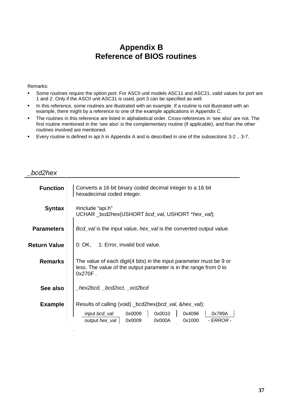### **Appendix B Reference of BIOS routines**

#### Remarks:

\_bcd2hex

- <sup>o</sup> Some routines require the option port. For ASCII unit models ASC11 and ASC21, valid values for port are 1 and 2. Only if the ASCII unit ASC31 is used, port 3 can be specified as well.
- <sup>p</sup> In this reference, some routines are illustrated with an example. If a routine is not illustrated with an example, there might by a reference to one of the example applications in Appendix C.
- <sup>q</sup> The routines in this reference are listed in alphabetical order. Cross-references in 'see also' are not. The first routine mentioned in the 'see also' is the complementary routine (if applicable), and than the other routines involved are mentioned.
- <sup>r</sup> Every routine is defined in api.h in Appendix A and is described in one of the subsections 3-2 .. 3-7.

| <b>Function</b>     | Converts a 16 bit binary coded decimal integer to a 16 bit<br>hexadecimal coded integer.                                                                                         |
|---------------------|----------------------------------------------------------------------------------------------------------------------------------------------------------------------------------|
| <b>Syntax</b>       | #include "api.h"<br>UCHAR _bcd2hex(USHORT bcd_val, USHORT *hex_val);                                                                                                             |
| <b>Parameters</b>   | <i>Bcd_val</i> is the input value, <i>hex_val</i> is the converted output value.                                                                                                 |
| <b>Return Value</b> | 0: OK, 1: Error, invalid bcd value.                                                                                                                                              |
| <b>Remarks</b>      | The value of each digit(4 bits) in the input parameter must be 9 or<br>less. The value of the output parameter is in the range from 0 to<br>$0x270F$ .                           |
| See also            |                                                                                                                                                                                  |
| <b>Example</b>      | Results of calling (void) _bcd2hex(bcd_val, &hex_val);<br>0x0010<br>0x4096<br>0x789A<br>input <i>bcd_val</i><br>0x0009<br>- ERROR -<br>output hex_val 0x0009<br>0x000A<br>0x1000 |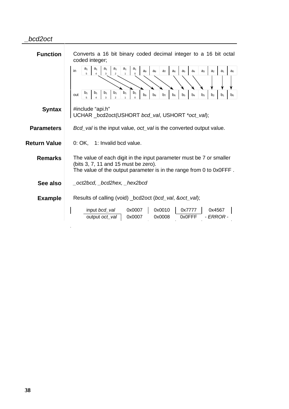#### \_bcd2oct

- 11

| <b>Function</b>     | Converts a 16 bit binary coded decimal integer to a 16 bit octal<br>coded integer;                                                                                                                                                                                    |  |
|---------------------|-----------------------------------------------------------------------------------------------------------------------------------------------------------------------------------------------------------------------------------------------------------------------|--|
|                     | a <sub>1</sub><br>a <sub>1</sub><br>$a_1$<br>a <sub>1</sub><br>a <sub>1</sub><br>a <sub>1</sub><br>in<br>a <sub>3</sub><br>a <sub>1</sub><br>aq<br>a <sub>s</sub><br>a <sub>7</sub><br>a <sub>6</sub><br>a <sub>5</sub><br>$a_4$<br>a <sub>2</sub><br>$a_0$<br>5<br>3 |  |
|                     |                                                                                                                                                                                                                                                                       |  |
|                     | b <sub>1</sub><br>$b_1$<br>b <sub>1</sub><br>$b_1$<br>b <sub>1</sub><br>b <sub>1</sub><br>out<br>b <sub>8</sub><br>b <sub>9</sub><br>b <sub>7</sub><br>b <sub>6</sub><br>b <sub>5</sub><br>$b_4$<br>b <sub>3</sub><br>b <sub>1</sub><br>b <sub>2</sub><br>$b_0$       |  |
| <b>Syntax</b>       | #include "api.h"<br>UCHAR _bcd2oct(USHORT bcd_val, USHORT *oct_val);                                                                                                                                                                                                  |  |
| <b>Parameters</b>   | Bcd_val is the input value, oct_val is the converted output value.                                                                                                                                                                                                    |  |
| <b>Return Value</b> | 0: OK, 1: Invalid bcd value.                                                                                                                                                                                                                                          |  |
| <b>Remarks</b>      | The value of each digit in the input parameter must be 7 or smaller<br>(bits 3, 7, 11 and 15 must be zero).<br>The value of the output parameter is in the range from 0 to 0x0FFF.                                                                                    |  |
| See also            | _oct2bcd, _bcd2hex, _hex2bcd                                                                                                                                                                                                                                          |  |
| <b>Example</b>      | Results of calling (void) _bcd2oct (bcd_val, &oct_val);                                                                                                                                                                                                               |  |
|                     | input bcd_val<br>0x0007<br>0x0010<br>0x7777<br>0x4567<br>- ERROR -<br>0x0007<br>0x0008<br>0x0FFF<br>output <i>oct_val</i>                                                                                                                                             |  |
|                     |                                                                                                                                                                                                                                                                       |  |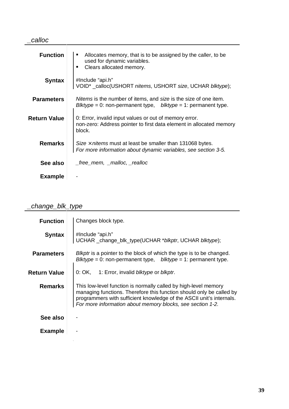| calloc              |                                                                                                                                            |
|---------------------|--------------------------------------------------------------------------------------------------------------------------------------------|
| <b>Function</b>     | Allocates memory, that is to be assigned by the caller, to be<br>used for dynamic variables.<br>Clears allocated memory.<br>$\blacksquare$ |
| <b>Syntax</b>       | #Include "api.h"<br>VOID* _calloc(USHORT nitems, USHORT size, UCHAR blktype);                                                              |
| <b>Parameters</b>   | Nitems is the number of items, and size is the size of one item.<br>Blktype = 0: non-permanent type, $blktype = 1$ : permanent type.       |
| <b>Return Value</b> | 0: Error, invalid input values or out of memory error.<br>non-zero: Address pointer to first data element in allocated memory<br>block.    |
| <b>Remarks</b>      | Size $\times$ nitems must at least be smaller than 131068 bytes.<br>For more information about dynamic variables, see section 3-5.         |
| See also            | $free$ mem, $\_$ malloc, $\_$ realloc                                                                                                      |
| <b>Example</b>      |                                                                                                                                            |

# \_change\_blk\_type<br>
<del>change\_blk\_type</del>

| <b>Function</b>   | Changes block type.                                                                                                                                                                                                                                                           |
|-------------------|-------------------------------------------------------------------------------------------------------------------------------------------------------------------------------------------------------------------------------------------------------------------------------|
| <b>Syntax</b>     | #Include "api.h"<br>UCHAR _change_blk_type(UCHAR *blkptr, UCHAR blktype);                                                                                                                                                                                                     |
| <b>Parameters</b> | Blkptr is a pointer to the block of which the type is to be changed.<br>Blktype = 0: non-permanent type, $blktype = 1$ : permanent type.                                                                                                                                      |
| Return Value      | 0: OK, 1: Error, invalid blktype or blkptr.                                                                                                                                                                                                                                   |
| <b>Remarks</b>    | This low-level function is normally called by high-level memory<br>managing functions. Therefore this function should only be called by<br>programmers with sufficient knowledge of the ASCII unit's internals.<br>For more information about memory blocks, see section 1-2. |
| See also          |                                                                                                                                                                                                                                                                               |
| <b>Example</b>    |                                                                                                                                                                                                                                                                               |
|                   |                                                                                                                                                                                                                                                                               |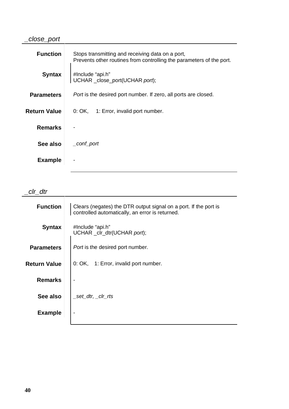### \_close\_port

| <b>Function</b>     | Stops transmitting and receiving data on a port,<br>Prevents other routines from controlling the parameters of the port. |
|---------------------|--------------------------------------------------------------------------------------------------------------------------|
| <b>Syntax</b>       | #Include "api.h"<br>UCHAR _close_port(UCHAR port);                                                                       |
| <b>Parameters</b>   | <i>Port</i> is the desired port number. If zero, all ports are closed.                                                   |
| <b>Return Value</b> | 0: OK, 1: Error, invalid port number.                                                                                    |
| <b>Remarks</b>      |                                                                                                                          |
| See also            | _conf_port                                                                                                               |
| <b>Example</b>      |                                                                                                                          |

 $clr\_dtr$ 

| <b>Function</b>     | Clears (negates) the DTR output signal on a port. If the port is<br>controlled automatically, an error is returned. |
|---------------------|---------------------------------------------------------------------------------------------------------------------|
| <b>Syntax</b>       | #Include "api.h"<br>UCHAR _clr_dtr(UCHAR port);                                                                     |
| <b>Parameters</b>   | <i>Port</i> is the desired port number.                                                                             |
| <b>Return Value</b> | 0: OK, 1: Error, invalid port number.                                                                               |
| <b>Remarks</b>      |                                                                                                                     |
| See also            | set dtr, clr rts                                                                                                    |
| <b>Example</b>      |                                                                                                                     |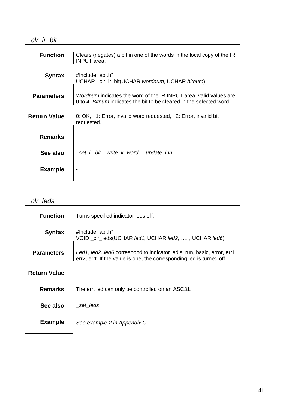| <b>Function</b>     | Clears (negates) a bit in one of the words in the local copy of the IR<br><b>INPUT</b> area.                                                     |
|---------------------|--------------------------------------------------------------------------------------------------------------------------------------------------|
| <b>Syntax</b>       | #Include "api.h"<br>UCHAR _clr_ir_bit(UCHAR wordnum, UCHAR bitnum);                                                                              |
| <b>Parameters</b>   | <i>Wordnum</i> indicates the word of the IR INPUT area, valid values are<br>0 to 4. Bitnum indicates the bit to be cleared in the selected word. |
| <b>Return Value</b> | 0: OK, 1: Error, invalid word requested, 2: Error, invalid bit<br>requested.                                                                     |
| <b>Remarks</b>      |                                                                                                                                                  |
| See also            | _set_ir_bit, _write_ir_word, _update_irin                                                                                                        |
| <b>Example</b>      |                                                                                                                                                  |

### \_clr\_leds

| <b>Function</b>     | Turns specified indicator leds off.                                                                                                               |
|---------------------|---------------------------------------------------------------------------------------------------------------------------------------------------|
| <b>Syntax</b>       | #Include "api.h"<br>VOID _clr_leds(UCHAR led1, UCHAR led2, , , UCHAR led6);                                                                       |
| <b>Parameters</b>   | Led1, led2. led6 correspond to indicator led's: run, basic, error, err1,<br>err2, errt. If the value is one, the corresponding led is turned off. |
| <b>Return Value</b> |                                                                                                                                                   |
| <b>Remarks</b>      | The errt led can only be controlled on an ASC31.                                                                                                  |
| See also            | _set_leds                                                                                                                                         |
| <b>Example</b>      | See example 2 in Appendix C.                                                                                                                      |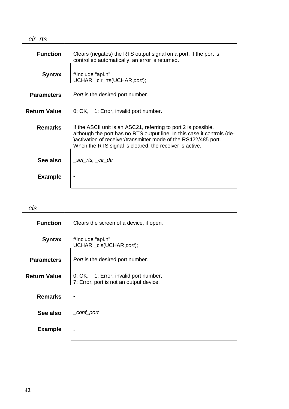#### \_clr\_rts

| <b>Function</b>     | Clears (negates) the RTS output signal on a port. If the port is<br>controlled automatically, an error is returned.                                                                                                                                                       |
|---------------------|---------------------------------------------------------------------------------------------------------------------------------------------------------------------------------------------------------------------------------------------------------------------------|
| <b>Syntax</b>       | #Include "api.h"<br>UCHAR _clr_rts(UCHAR port);                                                                                                                                                                                                                           |
| <b>Parameters</b>   | <i>Port</i> is the desired port number.                                                                                                                                                                                                                                   |
| <b>Return Value</b> | 0: OK, 1: Error, invalid port number.                                                                                                                                                                                                                                     |
| <b>Remarks</b>      | If the ASCII unit is an ASC21, referring to port 2 is possible,<br>although the port has no RTS output line. In this case it controls (de-<br>) activation of receiver/transmitter mode of the RS422/485 port.<br>When the RTS signal is cleared, the receiver is active. |
| See also            | _set_rts, _clr_dtr                                                                                                                                                                                                                                                        |
| <b>Example</b>      |                                                                                                                                                                                                                                                                           |

| :Is                 |                                                                                  |
|---------------------|----------------------------------------------------------------------------------|
| <b>Function</b>     | Clears the screen of a device, if open.                                          |
| <b>Syntax</b>       | #Include "api.h"<br>UCHAR _cls(UCHAR port);                                      |
| <b>Parameters</b>   | Port is the desired port number.                                                 |
| <b>Return Value</b> | 0: OK, 1: Error, invalid port number,<br>7: Error, port is not an output device. |
| <b>Remarks</b>      |                                                                                  |
| See also            | _conf_port                                                                       |
| <b>Example</b>      |                                                                                  |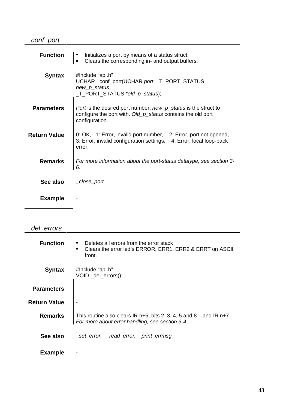### \_conf\_port

| <b>Function</b>     | Initializes a port by means of a status struct,<br>ш<br>Clears the corresponding in- and output buffers.<br>$\blacksquare$                        |
|---------------------|---------------------------------------------------------------------------------------------------------------------------------------------------|
| <b>Syntax</b>       | #Include "api.h"<br>UCHAR _conf_port(UCHAR port, _T_PORT_STATUS<br>new_p_status,<br>_T_PORT_STATUS *old_p_status);                                |
| <b>Parameters</b>   | Port is the desired port number, new_p_status is the struct to<br>configure the port with. Old_p_status contains the old port<br>configuration.   |
| <b>Return Value</b> | 0: OK, 1: Error, invalid port number, 2: Error, port not opened,<br>3: Error, invalid configuration settings, 4: Error, local loop-back<br>error. |
| <b>Remarks</b>      | For more information about the port-status datatype, see section 3-<br>6.                                                                         |
| See also            | _close_port                                                                                                                                       |
| <b>Example</b>      |                                                                                                                                                   |

### \_del\_errors

| <b>Function</b>     | Deletes all errors from the error stack<br>$\blacksquare$<br>Clears the error led's ERROR, ERR1, ERR2 & ERRT on ASCII<br>$\blacksquare$<br>front. |
|---------------------|---------------------------------------------------------------------------------------------------------------------------------------------------|
| <b>Syntax</b>       | #Include "api.h"<br>VOID _del_errors();                                                                                                           |
| <b>Parameters</b>   |                                                                                                                                                   |
| <b>Return Value</b> |                                                                                                                                                   |
| <b>Remarks</b>      | This routine also clears IR $n+5$ , bits 2, 3, 4, 5 and 8, and IR $n+7$ .<br>For more about error handling, see section 3-4.                      |
| See also            | _set_error, _read_error, _print_errmsg                                                                                                            |
| <b>Example</b>      |                                                                                                                                                   |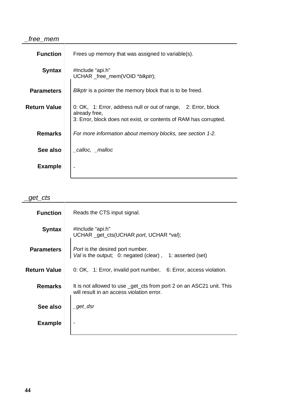#### \_free\_mem

| <b>Function</b>   | Frees up memory that was assigned to variable(s).                                                                                                    |
|-------------------|------------------------------------------------------------------------------------------------------------------------------------------------------|
| <b>Syntax</b>     | #Include "api.h"<br>UCHAR_free_mem(VOID *blkptr);                                                                                                    |
| <b>Parameters</b> | <i>Blkptr</i> is a pointer the memory block that is to be freed.                                                                                     |
| Return Value      | 0: OK, 1: Error, address null or out of range, 2: Error, block<br>already free,<br>3: Error, block does not exist, or contents of RAM has corrupted. |
| <b>Remarks</b>    | For more information about memory blocks, see section 1-2.                                                                                           |
| See also          | _calloc, _malloc                                                                                                                                     |
| <b>Example</b>    |                                                                                                                                                      |

## $get_cts$

| <b>Function</b>     | Reads the CTS input signal.                                                                                       |
|---------------------|-------------------------------------------------------------------------------------------------------------------|
| <b>Syntax</b>       | #Include "api.h"<br>UCHAR _get_cts(UCHAR port, UCHAR *val);                                                       |
| <b>Parameters</b>   | <i>Port</i> is the desired port number.<br>Val is the output; 0: negated (clear),<br>1: asserted (set)            |
| <b>Return Value</b> | 0: OK, 1: Error, invalid port number, 6: Error, access violation.                                                 |
| <b>Remarks</b>      | It is not allowed to use _get_cts from port 2 on an ASC21 unit. This<br>will result in an access violation error. |
| See also            | $\_get\_dsr$                                                                                                      |
| <b>Example</b>      |                                                                                                                   |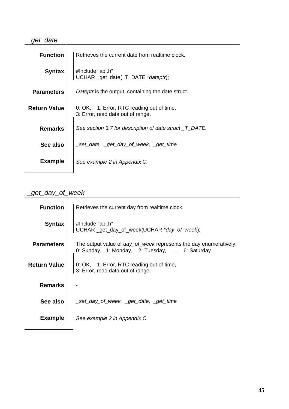### \_get\_date

| <b>Function</b>     | Retrieves the current date from realtime clock.                                |
|---------------------|--------------------------------------------------------------------------------|
| <b>Syntax</b>       | #Include "api.h"<br>UCHAR _get_date(_T_DATE *dateptr);                         |
| <b>Parameters</b>   | Dateptr is the output, containing the date struct.                             |
| <b>Return Value</b> | 0: OK, 1: Error, RTC reading out of time,<br>3: Error, read data out of range. |
| <b>Remarks</b>      | See section 3.7 for description of date struct _T_DATE.                        |
| See also            | _set_date, _get_day_of_week, _get_time                                         |
| <b>Example</b>      | See example 2 in Appendix C.                                                   |

### \_get\_day\_of\_week

| <b>Function</b>     | Retrieves the current day from realtime clock.                                                                             |
|---------------------|----------------------------------------------------------------------------------------------------------------------------|
| <b>Syntax</b>       | #Include "api.h"<br>UCHAR _get_day_of_week(UCHAR *day_of_week);                                                            |
| <b>Parameters</b>   | The output value of <i>day_of_week</i> represents the day enumeratively:<br>0: Sunday, 1: Monday, 2: Tuesday,  6: Saturday |
| <b>Return Value</b> | 0: OK, 1: Error, RTC reading out of time,<br>3: Error, read data out of range.                                             |
| <b>Remarks</b>      |                                                                                                                            |
| See also            |                                                                                                                            |
| <b>Example</b>      | See example 2 in Appendix C                                                                                                |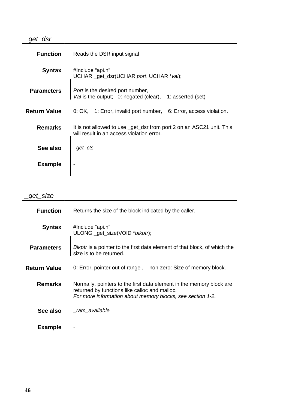### \_get\_dsr

| <b>Function</b>     | Reads the DSR input signal                                                                                        |
|---------------------|-------------------------------------------------------------------------------------------------------------------|
| <b>Syntax</b>       | #Include "api.h"<br>UCHAR _get_dsr(UCHAR port, UCHAR *val);                                                       |
| <b>Parameters</b>   | <i>Port</i> is the desired port number,<br>Val is the output; 0: negated (clear),<br>1: asserted (set)            |
| <b>Return Value</b> | 0: OK, 1: Error, invalid port number, 6: Error, access violation.                                                 |
| <b>Remarks</b>      | It is not allowed to use _get_dsr from port 2 on an ASC21 unit. This<br>will result in an access violation error. |
| See also            | _get_cts                                                                                                          |
| <b>Example</b>      |                                                                                                                   |

\_get\_size

| <b>Function</b>     | Returns the size of the block indicated by the caller.                                                                                                                              |
|---------------------|-------------------------------------------------------------------------------------------------------------------------------------------------------------------------------------|
| <b>Syntax</b>       | #Include "api.h"<br>ULONG _get_size(VOID *blkptr);                                                                                                                                  |
| <b>Parameters</b>   | <i>Blkptr</i> is a pointer to the first data element of that block, of which the<br>size is to be returned.                                                                         |
| <b>Return Value</b> | 0: Error, pointer out of range, non-zero: Size of memory block.                                                                                                                     |
| <b>Remarks</b>      | Normally, pointers to the first data element in the memory block are<br>returned by functions like calloc and malloc.<br>For more information about memory blocks, see section 1-2. |
| See also            | _ram_available                                                                                                                                                                      |
| <b>Example</b>      |                                                                                                                                                                                     |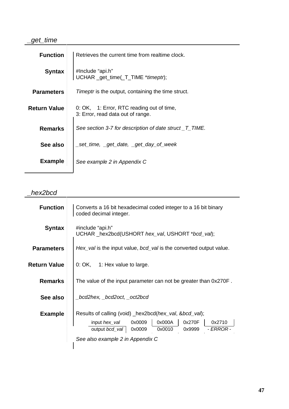### \_get\_time

| <b>Function</b>     | Retrieves the current time from realtime clock.                                |
|---------------------|--------------------------------------------------------------------------------|
| <b>Syntax</b>       | #Include "api.h"<br>UCHAR _get_time(_T_TIME *timeptr);                         |
| <b>Parameters</b>   | <i>Timeptr</i> is the output, containing the time struct.                      |
| <b>Return Value</b> | 0: OK, 1: Error, RTC reading out of time,<br>3: Error, read data out of range. |
| <b>Remarks</b>      | See section 3-7 for description of date struct _T_TIME.                        |
| See also            | set_time, _get_date, _get_day_of_week                                          |
| <b>Example</b>      | See example 2 in Appendix C                                                    |

### \_hex2bcd

| <b>Function</b>     | Converts a 16 bit hexadecimal coded integer to a 16 bit binary<br>coded decimal integer.                                                                                                                                                   |
|---------------------|--------------------------------------------------------------------------------------------------------------------------------------------------------------------------------------------------------------------------------------------|
| <b>Syntax</b>       | #include "api.h"<br>UCHAR _hex2bcd(USHORT hex_val, USHORT *bcd_val);                                                                                                                                                                       |
| <b>Parameters</b>   | Hex_val is the input value, bcd_val is the converted output value.                                                                                                                                                                         |
| <b>Return Value</b> | $0: OK$ , 1: Hex value to large.                                                                                                                                                                                                           |
| <b>Remarks</b>      | The value of the input parameter can not be greater than 0x270F.                                                                                                                                                                           |
| See also            | _bcd2hex, _bcd2oct, _oct2bcd                                                                                                                                                                                                               |
| <b>Example</b>      | Results of calling (void) _hex2bcd( <i>hex_val</i> , & <i>bcd_val</i> );<br>0x000A<br>0x270F<br>input <i>hex_val</i> 0x0009<br>0x2710<br>- ERROR -<br>0x9999<br>output <i>bcd_val</i> 0x0009<br>0x0010<br>See also example 2 in Appendix C |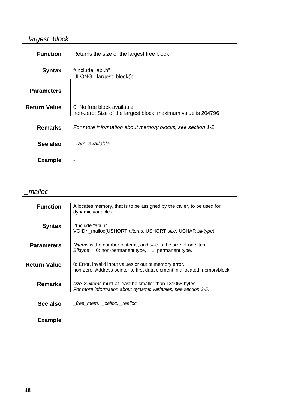#### \_largest\_block

| <b>Function</b>     | Returns the size of the largest free block                                                  |
|---------------------|---------------------------------------------------------------------------------------------|
| <b>Syntax</b>       | #include "api.h"<br>ULONG _largest_block();                                                 |
| <b>Parameters</b>   |                                                                                             |
| <b>Return Value</b> | 0: No free block available,<br>non-zero: Size of the largest block, maximum value is 204796 |
| <b>Remarks</b>      | For more information about memory blocks, see section 1-2.                                  |
| See also            | _ram_available                                                                              |
| <b>Example</b>      |                                                                                             |

\_malloc

| <b>Function</b>     | Allocates memory, that is to be assigned by the caller, to be used for<br>dynamic variables.                                                   |
|---------------------|------------------------------------------------------------------------------------------------------------------------------------------------|
| <b>Syntax</b>       | #Include "api.h"<br>VOID* _malloc(USHORT nitems, USHORT size, UCHAR blktype);                                                                  |
| <b>Parameters</b>   | <i>Nitems</i> is the number of items, and <i>size</i> is the size of one item.<br>0: non-permanent type, 1: permanent type.<br><i>Blktype:</i> |
| <b>Return Value</b> | 0: Error, invalid input values or out of memory error.<br>non-zero: Address pointer to first data element in allocated memoryblock.            |
| <b>Remarks</b>      | size $\times$ nitems must at least be smaller than 131068 bytes.<br>For more information about dynamic variables, see section 3-5.             |
| See also            | _free_mem, _calloc, _realloc,                                                                                                                  |
| <b>Example</b>      |                                                                                                                                                |

 $\frac{1}{4}$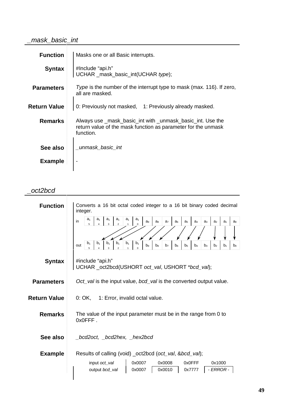### \_mask\_basic\_int

| <b>Function</b>     | Masks one or all Basic interrupts.                                                                                                       |
|---------------------|------------------------------------------------------------------------------------------------------------------------------------------|
|                     |                                                                                                                                          |
| <b>Syntax</b>       | #Include "api.h"<br>UCHAR _mask_basic_int(UCHAR type);                                                                                   |
| <b>Parameters</b>   | Type is the number of the interrupt type to mask (max. 116). If zero,<br>all are masked.                                                 |
| <b>Return Value</b> | 0: Previously not masked, 1: Previously already masked.                                                                                  |
| <b>Remarks</b>      | Always use _mask_basic_int with _unmask_basic_int. Use the<br>return value of the mask function as parameter for the unmask<br>function. |
| See also            | _unmask_basic_int                                                                                                                        |
| <b>Example</b>      |                                                                                                                                          |

#### \_oct2bcd

| <b>Function</b>     | Converts a 16 bit octal coded integer to a 16 bit binary coded decimal<br>integer.                                                                                                                                                                                                                       |
|---------------------|----------------------------------------------------------------------------------------------------------------------------------------------------------------------------------------------------------------------------------------------------------------------------------------------------------|
|                     | a <sub>1</sub><br>a <sub>1</sub><br>a <sub>1</sub><br>a <sub>1</sub><br>$a_1$<br>a <sub>1</sub><br>in<br>a <sub>7</sub><br>a <sub>6</sub><br>a <sub>2</sub><br>a <sub>1</sub><br>ag<br>a <sub>8</sub><br>a <sub>5</sub><br>a <sub>4</sub><br>a <sub>3</sub><br>a <sub>0</sub><br>5<br>$\Omega$<br>3<br>4 |
|                     | $b_1$<br>b <sub>1</sub><br>b <sub>1</sub><br>$b_1$<br>$b_1$<br>$b_1$<br>out<br>b <sub>9</sub><br>b <sub>7</sub><br>$b_4$<br>b <sub>2</sub><br>b <sub>8</sub><br>b <sub>6</sub><br>b <sub>5</sub><br>$b_3$<br>b <sub>1</sub><br>$b_0$<br>3<br>$\Omega$<br>5<br>2                                          |
| <b>Syntax</b>       | #include "api.h"<br>UCHAR _oct2bcd(USHORT oct_val, USHORT *bcd_val);                                                                                                                                                                                                                                     |
| <b>Parameters</b>   | Oct val is the input value, bcd val is the converted output value.                                                                                                                                                                                                                                       |
| <b>Return Value</b> | 0: OK<br>1: Error, invalid octal value.                                                                                                                                                                                                                                                                  |
| <b>Remarks</b>      | The value of the input parameter must be in the range from 0 to<br>$0x0$ FFF.                                                                                                                                                                                                                            |
| See also            | _bcd2oct, _bcd2hex, _hex2bcd                                                                                                                                                                                                                                                                             |
| <b>Example</b>      | Results of calling (void) _oct2bcd (oct_val, &bcd_val);                                                                                                                                                                                                                                                  |
|                     | 0x0007<br>0x0008<br>0x0FFF<br>0x1000<br>input oct_val                                                                                                                                                                                                                                                    |
|                     | output bcd_val<br>- ERROR -<br>0x0007<br>0x0010<br>0x7777                                                                                                                                                                                                                                                |
|                     |                                                                                                                                                                                                                                                                                                          |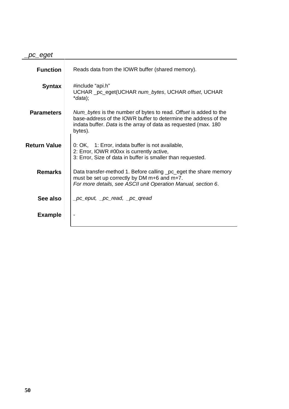\_pc\_eget

| <b>Function</b>     | Reads data from the IOWR buffer (shared memory).                                                                                                                                                                  |
|---------------------|-------------------------------------------------------------------------------------------------------------------------------------------------------------------------------------------------------------------|
| <b>Syntax</b>       | #include "api.h"<br>UCHAR _pc_eget(UCHAR num_bytes, UCHAR offset, UCHAR<br>*data);                                                                                                                                |
| <b>Parameters</b>   | Num_bytes is the number of bytes to read. Offset is added to the<br>base-address of the IOWR buffer to determine the address of the<br>indata buffer. Data is the array of data as requested (max. 180<br>bytes). |
| <b>Return Value</b> | 0: OK, 1: Error, indata buffer is not available,<br>2: Error, IOWR #00xx is currently active,<br>3: Error, Size of data in buffer is smaller than requested.                                                      |
| <b>Remarks</b>      | Data transfer-method 1. Before calling _pc_eget the share memory<br>must be set up correctly by DM m+6 and m+7.<br>For more details, see ASCII unit Operation Manual, section 6.                                  |
| See also            | _pc_eput, _pc_read, _pc_qread                                                                                                                                                                                     |
| <b>Example</b>      |                                                                                                                                                                                                                   |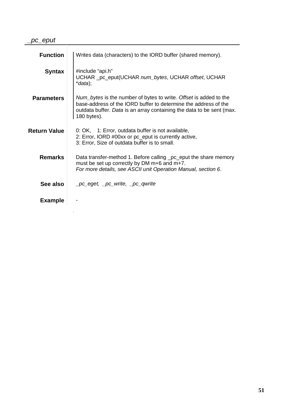医细胞 医心包

| <b>Function</b>     | Writes data (characters) to the IORD buffer (shared memory).                                                                                                                                                                   |
|---------------------|--------------------------------------------------------------------------------------------------------------------------------------------------------------------------------------------------------------------------------|
| <b>Syntax</b>       | #include "api.h"<br>UCHAR _pc_eput(UCHAR num_bytes, UCHAR offset, UCHAR<br>$*data);$                                                                                                                                           |
| <b>Parameters</b>   | Num_bytes is the number of bytes to write. Offset is added to the<br>base-address of the IORD buffer to determine the address of the<br>outdata buffer. Data is an array containing the data to be sent (max.<br>$180$ bytes). |
| <b>Return Value</b> | 0: OK, 1: Error, outdata buffer is not available,<br>2: Error, IORD #00xx or pc_eput is currently active,<br>3: Error, Size of outdata buffer is to small.                                                                     |
| <b>Remarks</b>      | Data transfer-method 1. Before calling _pc_eput the share memory<br>must be set up correctly by DM m+6 and m+7.<br>For more details, see ASCII unit Operation Manual, section 6.                                               |
| See also            | _pc_eget, _pc_write, _pc_qwrite                                                                                                                                                                                                |
| <b>Example</b>      |                                                                                                                                                                                                                                |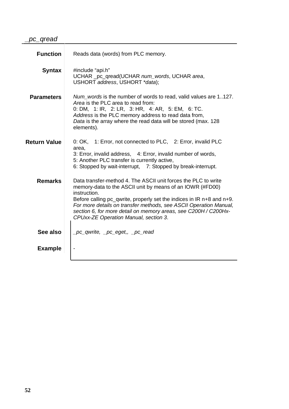| <b>Function</b>     | Reads data (words) from PLC memory.                                                                                                                                                                                                                                                                                                                                                                   |
|---------------------|-------------------------------------------------------------------------------------------------------------------------------------------------------------------------------------------------------------------------------------------------------------------------------------------------------------------------------------------------------------------------------------------------------|
| <b>Syntax</b>       | #include "api.h"<br>UCHAR _pc_qread(UCHAR num_words, UCHAR area,<br>USHORT address, USHORT *data);                                                                                                                                                                                                                                                                                                    |
| <b>Parameters</b>   | Num words is the number of words to read, valid values are 1127.<br>Area is the PLC area to read from:<br>0: DM, 1: IR, 2: LR, 3: HR, 4: AR, 5: EM, 6: TC.<br>Address is the PLC memory address to read data from,<br>Data is the array where the read data will be stored (max. 128<br>elements).                                                                                                    |
| <b>Return Value</b> | 0: OK, 1: Error, not connected to PLC, 2: Error, invalid PLC<br>area.<br>3: Error, invalid address, 4: Error, invalid number of words,<br>5: Another PLC transfer is currently active,<br>6: Stopped by wait-interrupt, 7: Stopped by break-interrupt.                                                                                                                                                |
| <b>Remarks</b>      | Data transfer-method 4. The ASCII unit forces the PLC to write<br>memory-data to the ASCII unit by means of an IOWR (#FD00)<br>instruction.<br>Before calling pc_qwrite, properly set the indices in IR n+8 and n+9.<br>For more details on transfer methods, see ASCII Operation Manual,<br>section 6, for more detail on memory areas, see C200H / C200Hx-<br>CPUxx-ZE Operation Manual, section 3. |
| See also            | _pc_qwrite, _pc_eget,, _pc_read                                                                                                                                                                                                                                                                                                                                                                       |
| <b>Example</b>      |                                                                                                                                                                                                                                                                                                                                                                                                       |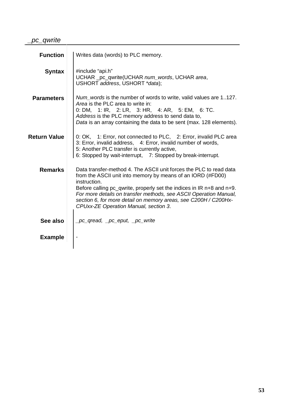### \_pc\_qwrite

| <b>Function</b>     | Writes data (words) to PLC memory.                                                                                                                                                                                                                                                                                                                                                                          |
|---------------------|-------------------------------------------------------------------------------------------------------------------------------------------------------------------------------------------------------------------------------------------------------------------------------------------------------------------------------------------------------------------------------------------------------------|
| <b>Syntax</b>       | #include "api.h"<br>UCHAR _pc_qwrite(UCHAR num_words, UCHAR area,<br>USHORT address, USHORT *data);                                                                                                                                                                                                                                                                                                         |
| <b>Parameters</b>   | Num_words is the number of words to write, valid values are 1127.<br>Area is the PLC area to write in:<br>0: DM, 1: IR, 2: LR, 3: HR, 4: AR, 5: EM, 6: TC.<br>Address is the PLC memory address to send data to,<br>Data is an array containing the data to be sent (max. 128 elements).                                                                                                                    |
| <b>Return Value</b> | 0: OK, 1: Error, not connected to PLC, 2: Error, invalid PLC area<br>3: Error, invalid address, 4: Error, invalid number of words,<br>5: Another PLC transfer is currently active,<br>6: Stopped by wait-interrupt, 7: Stopped by break-interrupt.                                                                                                                                                          |
| <b>Remarks</b>      | Data transfer-method 4. The ASCII unit forces the PLC to read data<br>from the ASCII unit into memory by means of an IORD (#FD00)<br>instruction.<br>Before calling pc_qwrite, properly set the indices in IR n+8 and n+9.<br>For more details on transfer methods, see ASCII Operation Manual,<br>section 6, for more detail on memory areas, see C200H / C200Hx-<br>CPUxx-ZE Operation Manual, section 3. |
| See also            | _pc_qread, _pc_eput, _pc_write                                                                                                                                                                                                                                                                                                                                                                              |
| <b>Example</b>      |                                                                                                                                                                                                                                                                                                                                                                                                             |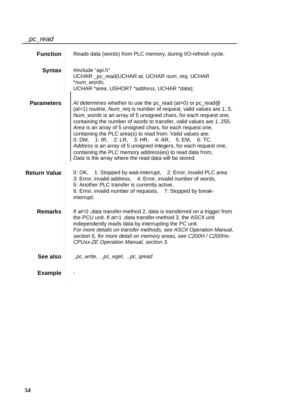| <b>Function</b>     | Reads data (words) from PLC memory, during I/O-refresh cycle.                                                                                                                                                                                                                                                                                                                                                                                                                                                                                                                                                                                                |
|---------------------|--------------------------------------------------------------------------------------------------------------------------------------------------------------------------------------------------------------------------------------------------------------------------------------------------------------------------------------------------------------------------------------------------------------------------------------------------------------------------------------------------------------------------------------------------------------------------------------------------------------------------------------------------------------|
| <b>Syntax</b>       | #include "api.h"<br>UCHAR _pc_read(UCHAR at, UCHAR num_req, UCHAR<br>*num_words,<br>UCHAR *area, USHORT *address, UCHAR *data);                                                                                                                                                                                                                                                                                                                                                                                                                                                                                                                              |
| <b>Parameters</b>   | At determines whether to use the pc_read ( $at=0$ ) or pc_read@<br>$(at=1)$ routine, Num_req is number of request, valid values are 15,<br>Num_words is an array of 5 unsigned chars, for each request one,<br>containing the number of words to transfer, valid values are 1255.<br>Area is an array of 5 unsigned chars, for each request one,<br>containing the PLC area(s) to read from. Valid values are:<br>0: DM, 1: IR, 2: LR, 3: HR, 4: AR, 5: EM, 6: TC.<br>Address is an array of 5 unsigned integers, for each request one,<br>containing the PLC memory address(es) to read data from,<br>Data is the array where the read data will be stored. |
| <b>Return Value</b> | 0: OK, 1: Stopped by wait-interrupt, 2: Error, invalid PLC area<br>3: Error, invalid address, 4: Error, invalid number of words,<br>5: Another PLC transfer is currently active,<br>6: Error, invalid number of requests, 7: Stopped by break-<br>interrupt.                                                                                                                                                                                                                                                                                                                                                                                                 |
| <b>Remarks</b>      | If at=0, data transfer-method 2, data is transferred on a trigger from<br>the PCU unit. If at=1, data transfer-method 3, the ASCII unit<br>independently reads data by interrupting the PC unit.<br>For more details on transfer methods, see ASCII Operation Manual,<br>section 6, for more detail on memory areas, see C200H / C200Hx-<br>CPUxx-ZE Operation Manual, section 3.                                                                                                                                                                                                                                                                            |
| See also            | _pc_write, _pc_eget, _pc_qread                                                                                                                                                                                                                                                                                                                                                                                                                                                                                                                                                                                                                               |
| <b>Example</b>      |                                                                                                                                                                                                                                                                                                                                                                                                                                                                                                                                                                                                                                                              |

a Bar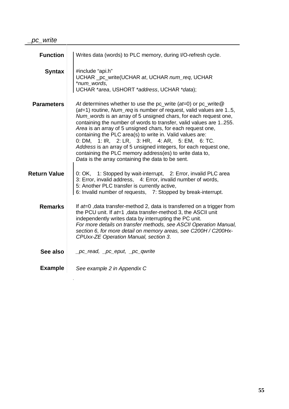| <b>Function</b>     | Writes data (words) to PLC memory, during I/O-refresh cycle.                                                                                                                                                                                                                                                                                                                                                                                                                                                                                                                                                                                         |
|---------------------|------------------------------------------------------------------------------------------------------------------------------------------------------------------------------------------------------------------------------------------------------------------------------------------------------------------------------------------------------------------------------------------------------------------------------------------------------------------------------------------------------------------------------------------------------------------------------------------------------------------------------------------------------|
| <b>Syntax</b>       | #include "api.h"<br>UCHAR _pc_write(UCHAR at, UCHAR num_req, UCHAR<br>*num_words,<br>UCHAR *area, USHORT *address, UCHAR *data);                                                                                                                                                                                                                                                                                                                                                                                                                                                                                                                     |
| <b>Parameters</b>   | At determines whether to use the pc_write (at=0) or pc_write@<br>$(at=1)$ routine, Num_req is number of request, valid values are 15,<br>Num_words is an array of 5 unsigned chars, for each request one,<br>containing the number of words to transfer, valid values are 1255.<br>Area is an array of 5 unsigned chars, for each request one,<br>containing the PLC area(s) to write in. Valid values are:<br>0: DM, 1: IR, 2: LR, 3: HR, 4: AR, 5: EM, 6: TC.<br>Address is an array of 5 unsigned integers, for each request one,<br>containing the PLC memory address(es) to write data to,<br>Data is the array containing the data to be sent. |
| <b>Return Value</b> | 0: OK, 1: Stopped by wait-interrupt, 2: Error, invalid PLC area<br>3: Error, invalid address, 4: Error, invalid number of words,<br>5: Another PLC transfer is currently active,<br>6: Invalid number of requests, 7: Stopped by break-interrupt.                                                                                                                                                                                                                                                                                                                                                                                                    |
| <b>Remarks</b>      | If $at=0$ , data transfer-method 2, data is transferred on a trigger from<br>the PCU unit. If at=1, data transfer-method 3, the ASCII unit<br>independently writes data by interrupting the PC unit.<br>For more details on transfer methods, see ASCII Operation Manual,<br>section 6, for more detail on memory areas, see C200H / C200Hx-<br>CPUxx-ZE Operation Manual, section 3.                                                                                                                                                                                                                                                                |
| See also            | _pc_read, _pc_eput, _pc_qwrite                                                                                                                                                                                                                                                                                                                                                                                                                                                                                                                                                                                                                       |
| <b>Example</b>      | See example 2 in Appendix C                                                                                                                                                                                                                                                                                                                                                                                                                                                                                                                                                                                                                          |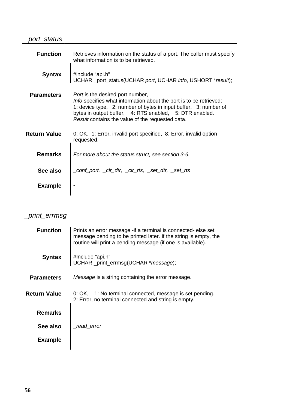#### \_port\_status

| <b>Function</b>     | Retrieves information on the status of a port. The caller must specify<br>what information is to be retrieved.                                                                                                                                                                                   |
|---------------------|--------------------------------------------------------------------------------------------------------------------------------------------------------------------------------------------------------------------------------------------------------------------------------------------------|
| <b>Syntax</b>       | #include "api.h"<br>UCHAR _port_status(UCHAR port, UCHAR info, USHORT *result);                                                                                                                                                                                                                  |
| <b>Parameters</b>   | <i>Port</i> is the desired port number,<br>Info specifies what information about the port is to be retrieved:<br>1: device type, 2: number of bytes in input buffer, 3: number of<br>bytes in output buffer, 4: RTS enabled, 5: DTR enabled.<br>Result contains the value of the requested data. |
| <b>Return Value</b> | 0: OK, 1: Error, invalid port specified, 8: Error, invalid option<br>requested.                                                                                                                                                                                                                  |
| <b>Remarks</b>      | For more about the status struct, see section 3-6.                                                                                                                                                                                                                                               |
| See also            | _conf_port, _clr_dtr, _clr_rts, _set_dtr, _set_rts                                                                                                                                                                                                                                               |
| <b>Example</b>      |                                                                                                                                                                                                                                                                                                  |
|                     |                                                                                                                                                                                                                                                                                                  |

#### \_print\_errmsg

| <b>Function</b>     | Prints an error message - if a terminal is connected- else set<br>message pending to be printed later. If the string is empty, the<br>routine will print a pending message (if one is available). |
|---------------------|---------------------------------------------------------------------------------------------------------------------------------------------------------------------------------------------------|
| <b>Syntax</b>       | #Include "api.h"<br>UCHAR _print_errmsg(UCHAR *message);                                                                                                                                          |
| <b>Parameters</b>   | <i>Message</i> is a string containing the error message.                                                                                                                                          |
| <b>Return Value</b> | 0: OK, 1: No terminal connected, message is set pending.<br>2: Error, no terminal connected and string is empty.                                                                                  |
| <b>Remarks</b>      |                                                                                                                                                                                                   |
| See also            | read error                                                                                                                                                                                        |
| <b>Example</b>      |                                                                                                                                                                                                   |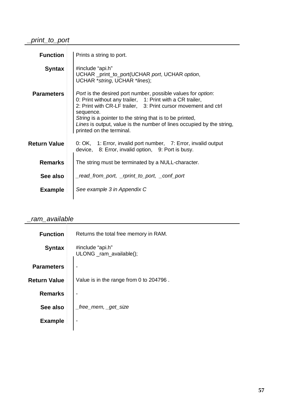### \_print\_to\_port

| <b>Function</b>     | Prints a string to port.                                                                                                                                                                                                                                                                                                                                                                 |
|---------------------|------------------------------------------------------------------------------------------------------------------------------------------------------------------------------------------------------------------------------------------------------------------------------------------------------------------------------------------------------------------------------------------|
| <b>Syntax</b>       | #include "api.h"<br>UCHAR _print_to_port(UCHAR port, UCHAR option,<br>UCHAR * string, UCHAR * lines);                                                                                                                                                                                                                                                                                    |
| <b>Parameters</b>   | <i>Port</i> is the desired port number, possible values for <i>option</i> :<br>0: Print without any trailer, 1: Print with a CR trailer,<br>2: Print with CR-LF trailer, 3: Print cursor movement and ctrl<br>sequence.<br>String is a pointer to the string that is to be printed,<br>Lines is output, value is the number of lines occupied by the string,<br>printed on the terminal. |
| <b>Return Value</b> | 0: OK, 1: Error, invalid port number, 7: Error, invalid output<br>device, 8: Error, invalid option, 9: Port is busy.                                                                                                                                                                                                                                                                     |
| <b>Remarks</b>      | The string must be terminated by a NULL-character.                                                                                                                                                                                                                                                                                                                                       |
| See also            | read_from_port, _rprint_to_port, _conf_port_                                                                                                                                                                                                                                                                                                                                             |
| <b>Example</b>      | See example 3 in Appendix C                                                                                                                                                                                                                                                                                                                                                              |

### \_ram\_available

| <b>Function</b>     | Returns the total free memory in RAM.       |
|---------------------|---------------------------------------------|
| <b>Syntax</b>       | #include "api.h"<br>ULONG _ram_available(); |
| <b>Parameters</b>   |                                             |
| <b>Return Value</b> | Value is in the range from 0 to 204796.     |
| <b>Remarks</b>      |                                             |
| See also            |                                             |
| <b>Example</b>      |                                             |
|                     |                                             |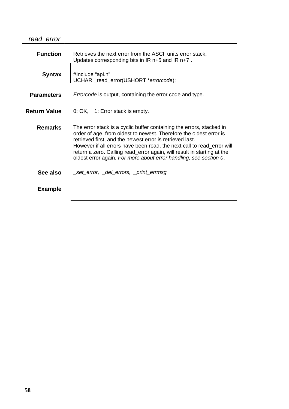#### \_read\_error

| <b>Function</b>     | Retrieves the next error from the ASCII units error stack,<br>Updates corresponding bits in IR $n+5$ and IR $n+7$ .                                                                                                                                                                                                                                                                                                              |
|---------------------|----------------------------------------------------------------------------------------------------------------------------------------------------------------------------------------------------------------------------------------------------------------------------------------------------------------------------------------------------------------------------------------------------------------------------------|
| <b>Syntax</b>       | #Include "api.h"<br>UCHAR _read_error(USHORT *errorcode);                                                                                                                                                                                                                                                                                                                                                                        |
| <b>Parameters</b>   | <i>Errorcode</i> is output, containing the error code and type.                                                                                                                                                                                                                                                                                                                                                                  |
| <b>Return Value</b> | 0: OK, 1: Error stack is empty.                                                                                                                                                                                                                                                                                                                                                                                                  |
| <b>Remarks</b>      | The error stack is a cyclic buffer containing the errors, stacked in<br>order of age, from oldest to newest. Therefore the oldest error is<br>retrieved first, and the newest error is retrieved last.<br>However if all errors have been read, the next call to read_error will<br>return a zero. Calling read_error again, will result in starting at the<br>oldest error again. For more about error handling, see section 0. |
| See also            | _set_error, _del_errors, _print_errmsg                                                                                                                                                                                                                                                                                                                                                                                           |
| <b>Example</b>      |                                                                                                                                                                                                                                                                                                                                                                                                                                  |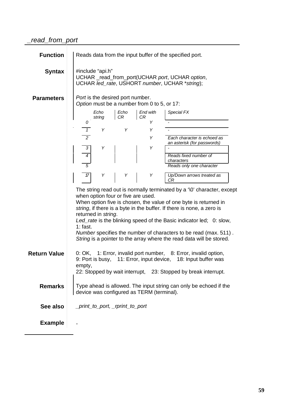| <b>Function</b>     |                  | Reads data from the input buffer of the specified port.                                                               |                                    |                                             |                                                                                                                                                                                                                                                                                                                                                                                                                                       |
|---------------------|------------------|-----------------------------------------------------------------------------------------------------------------------|------------------------------------|---------------------------------------------|---------------------------------------------------------------------------------------------------------------------------------------------------------------------------------------------------------------------------------------------------------------------------------------------------------------------------------------------------------------------------------------------------------------------------------------|
| <b>Syntax</b>       |                  | #include "api.h"<br>UCHAR _read_from_port(UCHAR port, UCHAR option,<br>UCHAR led_rate, USHORT number, UCHAR *string); |                                    |                                             |                                                                                                                                                                                                                                                                                                                                                                                                                                       |
| <b>Parameters</b>   |                  |                                                                                                                       | Port is the desired port number.   | Option must be a number from 0 to 5, or 17: |                                                                                                                                                                                                                                                                                                                                                                                                                                       |
|                     | 0                | Echo<br>string                                                                                                        | Echo<br>CR                         | End with<br>CR<br>Υ                         | Special FX                                                                                                                                                                                                                                                                                                                                                                                                                            |
|                     |                  |                                                                                                                       |                                    |                                             |                                                                                                                                                                                                                                                                                                                                                                                                                                       |
|                     | $\overline{2}$   |                                                                                                                       |                                    | Ÿ                                           | Each character is echoed as                                                                                                                                                                                                                                                                                                                                                                                                           |
|                     |                  |                                                                                                                       |                                    |                                             | an asterisk (for passwords)                                                                                                                                                                                                                                                                                                                                                                                                           |
|                     | $\overline{3}$   |                                                                                                                       |                                    |                                             |                                                                                                                                                                                                                                                                                                                                                                                                                                       |
|                     | $\boldsymbol{4}$ |                                                                                                                       |                                    |                                             | Reads fixed number of<br>characters                                                                                                                                                                                                                                                                                                                                                                                                   |
|                     | 5                |                                                                                                                       |                                    |                                             | Reads only one character                                                                                                                                                                                                                                                                                                                                                                                                              |
|                     | $\mathcal{T}$    | Y                                                                                                                     | Y                                  | Ÿ                                           | Up/Down arrows treated as                                                                                                                                                                                                                                                                                                                                                                                                             |
|                     |                  |                                                                                                                       |                                    |                                             | СR                                                                                                                                                                                                                                                                                                                                                                                                                                    |
|                     | $1:$ fast.       | returned in string.                                                                                                   | when option four or five are used. |                                             | The string read out is normally terminated by a '0' character, except<br>When option five is chosen, the value of one byte is returned in<br>string, if there is a byte in the buffer. If there is none, a zero is<br>Led_rate is the blinking speed of the Basic indicator led; 0: slow,<br>Number specifies the number of characters to be read (max. 511).<br>String is a pointer to the array where the read data will be stored. |
| <b>Return Value</b> | empty,           |                                                                                                                       |                                    |                                             | 0: OK, 1: Error, invalid port number, 8: Error, invalid option,<br>9: Port is busy, 11: Error, input device, 18: Input buffer was<br>22: Stopped by wait interrupt, 23: Stopped by break interrupt.                                                                                                                                                                                                                                   |
| <b>Remarks</b>      |                  | Type ahead is allowed. The input string can only be echoed if the<br>device was configured as TERM (terminal).        |                                    |                                             |                                                                                                                                                                                                                                                                                                                                                                                                                                       |
| See also            |                  |                                                                                                                       | _print_to_port, _rprint_to_port    |                                             |                                                                                                                                                                                                                                                                                                                                                                                                                                       |
| <b>Example</b>      |                  |                                                                                                                       |                                    |                                             |                                                                                                                                                                                                                                                                                                                                                                                                                                       |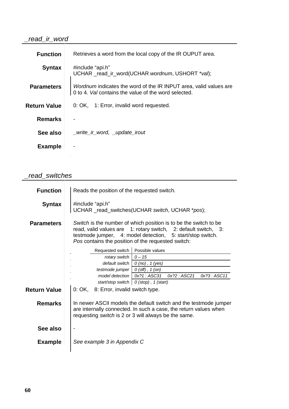#### \_read\_ir\_word

| <b>Function</b>     | Retrieves a word from the local copy of the IR OUPUT area.                                                                       |
|---------------------|----------------------------------------------------------------------------------------------------------------------------------|
| <b>Syntax</b>       | #include "api.h"<br>UCHAR read ir word(UCHAR wordnum, USHORT *val);                                                              |
| <b>Parameters</b>   | <i>Wordnum</i> indicates the word of the IR INPUT area, valid values are<br>0 to 4. Val contains the value of the word selected. |
| <b>Return Value</b> | 0: OK, 1: Error, invalid word requested.                                                                                         |
| <b>Remarks</b>      |                                                                                                                                  |
| See also            | _write_ir_word, _update_irout                                                                                                    |
| <b>Example</b>      |                                                                                                                                  |
|                     |                                                                                                                                  |

### \_read\_switches

| #include "api.h"<br><b>Syntax</b><br>UCHAR _read_switches(UCHAR switch, UCHAR *pos);<br>Switch is the number of which position is to be the switch to be<br><b>Parameters</b><br>read, valid values are 1: rotary switch, 2: default switch, 3:<br>testmode jumper, 4: model detection, 5: start/stop switch.<br>Pos contains the position of the requested switch:<br>Requested switch   Possible values<br>default switch $\begin{pmatrix} 0 \text{ (no)} \\ 1 \text{ (yes)} \end{pmatrix}$<br>testmode jumper $\mid$ 0 (off), 1 (on)<br>model detection   0x?1 : ASC31  0x?2 : ASC21  0x?3 : ASC11<br>start/stop switch $\vert 0$ (stop), 1 (start)<br>0: OK, 8: Error, invalid switch type.<br><b>Remarks</b><br>In newer ASCII models the default switch and the testmode jumper<br>are internally connected. In such a case, the return values when<br>requesting switch is 2 or 3 will always be the same.<br>See also<br>See example 3 in Appendix C<br><b>Example</b> | <b>Function</b>     | Reads the position of the requested switch. |  |  |
|--------------------------------------------------------------------------------------------------------------------------------------------------------------------------------------------------------------------------------------------------------------------------------------------------------------------------------------------------------------------------------------------------------------------------------------------------------------------------------------------------------------------------------------------------------------------------------------------------------------------------------------------------------------------------------------------------------------------------------------------------------------------------------------------------------------------------------------------------------------------------------------------------------------------------------------------------------------------------------|---------------------|---------------------------------------------|--|--|
|                                                                                                                                                                                                                                                                                                                                                                                                                                                                                                                                                                                                                                                                                                                                                                                                                                                                                                                                                                                |                     |                                             |  |  |
|                                                                                                                                                                                                                                                                                                                                                                                                                                                                                                                                                                                                                                                                                                                                                                                                                                                                                                                                                                                |                     |                                             |  |  |
|                                                                                                                                                                                                                                                                                                                                                                                                                                                                                                                                                                                                                                                                                                                                                                                                                                                                                                                                                                                |                     |                                             |  |  |
|                                                                                                                                                                                                                                                                                                                                                                                                                                                                                                                                                                                                                                                                                                                                                                                                                                                                                                                                                                                |                     |                                             |  |  |
|                                                                                                                                                                                                                                                                                                                                                                                                                                                                                                                                                                                                                                                                                                                                                                                                                                                                                                                                                                                |                     |                                             |  |  |
|                                                                                                                                                                                                                                                                                                                                                                                                                                                                                                                                                                                                                                                                                                                                                                                                                                                                                                                                                                                |                     |                                             |  |  |
|                                                                                                                                                                                                                                                                                                                                                                                                                                                                                                                                                                                                                                                                                                                                                                                                                                                                                                                                                                                |                     |                                             |  |  |
|                                                                                                                                                                                                                                                                                                                                                                                                                                                                                                                                                                                                                                                                                                                                                                                                                                                                                                                                                                                |                     |                                             |  |  |
|                                                                                                                                                                                                                                                                                                                                                                                                                                                                                                                                                                                                                                                                                                                                                                                                                                                                                                                                                                                | <b>Return Value</b> |                                             |  |  |
|                                                                                                                                                                                                                                                                                                                                                                                                                                                                                                                                                                                                                                                                                                                                                                                                                                                                                                                                                                                |                     |                                             |  |  |
|                                                                                                                                                                                                                                                                                                                                                                                                                                                                                                                                                                                                                                                                                                                                                                                                                                                                                                                                                                                |                     |                                             |  |  |
|                                                                                                                                                                                                                                                                                                                                                                                                                                                                                                                                                                                                                                                                                                                                                                                                                                                                                                                                                                                |                     |                                             |  |  |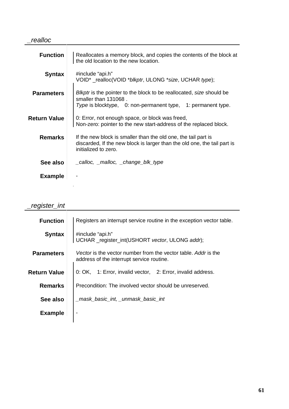#### \_realloc

| <b>Function</b>     | Reallocates a memory block, and copies the contents of the block at<br>the old location to the new location.                                                       |
|---------------------|--------------------------------------------------------------------------------------------------------------------------------------------------------------------|
| <b>Syntax</b>       | #include "api.h"<br>VOID* _realloc(VOID *blkptr, ULONG *size, UCHAR type);                                                                                         |
| <b>Parameters</b>   | Blkptr is the pointer to the block to be reallocated, size should be<br>smaller than 131068.<br>Type is blocktype, 0: non-permanent type, 1: permanent type.       |
| <b>Return Value</b> | 0: Error, not enough space, or block was freed,<br>Non-zero: pointer to the new start-address of the replaced block.                                               |
| <b>Remarks</b>      | If the new block is smaller than the old one, the tail part is<br>discarded, If the new block is larger than the old one, the tail part is<br>initialized to zero. |
| See also            | _calloc, _malloc, _change_blk_type                                                                                                                                 |
| <b>Example</b>      |                                                                                                                                                                    |
|                     |                                                                                                                                                                    |

### \_register\_int

| <b>Function</b>     | Registers an interrupt service routine in the exception vector table.                                       |
|---------------------|-------------------------------------------------------------------------------------------------------------|
| <b>Syntax</b>       | #include "api.h"<br>UCHAR _register_int(USHORT vector, ULONG addr);                                         |
| <b>Parameters</b>   | Vector is the vector number from the vector table. Addr is the<br>address of the interrupt service routine. |
| <b>Return Value</b> | 0: OK, 1: Error, invalid vector, 2: Error, invalid address.                                                 |
| <b>Remarks</b>      | Precondition: The involved vector should be unreserved.                                                     |
| See also            | _mask_basic_int,_unmask_basic_int                                                                           |
| <b>Example</b>      |                                                                                                             |
|                     |                                                                                                             |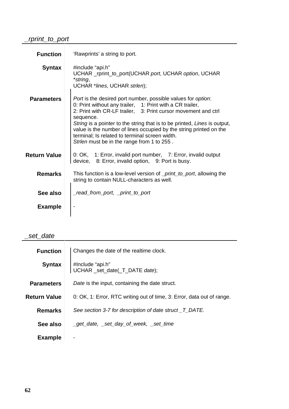### \_rprint\_to\_port

| <b>Function</b>     | 'Rawprints' a string to port.                                                                                                                                                                                                                                                                                                                                                                                                                                              |
|---------------------|----------------------------------------------------------------------------------------------------------------------------------------------------------------------------------------------------------------------------------------------------------------------------------------------------------------------------------------------------------------------------------------------------------------------------------------------------------------------------|
| <b>Syntax</b>       | #include "api.h"<br>UCHAR _rprint_to_port(UCHAR port, UCHAR option, UCHAR<br>*string,<br>UCHAR *lines, UCHAR strlen);                                                                                                                                                                                                                                                                                                                                                      |
| <b>Parameters</b>   | <i>Port</i> is the desired port number, possible values for <i>option</i> :<br>0: Print without any trailer, 1: Print with a CR trailer,<br>2: Print with CR-LF trailer, 3: Print cursor movement and ctrl<br>sequence.<br>String is a pointer to the string that is to be printed, Lines is output,<br>value is the number of lines occupied by the string printed on the<br>terminal; Is related to terminal screen width.<br>Strlen must be in the range from 1 to 255. |
| <b>Return Value</b> | 0: OK, 1: Error, invalid port number, 7: Error, invalid output<br>device, 8: Error, invalid option, 9: Port is busy.                                                                                                                                                                                                                                                                                                                                                       |
| <b>Remarks</b>      | This function is a low-level version of <i>_print_to_port</i> , allowing the<br>string to contain NULL-characters as well.                                                                                                                                                                                                                                                                                                                                                 |
| See also            | _read_from_port, _print_to_port                                                                                                                                                                                                                                                                                                                                                                                                                                            |
| <b>Example</b>      |                                                                                                                                                                                                                                                                                                                                                                                                                                                                            |

<u> 1980 - Johann Barn, mars ar breithinn ar chuid ann an t-Alban ann an t-Alban ann an t-Alban ann an t-Alban a</u>

#### \_set\_date

| <b>Function</b>     | Changes the date of the realtime clock.                                |
|---------------------|------------------------------------------------------------------------|
| <b>Syntax</b>       | #Include "api.h"<br>UCHAR _set_date(_T_DATE date);                     |
| <b>Parameters</b>   | Date is the input, containing the date struct.                         |
| <b>Return Value</b> | 0: OK, 1: Error, RTC writing out of time, 3: Error, data out of range. |
| <b>Remarks</b>      | See section 3-7 for description of date struct T DATE.                 |
| See also            | _get_date, _set_day_of_week, _set_time                                 |
| <b>Example</b>      |                                                                        |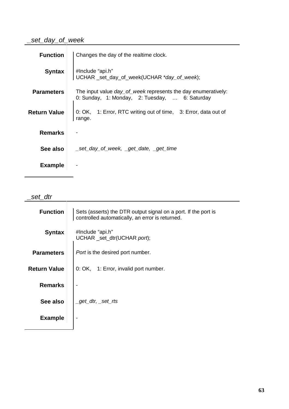### \_set\_day\_of\_week

| <b>Function</b>     | Changes the day of the realtime clock.                                                                                 |
|---------------------|------------------------------------------------------------------------------------------------------------------------|
| <b>Syntax</b>       | #Include "api.h"<br>UCHAR _set_day_of_week(UCHAR *day_of_week);                                                        |
| <b>Parameters</b>   | The input value <i>day_of_week</i> represents the day enumeratively:<br>0: Sunday, 1: Monday, 2: Tuesday,  6: Saturday |
| <b>Return Value</b> | 0: OK, 1: Error, RTC writing out of time, 3: Error, data out of<br>range.                                              |
| <b>Remarks</b>      |                                                                                                                        |
| See also            | _set_day_of_week, _get_date, _get_time                                                                                 |
| <b>Example</b>      |                                                                                                                        |

\_set\_dtr

| <b>Function</b>     | Sets (asserts) the DTR output signal on a port. If the port is<br>controlled automatically, an error is returned. |
|---------------------|-------------------------------------------------------------------------------------------------------------------|
| <b>Syntax</b>       | #Include "api.h"<br>UCHAR _set_dtr(UCHAR port);                                                                   |
| <b>Parameters</b>   | <i>Port</i> is the desired port number.                                                                           |
| <b>Return Value</b> | 0: OK, 1: Error, invalid port number.                                                                             |
| <b>Remarks</b>      |                                                                                                                   |
| See also            | _get_dtr, _set_rts                                                                                                |
| <b>Example</b>      |                                                                                                                   |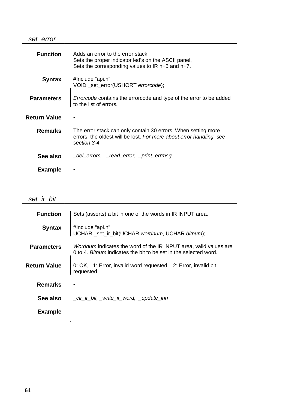#### \_set\_error

| <b>Function</b>     | Adds an error to the error stack,<br>Sets the proper indicator led's on the ASCII panel,<br>Sets the corresponding values to IR $n+5$ and $n+7$ .    |
|---------------------|------------------------------------------------------------------------------------------------------------------------------------------------------|
| <b>Syntax</b>       | #Include "api.h"<br>VOID _set_error(USHORT <i>errorcode</i> );                                                                                       |
| <b>Parameters</b>   | <i>Errorcode</i> contains the errorcode and type of the error to be added<br>to the list of errors.                                                  |
| <b>Return Value</b> |                                                                                                                                                      |
| <b>Remarks</b>      | The error stack can only contain 30 errors. When setting more<br>errors, the oldest will be lost. For more about error handling, see<br>section 3-4. |
| See also            | _del_errors, _read_error, _print_errmsg                                                                                                              |
| <b>Example</b>      |                                                                                                                                                      |

#### \_set\_ir\_bit

| <b>Function</b>     | Sets (asserts) a bit in one of the words in IR INPUT area.                                                                                   |
|---------------------|----------------------------------------------------------------------------------------------------------------------------------------------|
| <b>Syntax</b>       | #Include "api.h"<br>UCHAR _set_ir_bit(UCHAR wordnum, UCHAR bitnum);                                                                          |
| <b>Parameters</b>   | <i>Wordnum</i> indicates the word of the IR INPUT area, valid values are<br>0 to 4. Bitnum indicates the bit to be set in the selected word. |
| <b>Return Value</b> | 0: OK, 1: Error, invalid word requested, 2: Error, invalid bit<br>requested.                                                                 |
| <b>Remarks</b>      |                                                                                                                                              |
| See also            | _clr_ir_bit, _write_ir_word, _update_irin                                                                                                    |
| <b>Example</b>      |                                                                                                                                              |
|                     |                                                                                                                                              |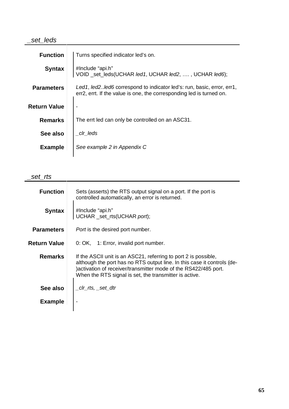### \_set\_leds

| <b>Function</b>     | Turns specified indicator led's on.                                                                                                              |
|---------------------|--------------------------------------------------------------------------------------------------------------------------------------------------|
| <b>Syntax</b>       | #Include "api.h"<br>VOID _set_leds(UCHAR led1, UCHAR led2, , UCHAR led6);                                                                        |
| <b>Parameters</b>   | Led1, led2. led6 correspond to indicator led's: run, basic, error, err1,<br>err2, errt. If the value is one, the corresponding led is turned on. |
| <b>Return Value</b> |                                                                                                                                                  |
| <b>Remarks</b>      | The errt led can only be controlled on an ASC31.                                                                                                 |
| See also            | clr leds                                                                                                                                         |
| <b>Example</b>      | See example 2 in Appendix C                                                                                                                      |
|                     |                                                                                                                                                  |

\_set\_rts

| <b>Function</b>   | Sets (asserts) the RTS output signal on a port. If the port is<br>controlled automatically, an error is returned.                                                                                                                                                       |
|-------------------|-------------------------------------------------------------------------------------------------------------------------------------------------------------------------------------------------------------------------------------------------------------------------|
| <b>Syntax</b>     | #Include "api.h"<br>UCHAR _set_rts(UCHAR port);                                                                                                                                                                                                                         |
| <b>Parameters</b> | <i>Port</i> is the desired port number.                                                                                                                                                                                                                                 |
| Return Value      | 0: OK, 1: Error, invalid port number.                                                                                                                                                                                                                                   |
| <b>Remarks</b>    | If the ASCII unit is an ASC21, referring to port 2 is possible,<br>although the port has no RTS output line. In this case it controls (de-<br>)activation of receiver/transmitter mode of the RS422/485 port.<br>When the RTS signal is set, the transmitter is active. |
| See also          | _clr_rts, _set_dtr                                                                                                                                                                                                                                                      |
| <b>Example</b>    |                                                                                                                                                                                                                                                                         |
|                   |                                                                                                                                                                                                                                                                         |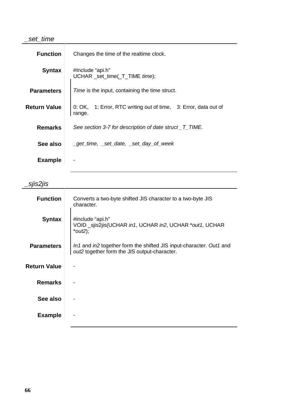#### \_set\_time

| <b>Function</b>     | Changes the time of the realtime clock.                                     |
|---------------------|-----------------------------------------------------------------------------|
| <b>Syntax</b>       | #Include "api.h"<br>UCHAR _set_time(_T_TIME time);                          |
| <b>Parameters</b>   | <i>Time</i> is the input, containing the time struct.                       |
| <b>Return Value</b> | 1: Error, RTC writing out of time, 3: Error, data out of<br>0:OK,<br>range. |
| <b>Remarks</b>      | See section 3-7 for description of date struct _T_TIME.                     |
| See also            | _get_time, _set_date, _set_day_of_week                                      |
| <b>Example</b>      |                                                                             |

\_sjis2jis

| _vjiv <b>_</b> jiv  |                                                                                                                     |
|---------------------|---------------------------------------------------------------------------------------------------------------------|
| <b>Function</b>     | Converts a two-byte shifted JIS character to a two-byte JIS<br>character.                                           |
| <b>Syntax</b>       | #include "api.h"<br>VOID _sjis2jis(UCHAR in1, UCHAR in2, UCHAR *out1, UCHAR<br>$*out2);$                            |
| <b>Parameters</b>   | In1 and in2 together form the shifted JIS input-character. Out1 and<br>out2 together form the JIS output-character. |
| <b>Return Value</b> |                                                                                                                     |
| <b>Remarks</b>      |                                                                                                                     |
| See also            |                                                                                                                     |
| <b>Example</b>      |                                                                                                                     |
|                     |                                                                                                                     |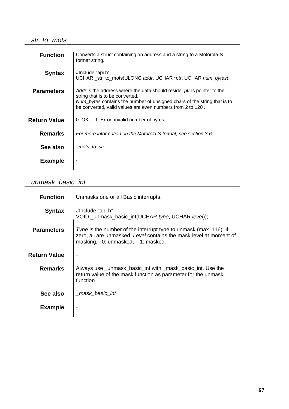#### \_str\_to\_mots

| <b>Function</b>     | Converts a struct containing an address and a string to a Motorola-S<br>format string.                                                                                                                                                               |
|---------------------|------------------------------------------------------------------------------------------------------------------------------------------------------------------------------------------------------------------------------------------------------|
| <b>Syntax</b>       | #Include "api.h"<br>UCHAR _str_to_mots(ULONG addr, UCHAR *ptr, UCHAR num_bytes);                                                                                                                                                                     |
| <b>Parameters</b>   | Addr is the address where the data should reside, ptr is pointer to the<br>string that is to be converted.<br>Num_bytes contains the number of unsigned chars of the string that is to<br>be converted, valid values are even numbers from 2 to 120. |
| <b>Return Value</b> | 0: OK, 1: Error, invalid number of bytes.                                                                                                                                                                                                            |
| <b>Remarks</b>      | For more information on the Motorola-S format, see section 3-6.                                                                                                                                                                                      |
| See also            | mots to str                                                                                                                                                                                                                                          |
| <b>Example</b>      |                                                                                                                                                                                                                                                      |

# \_unmask\_basic\_int

| <b>Function</b>   | Unmasks one or all Basic interrupts.                                                                                                                                               |
|-------------------|------------------------------------------------------------------------------------------------------------------------------------------------------------------------------------|
| <b>Syntax</b>     | #Include "api.h"<br>VOID _unmask_basic_int(UCHAR type, UCHAR level));                                                                                                              |
| <b>Parameters</b> | <i>Type</i> is the number of the interrupt type to unmask (max. 116). If<br>zero, all are unmasked. Level contains the mask-level at moment of<br>masking, 0: unmasked, 1: masked. |
| Return Value      |                                                                                                                                                                                    |
| <b>Remarks</b>    | Always use _unmask_basic_int with _mask_basic_int. Use the<br>return value of the mask function as parameter for the unmask<br>function.                                           |
| See also          | mask basic int                                                                                                                                                                     |
| <b>Example</b>    |                                                                                                                                                                                    |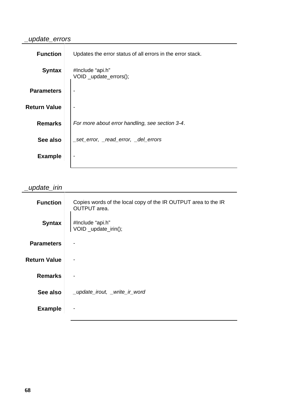## \_update\_errors

| <b>Function</b>     | Updates the error status of all errors in the error stack. |
|---------------------|------------------------------------------------------------|
| <b>Syntax</b>       | #Include "api.h"<br>VOID _update_errors();                 |
| <b>Parameters</b>   |                                                            |
| <b>Return Value</b> |                                                            |
| <b>Remarks</b>      | For more about error handling, see section 3-4.            |
| See also            | _set_error, _read_error, _del_errors                       |
| <b>Example</b>      |                                                            |

# \_update\_irin

| <b>Function</b>     | Copies words of the local copy of the IR OUTPUT area to the IR<br><b>OUTPUT</b> area. |
|---------------------|---------------------------------------------------------------------------------------|
| <b>Syntax</b>       | #Include "api.h"<br>VOID _update_irin();                                              |
| <b>Parameters</b>   |                                                                                       |
| <b>Return Value</b> |                                                                                       |
| <b>Remarks</b>      |                                                                                       |
| See also            | _update_irout, _write_ir_word                                                         |
| <b>Example</b>      |                                                                                       |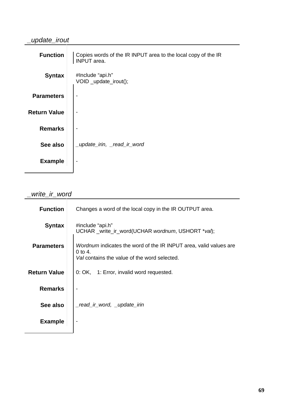# \_update\_irout

| Copies words of the IR INPUT area to the local copy of the IR<br><b>INPUT</b> area. |
|-------------------------------------------------------------------------------------|
| #Include "api.h"<br>VOID _update_irout();                                           |
|                                                                                     |
|                                                                                     |
|                                                                                     |
| _update_irin, _read_ir_word                                                         |
|                                                                                     |
|                                                                                     |

# \_write\_ir\_word

| <b>Function</b>     | Changes a word of the local copy in the IR OUTPUT area.                                                                               |
|---------------------|---------------------------------------------------------------------------------------------------------------------------------------|
| <b>Syntax</b>       | #include "api.h"<br>UCHAR _write_ir_word(UCHAR wordnum, USHORT *val);                                                                 |
| <b>Parameters</b>   | <i>Wordnum</i> indicates the word of the IR INPUT area, valid values are<br>$0$ to 4.<br>Val contains the value of the word selected. |
| <b>Return Value</b> | 0: OK, 1: Error, invalid word requested.                                                                                              |
| <b>Remarks</b>      |                                                                                                                                       |
| See also            | read_ir_word, _update_irin_                                                                                                           |
| <b>Example</b>      |                                                                                                                                       |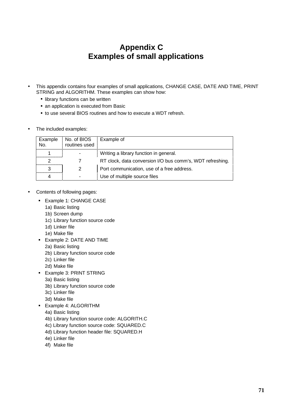# **Appendix C Examples of small applications**

- This appendix contains four examples of small applications, CHANGE CASE, DATE AND TIME, PRINT STRING and ALGORITHM. These examples can show how:
	- I library functions can be written
	- **an application is executed from Basic**
	- **to use several BIOS routines and how to execute a WDT refresh.**
- The included examples:

| Example | No. of BIOS Example of<br>routines used |                                                           |
|---------|-----------------------------------------|-----------------------------------------------------------|
|         |                                         | Writing a library function in general.                    |
|         |                                         | RT clock, data conversion I/O bus comm's, WDT refreshing. |
|         |                                         | Port communication, use of a free address.                |
|         |                                         | Use of multiple source files                              |

- Contents of following pages:
	- $\blacksquare$ Example 1: CHANGE CASE
		- 1a) Basic listing
		- 1b) Screen dump
		- 1c) Library function source code
		- 1d) Linker file
		- 1e) Make file
	- **Example 2: DATE AND TIME** 
		- 2a) Basic listing
		- 2b) Library function source code
		- 2c) Linker file
		- 2d) Make file
	- <sup>~</sup> Example 3: PRINT STRING
		- 3a) Basic listing
		- 3b) Library function source code
		- 3c) Linker file
		- 3d) Make file
	- Example 4: ALGORITHM
		- 4a) Basic listing
		- 4b) Library function source code: ALGORITH.C
		- 4c) Library function source code: SQUARED.C
		- 4d) Library function header file: SQUARED.H
		- 4e) Linker file
		- 4f) Make file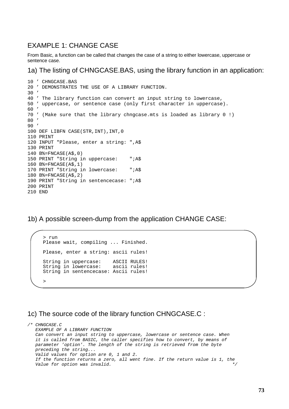## EXAMPLE 1: CHANGE CASE

From Basic, a function can be called that changes the case of a string to either lowercase, uppercase or sentence case.

1a) The listing of CHNGCASE.BAS, using the library function in an application:

```
10 ' CHNGCASE.BAS
20 ' DEMONSTRATES THE USE OF A LIBRARY FUNCTION.
30 '
40 ' The library function can convert an input string to lowercase,
50 ' uppercase, or sentence case (only first character in uppercase).
60'70 ' (Make sure that the library chngcase.mts is loaded as library 0 !)
80 '
90 '
100 DEF LIBFN CASE(STR,INT),INT,0
110 PRINT
120 INPUT "Please, enter a string: ",A$
130 PRINT
140 B%=FNCASE(A$,0)
150 PRINT "String in uppercase: ";A$
160 B%=FNCASE(A$,1)
170 PRINT "String in lowercase: ";A$
180 B%=FNCASE(A$,2)
190 PRINT "String in sentencecase: ";A$
200 PRINT
210 END
```
1b) A possible screen-dump from the application CHANGE CASE:

```
> run
Please wait, compiling ... Finished.
Please, enter a string: ascii rules!
String in uppercase: ASCII RULES!
String in lowercase: ascii rules!
String in sentencecase: Ascii rules!
\rightarrow
```
## 1c) The source code of the library function CHNGCASE.C :

/\* CHNGCASE.C EXAMPLE OF A LIBRARY FUNCTION Can convert an input string to uppercase, lowercase or sentence case. When it is called from BASIC, the caller specifies how to convert, by means of parameter 'option'. The length of the string is retrieved from the byte preceding the string... Valid values for option are 0, 1 and 2. If the function returns a zero, all went fine. If the return value is 1, the Value for option was invalid.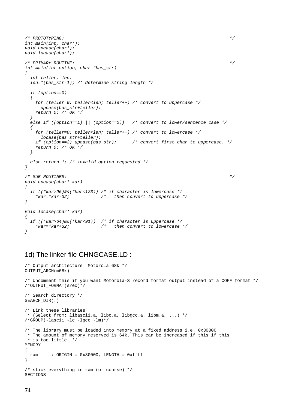```
\mathcal{L} PROTOTYPING: \mathcal{L}int main(int, char*);
void upcase(char*);
void locase(char*);
\mathcal{L}^* PRIMARY ROUTINE: \mathcal{L}^*int main(int option, char *bas_str)
\big\{int teller, len;
 len=*(bas_str-1); /* determine string length */
  if (option==0)
  {
   for (teller=0; teller<len; teller++) /* convert to uppercase */
     upcase(bas_str+teller);
   return 0; /* OK */
  }
  else if ((option==1) | | (option==2)) \quad /* convert to lower/sentence case */
  {
   for (teller=0; teller<len; teller++) /* convert to lowercase */
     locase(bas_str+teller);
   if (option==2) upcase(bas_str); \qquad /* convert first char to uppercase. */
   return 0: /* OK */
  }
 else return 1; /* invalid option requested */
}
\mathcal{L}^* SUB–ROUTINES: \mathcal{L}^*void upcase(char* kar)
{
  if ((*kar>96)&&(*kar<123)) /* if character is lowercase */
   *kar=*kar-32; /* then convert to uppercase */
}
void locase(char* kar)
{
  if ((*kar>64)\&&(*kar<91)) /* if character is uppercase */<br>*kar=*kar+32; /* then convert to lowercase
                           \frac{1}{\pi} then convert to lowercase */
}
```
## 1d) The linker file CHNGCASE.LD :

```
/* Output architecture: Motorola 68k */
OUTPUT_ARCH(m68k)
/* Uncomment this if you want Motorola-S record format output instead of a COFF format */
/*OUTPUT_FORMAT(srec)*/
/* Search directory */
SEARCH_DIR(.)
/* Link these libraries
* (Select from: libascii.a, libc.a, libgcc.a, libm.a, ...) */
/*GROUP(-lascii -lc -lgcc -lm)*/
/* The library must be loaded into memory at a fixed address i.e. 0x30000
 * The amount of memory reserved is 64k. This can be increased if this if this
 * is too little. */
MEMORY
{
 ram : ORIGIN = 0x30000, LENGTH = 0xfft}
/* stick everything in ram (of course) */
SECTIONS
```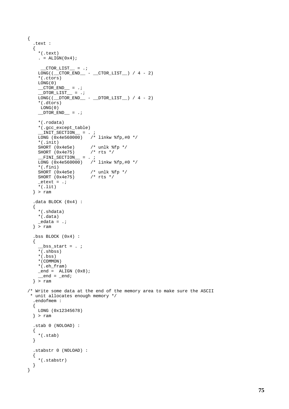```
{
   .text :
   {
     *(.text)
      . = ALIGN(0x4);CTOR_LIST = .;
     LONG((\_CTOR\_END__ - _CTOR\_LIST__) / 4 - 2)*(.ctors)
     LONG(0)
     CTOR\_END = .;
      \overline{\text{DTOR}} \overline{\text{LIST}} = .;
     \texttt{LONG}((\texttt{\_DTOR\_END}\_\texttt{{-}}\_\texttt{{-}}\_\texttt{{-}}\_\texttt{{-}}\_\texttt{{-}}\_\texttt{{-}}\_\texttt{{-}}\_\texttt{{-}}\_\texttt{{-}}\_\texttt{{-}}\_\texttt{{-}}\_\texttt{{-}}\_\texttt{{-}}\_\texttt{{-}}\_\texttt{{-}}\_\texttt{{-}}\_\texttt{{-}}\_\texttt{{-}}\_\texttt{{-}}\_\texttt{{-}}\_\texttt{{-}}\_\texttt{{-}}\_\texttt{{-}}\_\texttt{{-}}\_\texttt{{-}}\_\texttt{{-}}\_\texttt{{-}}\_\texttt{{-}}\_\texttt{{-}}*(.dtors)
      LONG(0)
      DTOR\_END = .;
      *(.rodata)
      *(.gcc_except_table)
      \text{ENT\_SECTION} = . ;
      LONG (0x4e560000) /* linkw %fp,#0 */
      *(.init)
      SHORT (0x4e5e) /* unlk %fp */
      SHORT (0x4e75) /* rts */
      _FINI\_SECTION_ = . ;
     LONG (0x4e560000) /* linkw f(p, #0 *)*(.fini)
                                 \frac{1}{x} unlk %fp */<br>/* rts */
     SHORT (0x4e75)_{\text{etext}} = .;
      *(.lit)
   } > ram
   .data BLOCK (0x4) :
   {
     *(.shdata)
     *(.data)
      _edata = .;\} > ram
   .bss BLOCK (0x4) :
   {
       _bss_start = . ;
     \overline{\cdot} (.shbss)
     *(.bss)
     *(COMMON)
     *(.eh_fram)
     _{end} = _{ALIGN} (0x8);
      \text{end} = \text{end};} > ram
/* Write some data at the end of the memory area to make sure the ASCII
 * unit allocates enough memory */
   .endofmem :
   {
     LONG (0x12345678)
   } > ram
   .stab 0 (NOLOAD) :
   {
     *(.stab)
   }
   .stabstr 0 (NOLOAD) :
   {
     *(.stabstr)
   }
}
```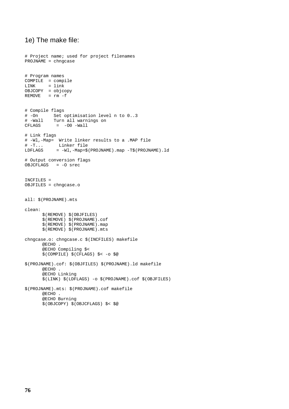## 1e) The make file:

```
# Project name; used for project filenames
PROJNAME = chngcase
# Program names
COMPILE = compile
LINK = link
OBJCOPY = objcopy
REMOVE = rm -f# Compile flags
# -On Set optimisation level n to 0..3
# -Wall Turn all warnings on
         = -00 -Wall
# Link flags
# -Wl,-Map= Write linker results to a .MAP file
# -T... Linker file
LDFLAGS = -Wl,-Map=$(PROJNAME).map -T$(PROJNAME).ld
# Output conversion flags
OBJCFLAGS = -O srec
INCFILES =
OBJFILES = chngcase.o
all: $(PROJNAME).mts
clean:
      $(REMOVE) $(OBJFILES)
      $(REMOVE) $(PROJNAME).cof
      $(REMOVE) $(PROJNAME).map
      $(REMOVE) $(PROJNAME).mts
chngcase.o: chngcase.c $(INCFILES) makefile
      @ECHO .
      @ECHO Compiling $<
      $(COMPILE) $(CFLAGS) $< -o $@
$(PROJNAME).cof: $(OBJFILES) $(PROJNAME).ld makefile
      @ECHO .
      @ECHO Linking
      $(LINK) $(LDFLAGS) -o $(PROJNAME).cof $(OBJFILES)
$(PROJNAME).mts: $(PROJNAME).cof makefile
      @ECHO .
      @ECHO Burning
      $(OBJCOPY) $(OBJCFLAGS) $< $@
```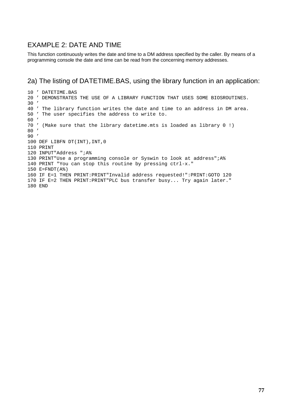## EXAMPLE 2: DATE AND TIME

This function continuously writes the date and time to a DM address specified by the caller. By means of a programming console the date and time can be read from the concerning memory addresses.

## 2a) The listing of DATETIME.BAS, using the library function in an application:

 ' DATETIME.BAS ' DEMONSTRATES THE USE OF A LIBRARY FUNCTION THAT USES SOME BIOSROUTINES. ' ' The library function writes the date and time to an address in DM area. ' The user specifies the address to write to. ' ' (Make sure that the library datetime.mts is loaded as library 0 !) ' ' DEF LIBFN DT(INT),INT,0 PRINT INPUT"Address ";A% PRINT"Use a programming console or Syswin to look at address";A% PRINT "You can stop this routine by pressing ctrl-x." E=FNDT(A%) IF E=1 THEN PRINT:PRINT"Invalid address requested!":PRINT:GOTO 120 IF E=2 THEN PRINT:PRINT"PLC bus transfer busy... Try again later." END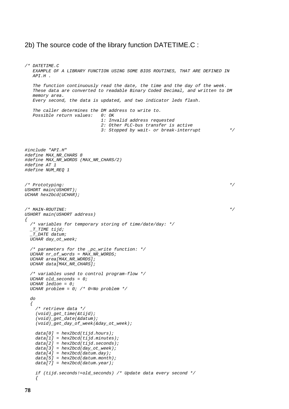### 2b) The source code of the library function DATETIME.C :

```
/* DATETIME.C
  EXAMPLE OF A LIBRARY FUNCTION USING SOME BIOS ROUTINES, THAT ARE DEFINED IN
   API.H .
  The function continuously read the date, the time and the day of the week.
  These data are converted to readable Binary Coded Decimal, and written to DM
  memory area.
  Every second, the data is updated, and two indicator leds flash.
  The caller determines the DM address to write to.
  Possible return values: 0: OK
                           1: Invalid address requested
                            2: Other PLC-bus transfer is active
                            3: Stopped by wait- or break-interrupt */
#include "API.H"
#define MAX_NR_CHARS 8
#define MAX_NR_WORDS (MAX_NR_CHARS/2)
#define AT 1
#define NUM_REQ 1
\frac{1}{x} Prototyping: \frac{x}{x}USHORT main(USHORT);
UCHAR hex2bcd(UCHAR);
\frac{1}{\sqrt{4}} MAIN-ROUTINE: \frac{1}{\sqrt{4}}USHORT main(USHORT address)
{
  /* variables for temporary storing of time/date/day: */
 TTIME tijd;
  _T_DATE datum;
  UCHAR day_ot_week;
  /* parameters for the _pc_write function: */
  UCHAR nr_of_words = MAX_NR_WORDS;
  UCHAR area[MAX_NR_WORDS];
  UCHAR data[MAX_NR_CHARS];
  /* variables used to control program-flow */
  UCHAR old_seconds = 0;
  UCHAR led1on = 0;
  UCHAR problem = 0; /* 0=No problem */
  do
  {
    /* retrieve data */
    (void)_get_time(&tijd);
    (void)_get_date(&datum);
    (void)_get_day_of_week(&day_ot_week);
   data[0] = hex2bcd(tijd.hours);data[1] = hex2bcd(tijd.minutes);data[2] = hex2bcd(tijd.seconds);data[3] = hex2bcd/day_to\_week);data[4] = hex2bcd(dataum.day);data[5] = hex2bcd(dataum.month);data[7] = hex2bcd(dataum.year);if (tijd.seconds!=old_seconds) /* Update data every second */
    {
```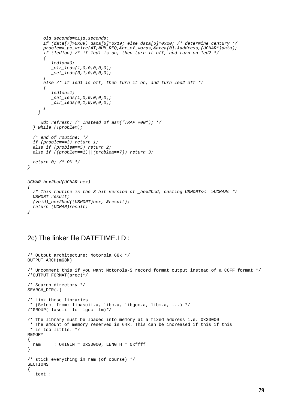```
old_seconds=tijd.seconds;
      if (data[7]>0x69) data[6]=0x19; else data[6]=0x20; /* determine century */
      problem=_pc_write(AT,NUM_REQ,&nr_of_words,&area[0],&address,(UCHAR*)data);
      if (led1on) /* if led1 is on, then turn it off, and turn on led2 */{
         led1on=0;
         _{clr\_leds(1,0,0,0,0,0)};
         _set_leds(0,1,0,0,0,0);
      }
      else /* if led1 is off, then turn it on, and turn led2 off */\{led1on=1;
         _set_leds(1,0,0,0,0,0);
         _clr_leds(0,1,0,0,0,0);
      }
    }
    _wdt_refresh; /* Instead of asm("TRAP #00"); */
  } while (!problem);
  /* end of routine: */
  if (problem==3) return 1;
  else if (problem==5) return 2;
  else if ((problem==1)||(problem==7)) return 3;
 return 0; /* OK */
}
UCHAR hex2bcd(UCHAR hex)
{
  /* This routine is the 8-bit version of _hex2bcd, casting USHORTs<-->UCHARs */
 USHORT result;
  (void)_hex2bcd((USHORT)hex, &result);
  return (UCHAR)result;
}
```
## 2c) The linker file DATETIME.LD :

```
/* Output architecture: Motorola 68k */
OUTPUT_ARCH(m68k)
/* Uncomment this if you want Motorola-S record format output instead of a COFF format */
/*OUTPUT_FORMAT(srec)*/
/* Search directory */
SEARCH_DIR(.)
/* Link these libraries
* (Select from: libascii.a, libc.a, libgcc.a, libm.a, ...) */
/*GROUP(-lascii -lc -lgcc -lm)*/
/* The library must be loaded into memory at a fixed address i.e. 0x30000
 * The amount of memory reserved is 64k. This can be increased if this if this
* is too little. */
MEMORY
{
 ram : ORIGIN = 0x30000, LENGTH = 0xfft}
/* stick everything in ram (of course) */
SECTIONS
{
  .text :
```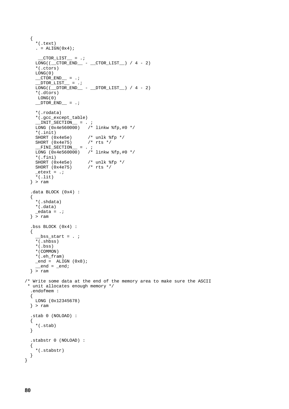```
{
    *(.text)
    . = ALIGN(0x4);
       CTOR_LIST = .;
    LONG((\overline{\rule{0pt}{0pt}CTOR\_END\_ - \rule{0pt}{0pt}CTOR\_LIST\_}) / 4 - 2)
    *(.ctors)
    LONG(0)
     \_CTOR\_END\_ = .;\_ DTOR\_LIST\_ = .;\overline{\text{Long}} (\overline{\text{DTOR\_END}} - \overline{\text{DTOR\_LIST}}) / 4 - 2)
    *(.dtors)
     LONG(0)
    DTOR_END = .;
    *(.rodata)
    *(.gcc_except_table)
     \text{ENT\_SECTION} = . ;
     LONG (0x4e560000) /* linkw %fp,#0 */
    *(.init)
    SHORT (0x4e5e) \frac{1}{x} unlk f(p \star)<br>SHORT (0x4e75) \frac{1}{x} rts \frac{x}{x}SHORT (0x4e75)<br>FINI SECTION
     _FINI\_SECTION_ = . ;LONG (0x4e560000) /* linkw %fp,#0 */
    *(.fini)
                           /* unlk %fp */<br>/* rts */
    SHORT (0x4e75)_{\text{etext}} = .;
    *(.lit)} > ram
  .data BLOCK (0x4) :
  {
    *(.shdata)
    *(.data)
     edata = .;} > ram
  .bss BLOCK (0x4) :
  {
     _bss_start = . ;
     *(.shbss)
    *(.bss)*(COMMON)
    *(.eh_fram)
    _{end} = ALIGN (0x8);
     end = end;} > ram
/* Write some data at the end of the memory area to make sure the ASCII
 * unit allocates enough memory */
  .endofmem :
  {
   LONG (0x12345678)
  } > ram
  .stab 0 (NOLOAD) :
  {
    *(.stab)
  }
  .stabstr 0 (NOLOAD) :
  {
    *(.stabstr)
  }
}
```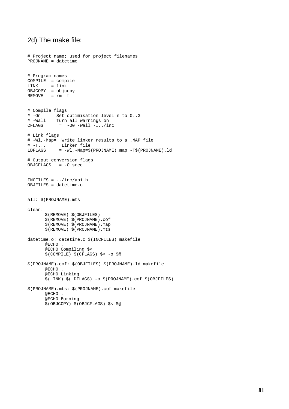## 2d) The make file:

```
# Project name; used for project filenames
PROJNAME = datetime
# Program names
COMPILE = compile
LINK = link
OBJCOPY = objcopy
REMOVE = rm -f# Compile flags
# -On Set optimisation level n to 0..3
# -Wall Turn all warnings on
          = -00 -Wall -I../inc# Link flags
# -Wl,-Map= Write linker results to a .MAP file
# -T... Linker file
LDFLAGS = -Wl,-Map=$(PROJNAME).map -T$(PROJNAME).ld
# Output conversion flags
OBJCFLAGS = -O srec
INCFILES = ../inc/api.h
OBJFILES = datetime.o
all: $(PROJNAME).mts
clean:
      $(REMOVE) $(OBJFILES)
      $(REMOVE) $(PROJNAME).cof
      $(REMOVE) $(PROJNAME).map
      $(REMOVE) $(PROJNAME).mts
datetime.o: datetime.c $(INCFILES) makefile
      @ECHO .
      @ECHO Compiling $<
      $(COMPILE) $(CFLAGS) $< -o $@
$(PROJNAME).cof: $(OBJFILES) $(PROJNAME).ld makefile
      @ECHO .
      @ECHO Linking
      $(LINK) $(LDFLAGS) -o $(PROJNAME).cof $(OBJFILES)
$(PROJNAME).mts: $(PROJNAME).cof makefile
      @ECHO .
      @ECHO Burning
      $(OBJCOPY) $(OBJCFLAGS) $< $@
```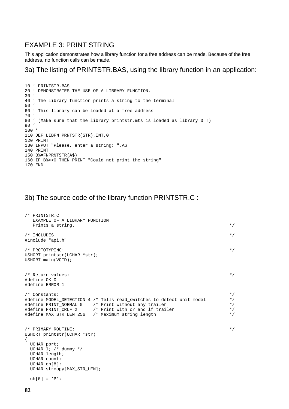## EXAMPLE 3: PRINT STRING

This application demonstrates how a library function for a free address can be made. Because of the free address, no function calls can be made.

3a) The listing of PRINTSTR.BAS, using the library function in an application:

```
10 ' PRINTSTR.BAS
20 ' DEMONSTRATES THE USE OF A LIBRARY FUNCTION.
30 '
40 ' The library function prints a string to the terminal
50 '
60 ' This library can be loaded at a free address
70 '
80 ' (Make sure that the library printstr.mts is loaded as library 0 !)
90 '
100 '
110 DEF LIBFN PRNTSTR(STR),INT,0
120 PRINT
130 INPUT "Please, enter a string: ",A$
140 PRINT
150 B%=FNPRNTSTR(A$)
160 IF B%<>0 THEN PRINT "Could not print the string"
170 END
```
## 3b) The source code of the library function PRINTSTR.C :

```
/* PRINTSTR.C
  EXAMPLE OF A LIBRARY FUNCTION
  Prints a string. */\gamma* INCLUDES */
#include "api.h"
\gamma /* PROTOTYPING: \gamma /* \gammaUSHORT printstr(UCHAR *str);
USHORT main(VOID);
\frac{1}{2} Return values: \frac{1}{2} Return values:
#define OK 0
#define ERROR 1
% Constants:<br>#define MODEL_DETECTION 4 /* Tells read_switches to detect unit model */<br>#define PRINT_NORMAL 0 /* Print without any trailer */<br>#define PRINT_CRLF 2 /* Print with cr and lf trailer */*/*/*/*/*/*/*/*/*/*/*/*/*/
#define MODEL_DETECTION 4 /* Tells read_switches to detect unit model
#define PRINT_NORMAL 0 /* Print without any trailer */
#define PRINT_CRLF 2 /* Print with cr and lf trailer */
#define MAX STR LEN 256 /* Maximum string length */
/* PRIMARY ROUTINE: */
USHORT printstr(UCHAR *str)
{
 UCHAR port;
 UCHAR 1; /* dummy */UCHAR length;
 UCHAR count;
 UCHAR ch[8];
 UCHAR strcopy[MAX_STR_LEN];
 ch[0] = 'P';
```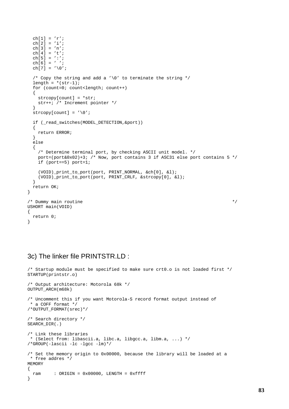```
ch[1] = 'r';
  ch[2] = 'i';
  ch[3] = 'n';
 ch[4] = 't';ch[5] = ':';
 ch[6] = ' ';
 ch[7] = ' \ 0';
  /* Copy the string and add a '\sqrt{0}' to terminate the string */
  length = *(str-1);for (count=0; count<length; count++)
  {
   strcopy[count] = *str;
   str++; /* Increment pointer */
  }
  \text{strong}[count] = '\0';
  if (_read_switches(MODEL_DETECTION,&port))
  \left\{ \right.return ERROR;
  }
  else
  {
    /* Determine terminal port, by checking ASCII unit model. */
   port=(port&0x02)+3; /* Now, port contains 3 if ASC31 else port contains 5 */
   if (port==5) port=1;
    (VOID)_print_to_port(port, PRINT_NORMAL, &ch[0], &l);
    (VOID)_print_to_port(port, PRINT_CRLF, &strcopy[0], &l);
  }
 return OK;
}
\frac{1}{x} Dummy main routine \frac{x}{x}USHORT main(VOID)
{
 return 0;
}
```
## 3c) The linker file PRINTSTR.LD :

```
/* Startup module must be specified to make sure crt0.o is not loaded first */
STARTUP(printstr.o)
/* Output architecture: Motorola 68k */
OUTPUT_ARCH(m68k)
/* Uncomment this if you want Motorola-S record format output instead of
* a COFF format */
/*OUTPUT_FORMAT(srec)*/
/* Search directory */
SEARCH_DIR(.)
/* Link these libraries
* (Select from: libascii.a, libc.a, libgcc.a, libm.a, ...) */
/*GROUP(-lascii -lc -lgcc -lm)*/
/* Set the memory origin to 0x00000, because the library will be loaded at a
* free addres */
MEMORY
{
 ram : ORIGIN = 0x00000, LENGTH = 0xffft}
```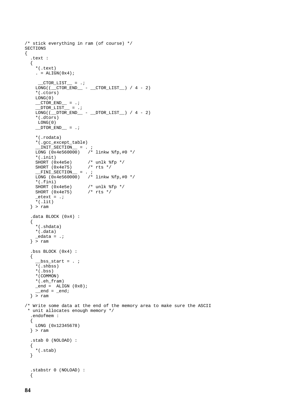```
/* stick everything in ram (of course) */
SECTIONS
{
   .text :
   {
     *(.text)
     = ALIGN(0x4);_CTOR_LIST = .;
     LONG((\underline{\hspace{15pt}}CTOR\_END \underline{\hspace{15pt}} - \underline{\hspace{15pt}}CTOR\_LIST \underline{\hspace{15pt}} ) / 4 - 2)
     *(.ctors)
     LONG(0)
     \_CTOR\_END\_ = .;_DTOR_LIST = .;
     LONG((\_DTOR\_END__ - _DTOR\_LIST__) / 4 - 2)*(.dtors)
     LONG(0)
     DTOR_END = .;
     *(.rodata)
     *(.gcc_except_table)
      \text{ENT\_SECTION} = . ;
      LONG (0x4e560000) /* linkw %fp,#0 */
     *(.init)
                            /* unlk %fp */<br>/* rts */
     SHORT (0x4e75)_FINI\_SECTION_ = . ;LONG (0x4e560000) /* linkw %fp,#0 */
     *(.fini)
     SHORT (0x4e5e) \begin{array}{ccc} \cdot & - \cdot & \cdot \\ \text{SHORT} & (\text{0x4e5e}) & \cdot & \cdot \end{array} /* unlk $fp */
    SHORT (0x4e75)_{\text{etext}} = .;
     *(.lit)} > ram
   .data BLOCK (0x4) :
   {
     *(.shdata)
     *(.data)
     _edata = .;\} > ram
   .bss BLOCK (0x4) :
  {
       _bss_start = . ;
    \overline{\cdot} (.shbss)
    *(.bss)*(COMMON)
     *(.eh_fram)
     \begin{tabular}{lllll} \multicolumn{2}{l}{{\small\textrm{end}}} = & \multicolumn{2}{l}{\small\textrm{ALIGN}} & \multicolumn{2}{l}{\small\textrm{(0x8)}} \end{tabular};\text{end} = \text{end};} > ram
/* Write some data at the end of the memory area to make sure the ASCII
 * unit allocates enough memory */
   .endofmem :
   {
    LONG (0x12345678)
  } > ram
   .stab 0 (NOLOAD) :
   {
     *(.stab)
  }
   .stabstr 0 (NOLOAD) :
   {
```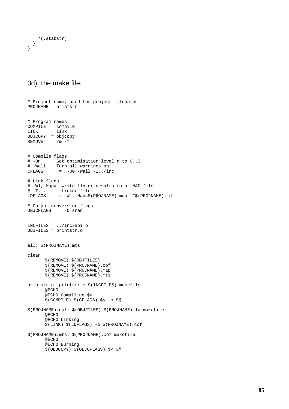```
*(.stabstr)
  }
}
```
## 3d) The make file:

```
# Project name; used for project filenames
PROJNAME = printstr
# Program names
COMPILE = compile
LINK = link
OBJCOPY = objcopy
RE  = r m - f# Compile flags
         Set optimisation level n to 0..3
# -Wall Turn all warnings on
CFLAGS = -00 -Wall -I../inc# Link flags
# -Wl,-Map= Write linker results to a .MAP file
           Linker file
LDFLAGS = -Wl,-Map=$(PROJNAME).map -T$(PROJNAME).ld
# Output conversion flags
OBJCFLAGS = -O srec
INCFILES = ../inc/api.h
OBJFILES = printstr.o
all: $(PROJNAME).mts
clean:
      $(REMOVE) $(OBJFILES)
      $(REMOVE) $(PROJNAME).cof
       $(REMOVE) $(PROJNAME).map
       $(REMOVE) $(PROJNAME).mts
printstr.o: printstr.c $(INCFILES) makefile
      @ECHO .
      @ECHO Compiling $<
      $(COMPILE) $(CFLAGS) $< -o $@
$(PROJNAME).cof: $(OBJFILES) $(PROJNAME).ld makefile
      @ECHO .
      @ECHO Linking
      $(LINK) $(LDFLAGS) -o $(PROJNAME).cof
$(PROJNAME).mts: $(PROJNAME).cof makefile
      @ECHO .
      @ECHO Burning
      $(OBJCOPY) $(OBJCFLAGS) $< $@
```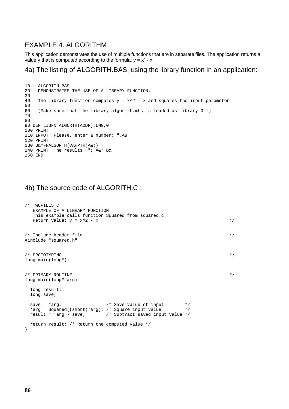## EXAMPLE 4: ALGORITHM

This application demonstrates the use of multiple functions that are in separate files. The application returns a value y that is computed according to the formula:  $y = x^2 - x$ .

## 4a) The listing of ALGORITH.BAS, using the library function in an application:

```
10 ' ALGORITH.BAS
20 ' DEMONSTRATES THE USE OF A LIBRARY FUNCTION.
30'40 ' The library function computes y = x^2 - x and squares the input parameter
50 '
60 ' (Make sure that the library algorith.mts is loaded as library 0 !)
70 '
80 '
90 DEF LIBFN ALGORTH(ADDR),LNG,0
100 PRINT
110 INPUT "Please, enter a number: ",A&
120 PRINT
130 B&=FNALGORTH(VARPTR(A&))
140 PRINT "The results: "; A&; B&
150 END
```
## 4b) The source code of ALGORITH.C :

```
/* TWOFILES.C
  EXAMPLE OF A LIBRARY FUNCTION
   This example calls function Squared from squared.c
  Return value: y = x^2 - x */
/* Include header file \overline{\phantom{a}}#include "squared.h"
\gamma and \gamma is the property of the set of the set of the set of the set of the set of the set of the set of the set of the set of the set of the set of the set of the set of the set of the set of the set of the set of t
long main(long*);
\forall* PRIMARY ROUTINE \forall /*
long main(long* arg)
{
  long result;
 long save;
  save = *arg; 4 \times 5 /* Save value of input 4 \times 7*arg = Squared((short)*arg); /* Square input value */
  result = *arg - save; * Subtract saved input value */return result; /* Return the computed value */
}
```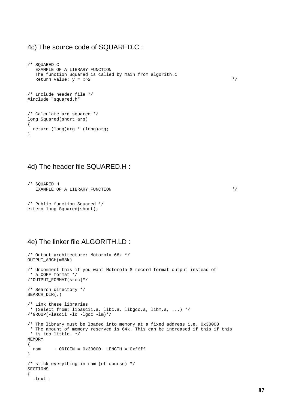## 4c) The source code of SQUARED.C :

```
/* SQUARED.C
  EXAMPLE OF A LIBRARY FUNCTION
  The function Squared is called by main from algorith.c
  Return value: y = x^2 */
/* Include header file */
#include "squared.h"
/* Calculate arg squared */
long Squared(short arg)
{
 return (long)arg * (long)arg;
}
```
## 4d) The header file SQUARED.H :

```
/* SQUARED.H
 EXAMPLE OF A LIBRARY FUNCTION \ast/
```

```
/* Public function Squared */
extern long Squared(short);
```
## 4e) The linker file ALGORITH.LD :

```
/* Output architecture: Motorola 68k */
OUTPUT_ARCH(m68k)
/* Uncomment this if you want Motorola-S record format output instead of
* a COFF format */
/*OUTPUT_FORMAT(srec)*/
/* Search directory */
SEARCH_DIR(.)
/* Link these libraries
* (Select from: libascii.a, libc.a, libgcc.a, libm.a, ...) */
/*GROUP(-lascii -lc -lgcc -lm)*/
/* The library must be loaded into memory at a fixed address i.e. 0x30000
* The amount of memory reserved is 64k. This can be increased if this if this
* is too little. */
MEMORY
\{ram : ORIGIN = 0x30000, LENGTH = 0xfft}
/* stick everything in ram (of course) */
SECTIONS
{
  .text :
```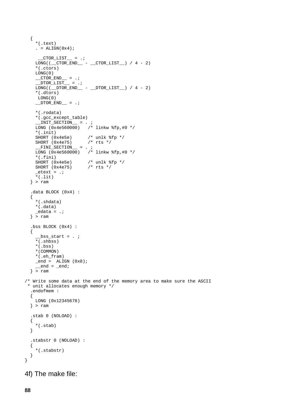```
{
    *(.text)
    . = ALIGN(0x4);
       CTOR_LIST = .;
    LONG((\overline{\text{CTOR\_END}}_ - - \overline{\text{CTOR\_LIST}}_+)/4 - 2)*(.ctors)
    LONG(0)
    \_CTOR\_END\_ = .;\overline{\text{DTOR}} \overline{\text{LIST}} = .;
    \overline{\text{Long}} (\overline{\text{DTOR\_END}} - \overline{\text{DTOR\_LIST}}) / 4 - 2)
    *(.dtors)
     LONG(0)
    DTOR_END = .;
    *(.rodata)
    *(.gcc_except_table)
     \text{ENT\_SECTION} = . ;
     LONG (0x4e560000) /* linkw %fp,#0 */
    *(.init)
    SHORT (0x4e5e) \frac{1}{x} unlk f(p \star)<br>SHORT (0x4e75) \frac{1}{x} rts \frac{x}{x}SHORT (0x4e75)_FINI\_SECTION = . ;
    LONG (0x4e560000) /* linkw %fp,#0 */
    *(.fini)
                           /* unlk %fp */<br>/* rts */
    SHORT (0x4e75)_{\text{etext}} = .;
    *(.lit)} > ram
  .data BLOCK (0x4) :
  {
    *(.shdata)
    *(.data)
     edata = .;} > ram
  .bss BLOCK (0x4) :
  {
     _bss_start = . ;
     *(.shbss)
    *(.bss)*(COMMON)
    *(.eh_fram)
    _{end} = ALIGN (0x8);
     =end = _{\text{end}};
  } > ram
/* Write some data at the end of the memory area to make sure the ASCII
 * unit allocates enough memory */
  .endofmem :
  {
   LONG (0x12345678)
  } > ram
  .stab 0 (NOLOAD) :
  {
    *(.stab)
  }
  .stabstr 0 (NOLOAD) :
  {
    *(.stabstr)
  }
}
```
4f) The make file: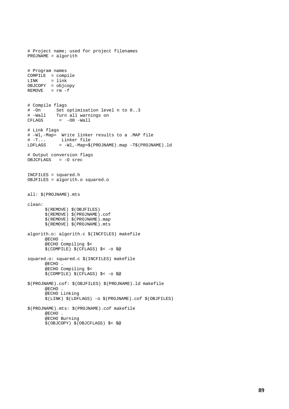```
# Project name; used for project filenames
PROJNAME = algorith
# Program names
COMPILE = compile
LINK = link
OBJCOPY = objcopy
RE  = rm -f# Compile flags
        Set optimisation level n to 0..3# -Wall Turn all warnings on
          = -00 -Wall
# Link flags
# -Wl,-Map= Write linker results to a .MAP file
# -T... Linker file
LDFLAGS = -Wl,-Map=$(PROJNAME).map -T$(PROJNAME).ld
# Output conversion flags
OBJCFLAGS = -O srec
INCFILES = squared.h
OBJFILES = algorith.o squared.o
all: $(PROJNAME).mts
clean:
      $(REMOVE) $(OBJFILES)
      $(REMOVE) $(PROJNAME).cof
      $(REMOVE) $(PROJNAME).map
      $(REMOVE) $(PROJNAME).mts
algorith.o: algorith.c $(INCFILES) makefile
      @ECHO .
      @ECHO Compiling $<
      $(COMPILE) $(CFLAGS) $< -o $@
squared.o: squared.c $(INCFILES) makefile
      @ECHO .
      @ECHO Compiling $<
      $(COMPILE) $(CFLAGS) $< -o $@
$(PROJNAME).cof: $(OBJFILES) $(PROJNAME).ld makefile
      @ECHO .
      @ECHO Linking
      $(LINK) $(LDFLAGS) -o $(PROJNAME).cof $(OBJFILES)
$(PROJNAME).mts: $(PROJNAME).cof makefile
      @ECHO .
      @ECHO Burning
      $(OBJCOPY) $(OBJCFLAGS) $< $@
```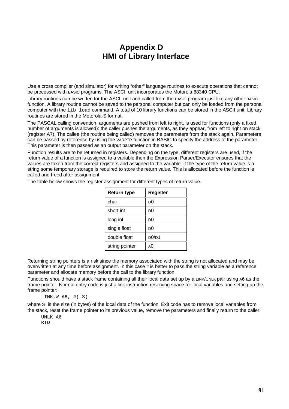# **Appendix D HMI of Library Interface**

Use a cross compiler (and simulator) for writing "other" language routines to execute operations that cannot be processed with BASIC programs. The ASCII unit incorporates the Motorola 68340 CPU.

Library routines can be written for the ASCII unit and called from the BASIC program just like any other BASIC function. A library routine cannot be saved to the personal computer but can only be loaded from the personal computer with the lib load command. A total of 10 library functions can be stored in the ASCII unit. Library routines are stored in the Motorola-S format.

The PASCAL calling convention, arguments are pushed from left to right, is used for functions (only a fixed number of arguments is allowed): the caller pushes the arguments, as they appear, from left to right on stack (register A7). The callee (the routine being called) removes the parameters from the stack again. Parameters can be passed by reference by using the VARPTR function in BASIC to specify the address of the parameter. This parameter is then passed as an output parameter on the stack.

Function results are to be returned in registers. Depending on the type, different registers are used, if the return value of a function is assigned to a variable then the Expression Parser/Executor ensures that the values are taken from the correct registers and assigned to the variable. If the type of the return value is a string some temporary storage is required to store the return value. This is allocated before the function is called and freed after assignment.

| The table below shows the register assignment for different types of return value. |  |  |
|------------------------------------------------------------------------------------|--|--|
|                                                                                    |  |  |

| <b>Return type</b> | Register                       |  |
|--------------------|--------------------------------|--|
| char               | DO                             |  |
| short int          | DO                             |  |
| long int           | DO                             |  |
| single float       | DO                             |  |
| double float       | D <sub>0</sub> /D <sub>1</sub> |  |
| string pointer     | AO                             |  |

Returning string pointers is a risk since the memory associated with the string is not allocated and may be overwritten at any time before assignment. In this case it is better to pass the string variable as a reference parameter and allocate memory before the call to the library function.

Functions should have a stack frame containing all their local data set up by a LINK/UNLK pair using A6 as the frame pointer. Normal entry code is just a link instruction reserving space for local variables and setting up the frame pointer:

LINK.W  $A6, \#(-S)$ 

where S is the size (in bytes) of the local data of the function. Exit code has to remove local variables from the stack, reset the frame pointer to its previous value, remove the parameters and finally return to the caller:

UNLK A6 RTD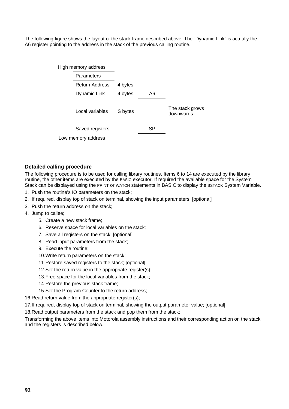The following figure shows the layout of the stack frame described above. The "Dynamic Link" is actually the A6 register pointing to the address in the stack of the previous calling routine.



**Detailed calling procedure**

The following procedure is to be used for calling library routines. Items 6 to 14 are executed by the library routine, the other items are executed by the BASIC executor. If required the available space for the System Stack can be displayed using the PRINT or WATCH statements in BASIC to display the SSTACK System Variable.

- 1. Push the routine's IO parameters on the stack;
- 2. If required, display top of stack on terminal, showing the input parameters; [optional]
- 3. Push the return address on the stack;
- 4. Jump to callee;
	- 5. Create a new stack frame;
	- 6. Reserve space for local variables on the stack;
	- 7. Save all registers on the stack; [optional]
	- 8. Read input parameters from the stack;
	- 9. Execute the routine;
	- 10.Write return parameters on the stack;
	- 11.Restore saved registers to the stack; [optional]
	- 12. Set the return value in the appropriate register(s):
	- 13.Free space for the local variables from the stack;
	- 14.Restore the previous stack frame;
	- 15.Set the Program Counter to the return address;

16.Read return value from the appropriate register(s);

17.If required, display top of stack on terminal, showing the output parameter value; [optional]

18.Read output parameters from the stack and pop them from the stack;

Transforming the above items into Motorola assembly instructions and their corresponding action on the stack and the registers is described below.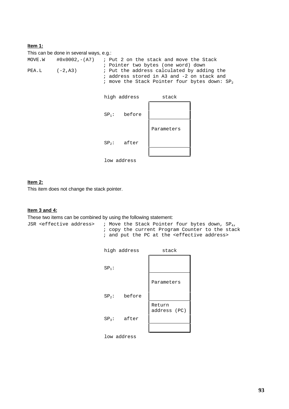### **Item 1:**

This can be done in several ways, e.g.:

| MOVE.W |           | $\text{\#0x0002,-(A7)}$ ; Put 2 on the stack and move the Stack |
|--------|-----------|-----------------------------------------------------------------|
|        |           | ; Pointer two bytes (one word) down                             |
| PEA.L  | $(-2.A3)$ | ; Put the address calculated by adding the                      |
|        |           | ; address stored in A3 and -2 on stack and                      |
|        |           | ; move the Stack Pointer four bytes down: SP,                   |



#### **Item 2:**

This item does not change the stack pointer.

### **Item 3 and 4:**

These two items can be combined by using the following statement:

JSR <effective address> ; Move the Stack Pointer four bytes down,  $SP_4$ , ; copy the current Program Counter to the stack ; and put the PC at the <effective address>



low address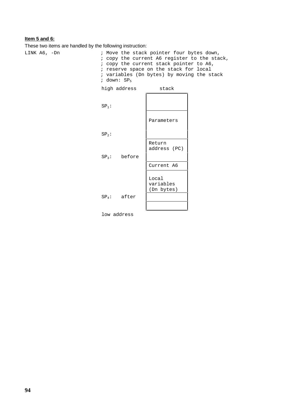### **Item 5 and 6:**

These two items are handled by the following instruction:

LINK A6, -Dn ; Move the stack pointer four bytes down, ; copy the current A6 register to the stack, ; copy the current stack pointer to A6, ; reserve space on the stack for local ; variables (Dn bytes) by moving the stack ; down: SP<sub>5</sub>

|         | high address   | stack                            |
|---------|----------------|----------------------------------|
| $SP1$ : |                |                                  |
|         |                | Parameters                       |
| $SP2$ : |                |                                  |
|         |                | Return<br>address (PC)           |
|         | $SP3$ : before |                                  |
|         |                | Current A6                       |
|         |                | Local<br>variables<br>(Dn bytes) |
|         | $SP4$ : after  |                                  |
|         |                |                                  |

low address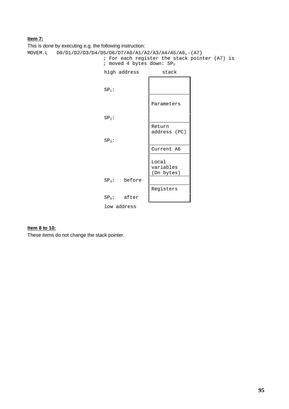### **Item 7:**

This is done by executing e.g. the following instruction:

```
MOVEM.L D0/D1/D2/D3/D4/D5/D6/D7/A0/A1/A2/A3/A4/A5/A6,-(A7)
                            ; For each register the stack pointer (A7) is
                           ; moved 4 bytes down: SP<sub>3</sub>
```


#### **Item 8 to 10:**

These items do not change the stack pointer.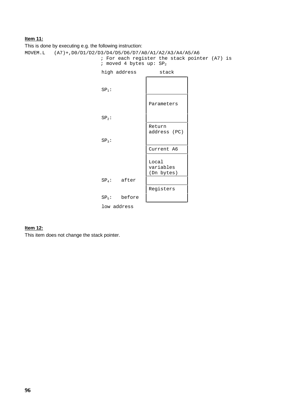### **Item 11:**

This is done by executing e.g. the following instruction:

MOVEM.L (A7)+,D0/D1/D2/D3/D4/D5/D6/D7/A0/A1/A2/A3/A4/A5/A6 ; For each register the stack pointer (A7) is ; moved 4 bytes up:  $SP<sub>2</sub>$ 

> high address stack  $SP<sub>1</sub>$ : Parameters  $SP<sub>2</sub>$ : Return address (PC)  $SP<sub>3</sub>$ : Current A6 Local variables (Dn bytes) SP4: after Registers SP5: before low address

#### **Item 12:**

This item does not change the stack pointer.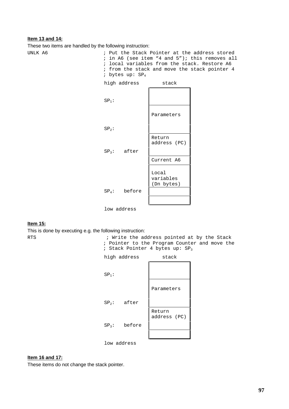#### **Item 13 and 14:**

These two items are handled by the following instruction:

UNLK A6  $\qquad \qquad ;$  Put the Stack Pointer at the address stored ; in A6 (see item "4 and 5"); this removes all ; local variables from the stack. Restore A6 ; from the stack and move the stack pointer 4 ; bytes up: SP<sup>4</sup>



low address

#### **Item 15:**

This is done by executing e.g. the following instruction:

RTS ; Write the address pointed at by the Stack ; Pointer to the Program Counter and move the ; Stack Pointer 4 bytes up: SP<sup>3</sup>



### low address

#### **Item 16 and 17:**

These items do not change the stack pointer.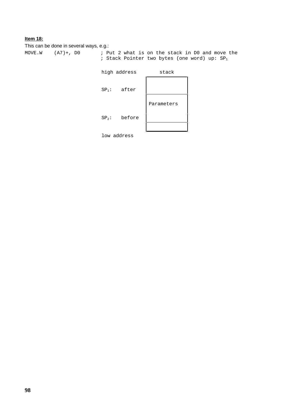### **Item 18:**

This can be done in several ways, e.g.: MOVE.W (A7)+, D0 ; Put 2 what is on the stack in D0 and move the ; Stack Pointer two bytes (one word) up:  $SP<sub>1</sub>$ 

| high address |        | stack      |
|--------------|--------|------------|
| $SP1$ :      | after  |            |
| $SP2$ :      | before | Parameters |
|              |        |            |

low address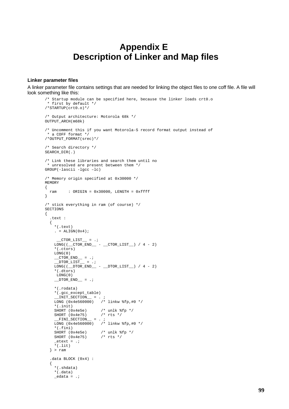# **Appendix E Description of Linker and Map files**

#### **Linker parameter files**

A linker parameter file contains settings that are needed for linking the object files to one coff file. A file will look something like this:

```
/* Startup module can be specified here, because the linker loads crt0.o
 * first by default */
/*STARTUP(crt0.o)*/
/* Output architecture: Motorola 68k */
OUTPUT_ARCH(m68k)
/* Uncomment this if you want Motorola-S record format output instead of
 * a COFF format */
/*OUTPUT_FORMAT(srec)*/
/* Search directory */
SEARCH_DIR(.)
/* Link these libraries and search them until no
 * unresolved are present between them */
GROUP(-lascii -lgcc –lc)
/* Memory origin specified at 0x30000 */
MEMORY
{
  ram : ORIGIN = 0x30000, LENGTH = 0xffff
}
/* stick everything in ram (of course) */
SECTIONS
{
  .text :
  {
    *(.text)
    . = ALIGN(0x4);CTOR LIST = ;
    \texttt{LONG} \left( \texttt{(\_CTOR\_END\_ - \texttt{\_CTOR\_LIST\_}) \ / 4 - 2} \right)*(.ctors)
    LONG(0)
    \_CTOR\_END\_ = .;_DTOR_LIST = .;
    \texttt{LONG}(\texttt{(\_DTOR\_END}\texttt{_{\_\_}} - \texttt{\_DTOR\_LIST}\texttt{_{\_\_}}) \ / 4\texttt{ - 2})*(.dtors)
     LONG(0)
    DTOREND = .;*(.rodata)
    *(.gcc_except_table)
     MIT\_SECTION \_ = . ;
     LONG (0x4e560000) /* linkw %fp,#0 */
    *(.init)
                       /* unlk %fp */<br>/* rts */
    SHORT (0x4e75)_FINI\_SECTION \_ = . ;
     LONG (0x4e560000) /* linkw %fp,#0 */
    *(.fini)
                        /* unlk %fp */<br>/* rts */
    SHORT (0x4e75)_{\text{etext}} = .;*(.lit)
  } > ram
  .data BLOCK (0x4) :
  {
    *(.shdata)
    *(.data)
    edata = .;
```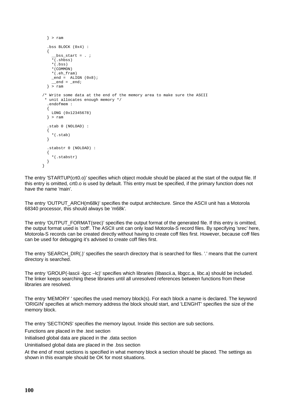```
} > ram
  .bss BLOCK (0x4) :
  {
     _bss_start = . ;
   *(.shbss)
    *(.bss)
   *(COMMON)
   *(.eh_fram)
   _{\text{end}} = ALIGN (0x8);
    end = end;} > ram
/* Write some data at the end of the memory area to make sure the ASCII
* unit allocates enough memory */
  .endofmem :
  {
   LONG (0x12345678)
 } > ram
  .stab 0 (NOLOAD) :
  {
   *(.stab)
 }
  .stabstr 0 (NOLOAD) :
 {
   *(.stabstr)
 }
}
```
The entry 'STARTUP(crt0.o)' specifies which object module should be placed at the start of the output file. If this entry is omitted, crt0.o is used by default. This entry must be specified, if the primary function does not have the name 'main'.

The entry 'OUTPUT\_ARCH(m68k)' specifies the output architecture. Since the ASCII unit has a Motorola 68340 processor, this should always be 'm68k'.

The entry 'OUTPUT\_FORMAT(srec)' specifies the output format of the generated file. If this entry is omitted, the output format used is 'coff'. The ASCII unit can only load Motorola-S record files. By specifying 'srec' here, Motorola-S records can be created directly without having to create coff files first. However, because coff files can be used for debugging it's advised to create coff files first.

The entry 'SEARCH\_DIR(.)' specifies the search directory that is searched for files. '.' means that the current directory is searched.

The entry 'GROUP(-lascii -lgcc -lc)' specifies which libraries (libascii.a, libgcc.a, libc.a) should be included. The linker keeps searching these libraries until all unresolved references between functions from these libraries are resolved.

The entry 'MEMORY ' specifies the used memory block(s). For each block a name is declared. The keyword 'ORIGIN' specifies at which memory address the block should start, and 'LENGHT' specifies the size of the memory block.

The entry 'SECTIONS' specifies the memory layout. Inside this section are sub sections.

Functions are placed in the .text section

Initialised global data are placed in the .data section

Uninitialised global data are placed in the .bss section

At the end of most sections is specified in what memory block a section should be placed. The settings as shown in this example should be OK for most situations.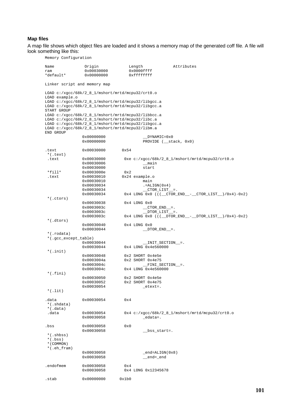#### **Map files**

A map file shows which object files are loaded and it shows a memory map of the generated coff file. A file will look something like this:

Memory Configuration Name Origin Length Attributes<br>
ram 0x00030000 0x0000ffff ram 0x00030000<br>
\*default\* 0x00000000  $0xffffffff$ Linker script and memory map LOAD c:/xgcc/68k/2\_8\_1/mshort/mrtd/mcpu32/crt0.o LOAD example.o LOAD c:/xgcc/68k/2\_8\_1/mshort/mrtd/mcpu32/libgcc.a LOAD c:/xgcc/68k/2\_8\_1/mshort/mrtd/mcpu32/libgcc.a START GROUP LOAD c:/xgcc/68k/2\_8\_1/mshort/mrtd/mcpu32/libbcc.a LOAD c:/xgcc/68k/2\_8\_1/mshort/mrtd/mcpu32/libc.a LOAD c:/xgcc/68k/2\_8\_1/mshort/mrtd/mcpu32/libgcc.a LOAD c:/xgcc/68k/2\_8\_1/mshort/mrtd/mcpu32/libm.a END GROUP  $0 \times 00000000$   $DYNAMTC=0 \times 0$ 0x00000000 PROVIDE (\_\_stack, 0x0) .text 0x00030000 0x54 \*(.text) .text  $0x00030000$   $0xe$  c:/xgcc/68k/2\_8\_1/mshort/mrtd/mcpu32/crt0.o<br>0x00030006 main 0x00030006 \_\_main  $0 \times 00030000$   $0 \times 2$  $*$ fill $*$  0x0003000e .text 0x00030010 0x24 example.o 0x00030010<br>0x00030034  $0 \times 00030034$  .=ALIGN(0x4)<br>0x00030034 CTOR LIST  $CTOR$  LIST  $=$ . 0x00030034 0x4 LONG 0x0 (((\_\_CTOR\_END\_\_-\_\_CTOR\_LIST\_\_)/0x4)-0x2) \*(.ctors)  $0 \times 00030038$   $0 \times 4$  LONG  $0 \times 0$ <br> $0 \times 0003003c$  CT  $0 \times 0003003c$  \_\_CTOR\_END\_\_=.<br> $0 \times 0003003c$  DTOR LIST =  $0 \times 0003003c$   $0 \times 0003003c$   $0 \times 4$  LONG  $0 \times 0$  ((( DTOR 0x4 LONG 0x0 (((\_\_DTOR\_END\_\_-\_\_DTOR\_LIST\_\_)/0x4)-0x2) \*(.dtors) 0x00030040 0x4 LONG 0x0<br>0x00030044 DT  $DTOR_END$ =. \*(.rodata)  $*(. \text{gcc\_except\_table})$ <br> $0x00030044$  $0 \times 00030044$  \_\_INIT\_SECTION\_=.<br> $0 \times 00030044$   $0 \times 4$  LONG  $0 \times 4e560000$  $0x4$  LONG  $0x4e560000$ \*(.init) 0x00030048 0x2 SHORT 0x4e5e<br>0x0003004a 0x2 SHORT 0x4e75 0x0003004a 0x2 SHORT 0x4e75<br>0x0003004c FINI S  $0 \times 0003004c$  \_\_FINI\_SECTION\_=.<br> $0 \times 0003004c$  0x4 LONG 0x4e560000  $0x4$  LONG  $0x4e560000$ \*(.fini) 0x00030050 0x2 SHORT 0x4e5e<br>0x00030052 0x2 SHORT 0x4e75 0x2 SHORT 0x4e75 0x00030054 \_etext=.  $*(.1 \text{ i})$ .data 0x00030054 0x4 \*(.shdata)  $*(.\text{data})$ .data  $0x00030054$   $0x4$  c:/ $x\text{gcc/68k/2_8_1/mshort/mrtd/mcpu32/crt0.o}$ <br> $0x00030058$   $\qquad \qquad$   $\qquad \qquad$   $\qquad$   $\qquad$   $\qquad$   $\qquad$   $\qquad$   $\qquad$   $\qquad$   $\qquad$   $\qquad$   $\qquad$   $\qquad$   $\qquad$   $\qquad$   $\qquad$   $\qquad$   $\qquad$   $\qquad$   $\qquad$   $\qquad$   $\qquad$   $\qquad$  0x00030058  $0 \times 00030058$  0x0<br>0x00030058 \_\_bss\_start=.  $^{\star}$  (  $\Box$  shbss )  $*(.bss)$ \*(COMMON)  $^\star$  (  $.$  <code>eh\_fram</code> ) 0x00030058 \_end=ALIGN(0x8)<br>0x00030058 end= end \_\_end=\_end endofmem 0x00030058 0x4<br>0x00030058 0x4 0x4 LONG 0x12345678 .stab 0x00000000 0x1b0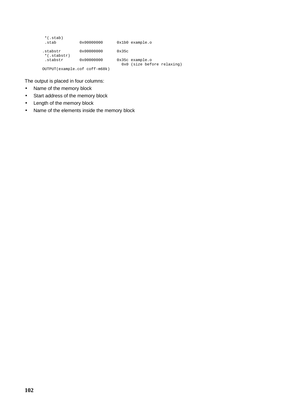| $*(.stab)$<br>.stab           | 0x00000000          | $0x1b0$ example.o                               |  |
|-------------------------------|---------------------|-------------------------------------------------|--|
| .stabstr<br>$*($ .stabstr $)$ | $0 \times 00000000$ | 0x35c                                           |  |
| .stabstr                      | 0x00000000          | $0x35c$ example.o<br>0x0 (size before relaxing) |  |
| OUTPUT(example.cof coff-m68k) |                     |                                                 |  |

The output is placed in four columns:

- Name of the memory block
- Start address of the memory block
- Length of the memory block
- Name of the elements inside the memory block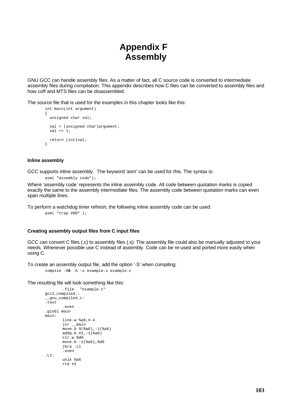# **Appendix F Assembly**

GNU GCC can handle assembly files. As a matter of fact, all C source code is converted to intermediate assembly files during compilation. This appendix describes how C files can be converted to assembly files and how coff and MTS files can be disassembled.

The source file that is used for the examples in this chapter looks like this:

```
int main(int argument)
{
 unsigned char val;
 val = (unsigned char)argument;
 val += 1;return (int)val;
}
```
#### **Inline assembly**

GCC supports inline assembly. The keyword 'asm' can be used for this. The syntax is:

asm( "assembly code");

Where 'assembly code' represents the inline assembly code. All code between quotation marks is copied exactly the same to the assembly intermediate files. The assembly code between quotation marks can even span multiple lines.

To perform a watchdog timer refresh, the following inline assembly code can be used:

asm( "trap #00" );

#### **Creating assembly output files from C input files**

GCC can convert C files (.c) to assembly files (.s). The assembly file could also be manually adjusted to your needs. Whenever possible use C instead of assembly. Code can be re-used and ported more easily when using C.

To create an assembly output file, add the option '-S' when compiling:

compile -O**0** -S -o example.s example.c

The resulting file will look something like this:

```
.file "example.c"
gcc2_compiled.:
__gnu_compiled_c:
.text
        .even
.globl main
main:
       link.w %a6,#-4
        jsr __main
       \frac{1}{2} 9(%a6), -1(%a6)
       addq.b #1,-1(%a6)
        clr.w %d0
       move.b -1(%a6),%d0
       jbra .L1
        .even
.L1:
       unlk %a6
       rtd #2
```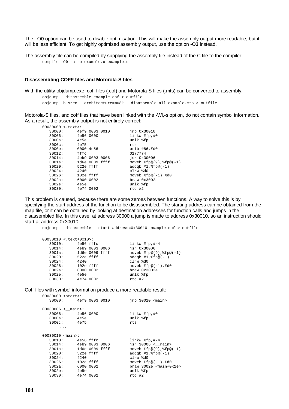The –O**0** option can be used to disable optimisation. This will make the assembly output more readable, but it will be less efficient. To get highly optimised assembly output, use the option -O**3** instead.

The assembly file can be compiled by supplying the assembly file instead of the C file to the compiler:

```
compile -O0 -c -o example.o example.s
```
#### **Disassembling COFF files and Motorola-S files**

With the utility objdump.exe, coff files (.cof) and Motorola-S files (.mts) can be converted to assembly:

objdump --disassemble example.cof > outfile objdump -b srec --architecture=m68k --disassemble-all example.mts > outfile

Motorola-S files, and coff files that have been linked with the -Wl,-s option, do not contain symbol information. As a result, the assembly output is not entirely correct:

| $00030000 < .$ text>: |             |                |                               |
|-----------------------|-------------|----------------|-------------------------------|
| 30000:                |             | 4ef9 0003 0010 | $\text{imp}$ $0 \times 30010$ |
| 30006:                | 4e56 0000   |                | linkw %fp,#0                  |
| $3000a$ :             | 4e5e        |                | unlk %fp                      |
| $3000c$ :             | 4e75        |                | rts                           |
| 3000e:                |             | 0000 4e56      | orib $#86,$ $60$              |
| 30012:                | fffc        |                | 0177774                       |
| 30014:                |             | 4eb9 0003 0006 | $isr$ $0x30006$               |
| $3001a$ :             |             | 1d6e 0009 ffff | $move b$ $fpe(9)$ , $fpe(-1)$ |
| 30020:                | 522e ffff   |                | $addab$ #1, $fpe(-1)$         |
| 30024:                | 4240        |                | clrw %d0                      |
| 30026:                | $102e$ ffff |                | $move b$ $fpe(-1)$ , $d0$     |
| $3002a$ :             |             | 6000 0002      | braw 0x3002e                  |
| 3002e:                | 4e5e        |                | unlk %fp                      |
| 30030:                |             | 4e74 0002      | rtd #2                        |

This problem is caused, because there are some zeroes between functions. A way to solve this is by specifying the start address of the function to be disassembled. The starting address can be obtained from the map file, or it can be obtained by looking at destination addresses for function calls and jumps in the disassembled file. In this case, at address 30000 a jump is made to address 0x30010, so an instruction should start at address 0x30010:

objdump --disassemble --start-address=0x30010 example.cof > outfile

|           | 00030010 <.text+0x10>: |                |                                          |
|-----------|------------------------|----------------|------------------------------------------|
| 30010:    | 4e56 fffc              |                | linkw $$fp, #-4$                         |
| 30014:    |                        | 4eb9 0003 0006 | jsr 0x30006                              |
| $3001a$ : |                        | 1d6e 0009 ffff | moveb $\text{fp@}(9)$ , $\text{fp@}(-1)$ |
| 30020:    | 522e ffff              |                | $addqb$ #1, $fpe(-1)$                    |
| 30024:    | 4240                   |                | clrw %d0                                 |
| 30026:    | 102e ffff              |                | moveb $%f_{p@(-1)}$ , $d0$               |
| $3002a$ : | 6000 0002              |                | braw 0x3002e                             |
| 3002e:    | 4e5e                   |                | unlk %fp                                 |
| 30030:    | 4e74 0002              |                | rtd #2                                   |
|           |                        |                |                                          |

Coff files with symbol information produce a more readable result:

| $00030000$ $start$ :    |                       |  |                                  |
|-------------------------|-----------------------|--|----------------------------------|
|                         | 30000: 4ef9 0003 0010 |  | $\text{imp}$ 30010 <main></main> |
|                         | 00030006 < main       |  |                                  |
|                         | 30006: 4e56 0000      |  | linkw %fp,#0                     |
|                         | 3000a: 4e5e           |  | unlk %fp                         |
|                         | 3000c: 4e75           |  | rts                              |
|                         |                       |  |                                  |
| 00030010 <main>:</main> |                       |  |                                  |
|                         | 30010: 4e56 fffc      |  | linkw $%fp$ ,#-4                 |
|                         | 30014: 4eb9 0003 0006 |  | $isr$ 30006 < main>              |
|                         | 3001a: 1d6e 0009 ffff |  | $move b$ $fpe(9)$ , $fpe(-1)$    |
| 30020:                  | 522e ffff             |  | $addqb #1,$ $fpe(-1)$            |
| 30024:                  | 4240                  |  | clrw %d0                         |
|                         | 30026: 102e ffff      |  | moveb $%f_{p@(-1)}$ , $d0$       |
| $3002a$ :               | 6000 0002             |  | $braw 3002e$ $main+0x1e$         |
| 3002e:                  | 4e5e                  |  | unlk %fp                         |
| 30030:                  | 4e74 0002             |  | rtd #2                           |
|                         |                       |  |                                  |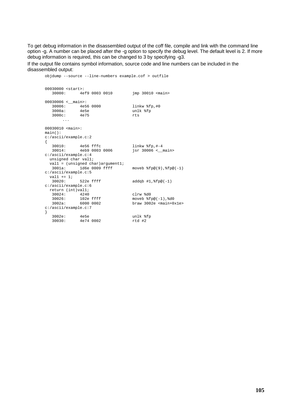To get debug information in the disassembled output of the coff file, compile and link with the command line option -g. A number can be placed after the -g option to specify the debug level. The default level is 2. If more debug information is required, this can be changed to 3 by specifying -g3.

If the output file contains symbol information, source code and line numbers can be included in the disassembled output:

```
objdump --source --line-numbers example.cof > outfile
00030000 <start>:<br>30000: 4ef
          30000: 4ef9 0003 0010 jmp 30010 <main>
00030006 <__main>:
  30006: 4e56 0000 linkw %fp,#0
  3000a: 4e5e unlk %fp
  3000c: 4e75 rts
     ...
00030010 <main>:
main():
c:/ascii/example.c:2
{
  30010: 4e56 fffc linkw %fp,#-4
  30014: 4eb9 0003 0006 jsr 30006 <__main>
c:/ascii/example.c:4
 unsigned char val1;
 vall = (unsigned char)argument1;
  3001a: 1d6e 0009 ffff moveb %fp@(9),%fp@(-1)
c:/ascii/example.c:5
 val1 += 1i<br>30020:
           522e ffff addqb #1, %fp@(-1)c:/ascii/example.c:6
 return (int)val1;
  30024: 4240 clrw %d0
  30026: 102e ffff moveb %fp@(-1),%d0
  3002a: 6000 0002 braw 3002e <main+0x1e>
c:/ascii/example.c:7
}
  3002e: 4e5e unlk %fp
  30030: 4e74 0002 rtd #2
```